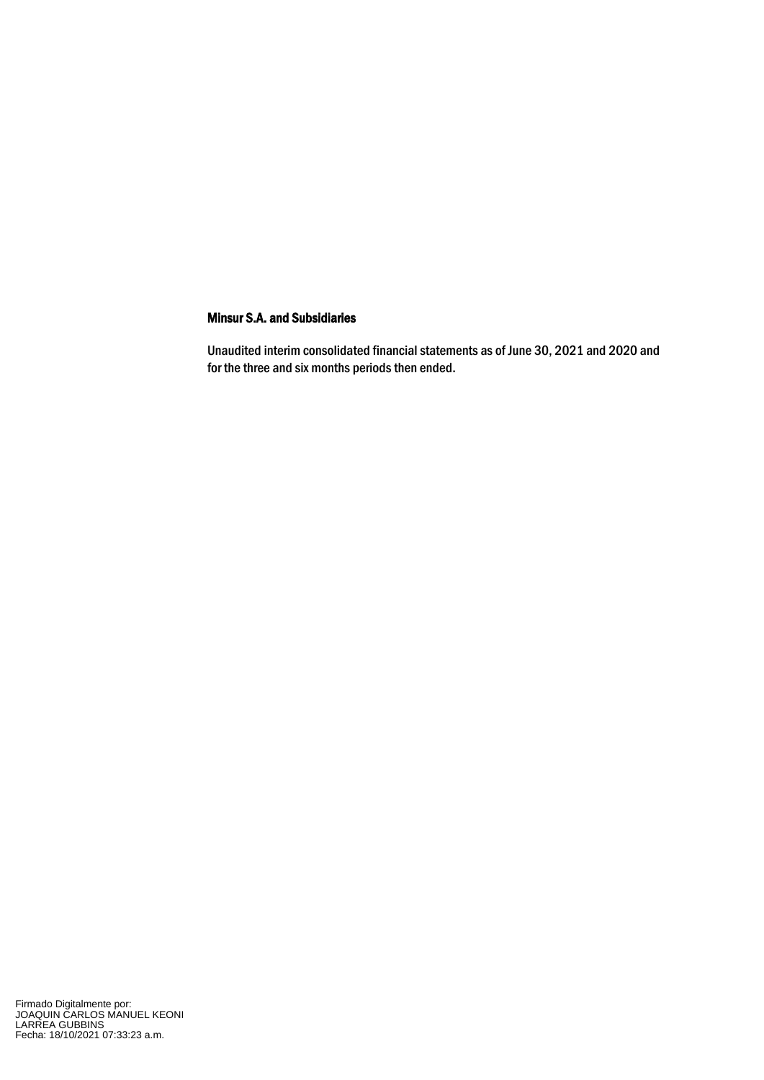Unaudited interim consolidated financial statements as of June 30, 2021 and 2020 and for the three and six months periods then ended.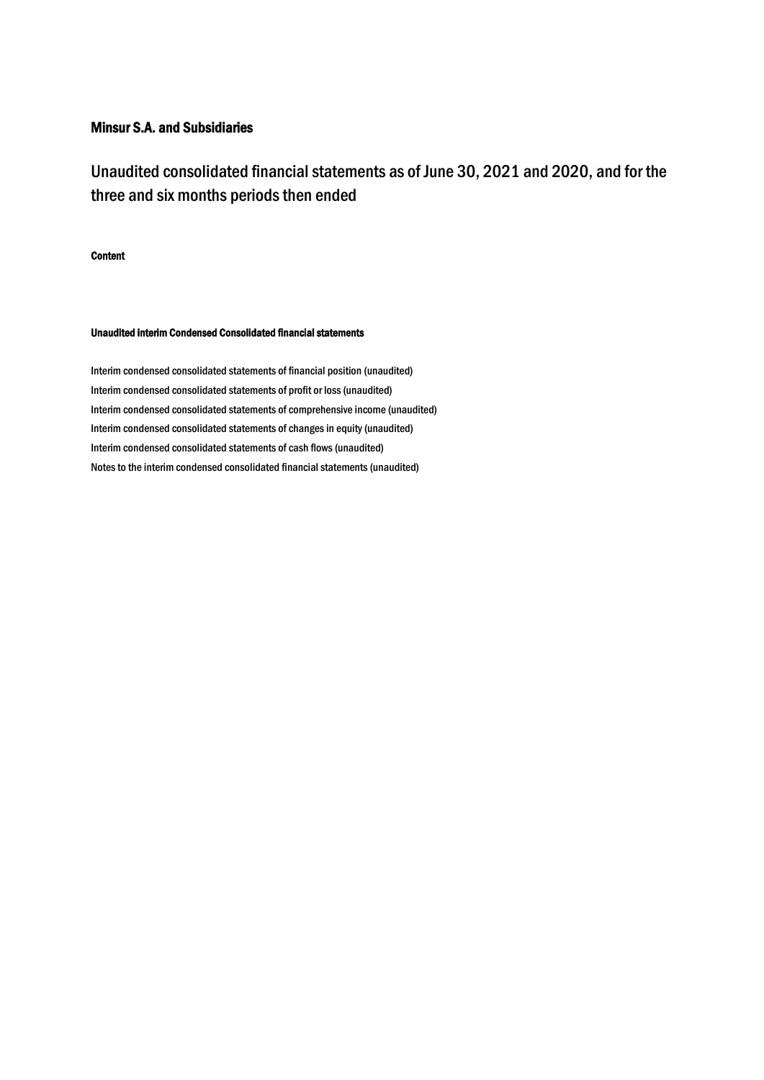Unaudited consolidated financial statements as of June 30, 2021 and 2020, and for the three and six months periods then ended

Content

#### Unaudited interim Condensed Consolidated financial statements

Interim condensed consolidated statements of financial position (unaudited) Interim condensed consolidated statements of profit or loss(unaudited) Interim condensed consolidated statements of comprehensive income (unaudited) Interim condensed consolidated statements of changes in equity (unaudited) Interim condensed consolidated statements of cash flows(unaudited) Notes to the interim condensed consolidated financial statements (unaudited)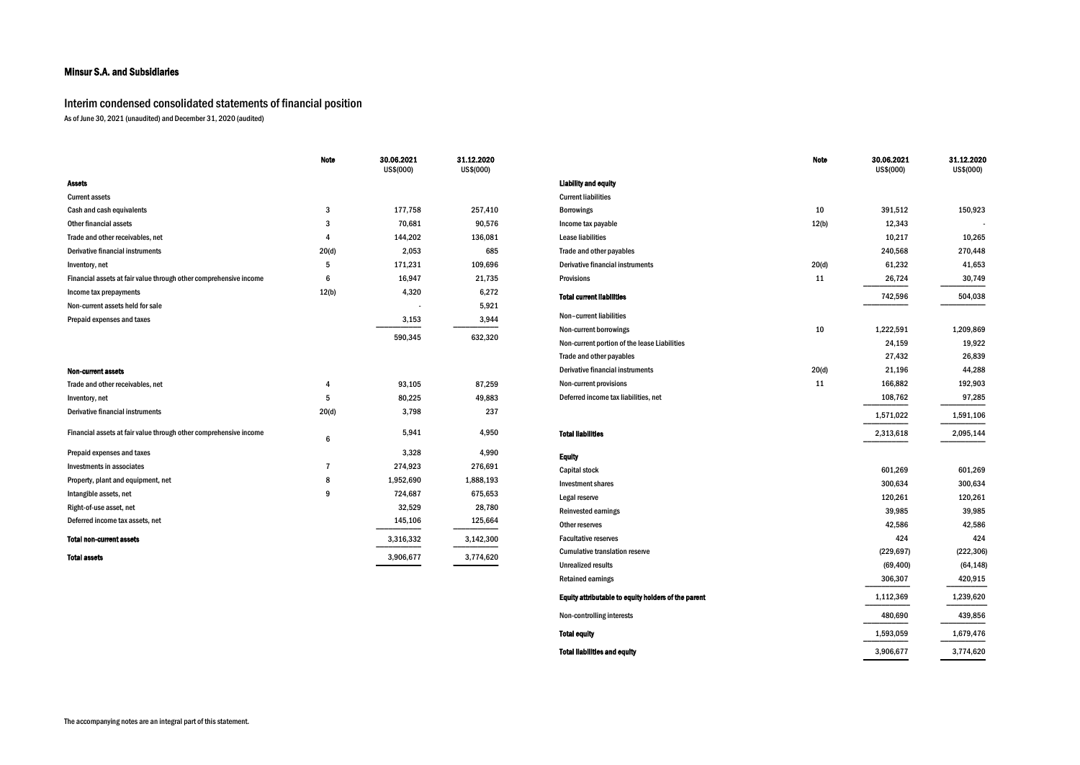### Interim condensed consolidated statements of financial position

As of June 30, 2021 (unaudited) and December 31, 2020 (audited)

|                                                                   | <b>Note</b>     | 30.06.2021<br>US\$(000) | 31.12.2020<br>US\$(000) |                                              | <b>Note</b> | 30.06.2021<br>US\$(000) | 31.12.2020<br>US\$(000) |
|-------------------------------------------------------------------|-----------------|-------------------------|-------------------------|----------------------------------------------|-------------|-------------------------|-------------------------|
| <b>Assets</b>                                                     |                 |                         |                         | <b>Liability and equity</b>                  |             |                         |                         |
| <b>Current assets</b>                                             |                 |                         |                         | <b>Current liabilities</b>                   |             |                         |                         |
| Cash and cash equivalents                                         | 3               | 177,758                 | 257,410                 | <b>Borrowings</b>                            | 10          | 391,512                 | 150,923                 |
| Other financial assets                                            | 3               | 70,681                  | 90,576                  | Income tax payable                           | 12(b)       | 12,343                  |                         |
| Trade and other receivables, net                                  | Δ               | 144,202                 | 136,081                 | <b>Lease liabilities</b>                     |             | 10,217                  | 10,265                  |
| Derivative financial instruments                                  | 20(d)           | 2,053                   | 685                     | Trade and other payables                     |             | 240,568                 | 270,448                 |
| Inventory, net                                                    | -5              | 171,231                 | 109,696                 | Derivative financial instruments             | 20(d)       | 61,232                  | 41,653                  |
| Financial assets at fair value through other comprehensive income | 6               | 16,947                  | 21,735                  | <b>Provisions</b>                            | 11          | 26,724                  | 30,749                  |
| Income tax prepayments                                            | 12(b)           | 4,320                   | 6,272                   | <b>Total current liabilities</b>             |             | 742,596                 | 504,038                 |
| Non-current assets held for sale                                  |                 |                         | 5,921                   |                                              |             |                         |                         |
| Prepaid expenses and taxes                                        |                 | 3,153                   | 3,944                   | Non-current liabilities                      |             |                         |                         |
|                                                                   |                 | 590,345                 | 632,320                 | Non-current borrowings                       | 10          | 1,222,591               | 1,209,869               |
|                                                                   |                 |                         |                         | Non-current portion of the lease Liabilities |             | 24,159                  | 19,922                  |
|                                                                   |                 |                         |                         | Trade and other payables                     |             | 27,432                  | 26,839                  |
| <b>Non-current assets</b>                                         |                 |                         |                         | Derivative financial instruments             | 20(d)       | 21,196                  | 44,288                  |
| Trade and other receivables, net                                  | 4               | 93,105                  | 87,259                  | Non-current provisions                       | 11          | 166,882                 | 192,903                 |
| Inventory, net                                                    | 5               | 80,225                  | 49,883                  | Deferred income tax liabilities, net         |             | 108,762                 | 97,285                  |
| Derivative financial instruments                                  | 20(d)           | 3,798                   | 237                     |                                              |             | 1,571,022               | 1,591,106               |
| Financial assets at fair value through other comprehensive income | $6\phantom{.}6$ | 5,941                   | 4,950                   | <b>Total liabilities</b>                     |             | 2,313,618               | 2,095,144               |
| Prepaid expenses and taxes                                        |                 | 3,328                   | 4,990                   | <b>Equity</b>                                |             |                         |                         |
| Investments in associates                                         | $\overline{7}$  | 274,923                 | 276,691                 | <b>Capital stock</b>                         |             | 601,269                 | 601,269                 |
| Property, plant and equipment, net                                | 8               | 1,952,690               | 1,888,193               | <b>Investment shares</b>                     |             | 300,634                 | 300,634                 |
| Intangible assets, net                                            | 9               | 724,687                 | 675,653                 | Legal reserve                                |             | 120,261                 | 120,261                 |
| Right-of-use asset, net                                           |                 | 32,529                  | 28,780                  | <b>Reinvested earnings</b>                   |             | 39,985                  | 39,985                  |
| Deferred income tax assets, net                                   |                 | 145,106                 | 125,664                 | Other reserves                               |             | 42,586                  | 42,586                  |
| <b>Total non-current assets</b>                                   |                 | 3,316,332               | 3,142,300               | <b>Facultative reserves</b>                  |             | 424                     | 424                     |
| <b>Total assets</b>                                               |                 | 3,906,677               | 3,774,620               | <b>Cumulative translation reserve</b>        |             | (229, 697)              | (222, 306)              |
|                                                                   |                 |                         |                         | <b>Unrealized results</b>                    |             | (69, 400)               | (64, 148)               |
|                                                                   |                 |                         |                         | <b>Retained earnings</b>                     |             | 306,307                 | 420,915                 |

|                                                     | <b>Note</b> | 30.06.2021<br>US\$(000) | 31.12.2020<br>US\$(000) |
|-----------------------------------------------------|-------------|-------------------------|-------------------------|
| <b>Liability and equity</b>                         |             |                         |                         |
| <b>Current liabilities</b>                          |             |                         |                         |
| <b>Borrowings</b>                                   | 10          | 391,512                 | 150,923                 |
| Income tax payable                                  | 12(b)       | 12,343                  |                         |
| <b>Lease liabilities</b>                            |             | 10,217                  | 10,265                  |
| Trade and other payables                            |             | 240,568                 | 270,448                 |
| <b>Derivative financial instruments</b>             | 20(d)       | 61,232                  | 41,653                  |
| <b>Provisions</b>                                   | 11          | 26,724                  | 30,749                  |
| <b>Total current liabilities</b>                    |             | 742,596                 | 504,038                 |
| Non-current liabilities                             |             |                         |                         |
| Non-current borrowings                              | 10          | 1,222,591               | 1,209,869               |
| Non-current portion of the lease Liabilities        |             | 24,159                  | 19,922                  |
| Trade and other payables                            |             | 27,432                  | 26,839                  |
| <b>Derivative financial instruments</b>             | 20(d)       | 21,196                  | 44,288                  |
| Non-current provisions                              | 11          | 166,882                 | 192,903                 |
| Deferred income tax liabilities, net                |             | 108,762                 | 97,285                  |
|                                                     |             | 1,571,022               | 1,591,106               |
| <b>Total liabilities</b>                            |             | 2,313,618               | 2,095,144               |
| <b>Equity</b>                                       |             |                         |                         |
| <b>Capital stock</b>                                |             | 601,269                 | 601,269                 |
| <b>Investment shares</b>                            |             | 300,634                 | 300,634                 |
| Legal reserve                                       |             | 120,261                 | 120,261                 |
| <b>Reinvested earnings</b>                          |             | 39,985                  | 39,985                  |
| Other reserves                                      |             | 42,586                  | 42,586                  |
| <b>Facultative reserves</b>                         |             | 424                     | 424                     |
| <b>Cumulative translation reserve</b>               |             | (229, 697)              | (222, 306)              |
| <b>Unrealized results</b>                           |             | (69, 400)               | (64, 148)               |
| <b>Retained earnings</b>                            |             | 306,307                 | 420,915                 |
| Equity attributable to equity holders of the parent |             | 1,112,369               | 1,239,620               |
| Non-controlling interests                           |             | 480,690                 | 439,856                 |
| <b>Total equity</b>                                 |             | 1,593,059               | 1,679,476               |
| <b>Total liabilities and equity</b>                 |             | 3,906,677               | 3,774,620               |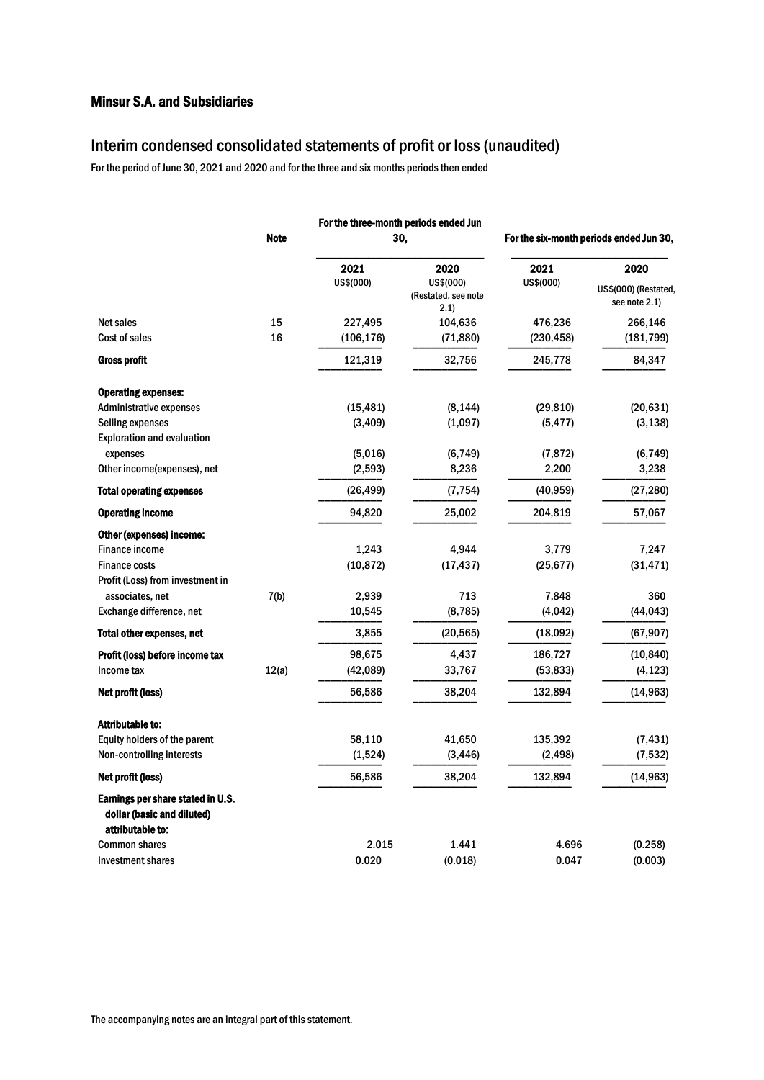### Interim condensed consolidated statements of profit or loss(unaudited)

For the period of June 30, 2021 and 2020 and for the three and six months periods then ended

|                                                                                     |             |                      | For the three-month periods ended Jun            |                                         |                                               |  |
|-------------------------------------------------------------------------------------|-------------|----------------------|--------------------------------------------------|-----------------------------------------|-----------------------------------------------|--|
|                                                                                     | <b>Note</b> |                      | 30,                                              | For the six-month periods ended Jun 30, |                                               |  |
|                                                                                     |             | 2021<br>US\$(000)    | 2020<br>US\$(000)<br>(Restated, see note<br>2.1) | 2021<br>US\$(000)                       | 2020<br>US\$(000) (Restated,<br>see note 2.1) |  |
| <b>Net sales</b>                                                                    | 15          | 227,495              | 104,636                                          | 476,236                                 | 266,146                                       |  |
| Cost of sales                                                                       | 16          | (106, 176)           | (71, 880)                                        | (230,458)                               | (181, 799)                                    |  |
| Gross profit                                                                        |             | 121,319              | 32,756                                           | 245,778                                 | 84,347                                        |  |
| <b>Operating expenses:</b><br><b>Administrative expenses</b><br>Selling expenses    |             | (15, 481)<br>(3,409) | (8, 144)<br>(1,097)                              | (29, 810)<br>(5, 477)                   | (20, 631)<br>(3, 138)                         |  |
| <b>Exploration and evaluation</b>                                                   |             |                      |                                                  |                                         |                                               |  |
| expenses<br>Other income(expenses), net                                             |             | (5,016)<br>(2, 593)  | (6, 749)<br>8,236                                | (7, 872)<br>2,200                       | (6, 749)<br>3,238                             |  |
| <b>Total operating expenses</b>                                                     |             | (26, 499)            | (7, 754)                                         | (40, 959)                               | (27, 280)                                     |  |
| <b>Operating income</b>                                                             |             | 94,820               | 25,002                                           | 204,819                                 | 57,067                                        |  |
| Other (expenses) income:                                                            |             |                      |                                                  |                                         |                                               |  |
| <b>Finance income</b>                                                               |             | 1,243                | 4,944                                            | 3,779                                   | 7,247                                         |  |
| <b>Finance costs</b>                                                                |             | (10, 872)            | (17, 437)                                        | (25, 677)                               | (31, 471)                                     |  |
| Profit (Loss) from investment in                                                    |             |                      |                                                  |                                         |                                               |  |
| associates, net                                                                     | 7(b)        | 2,939                | 713                                              | 7,848                                   | 360                                           |  |
| Exchange difference, net                                                            |             | 10,545               | (8, 785)                                         | (4,042)                                 | (44, 043)                                     |  |
| <b>Total other expenses, net</b>                                                    |             | 3,855                | (20, 565)                                        | (18,092)                                | (67, 907)                                     |  |
| Profit (loss) before income tax                                                     |             | 98,675               | 4,437                                            | 186,727                                 | (10, 840)                                     |  |
| Income tax                                                                          | 12(a)       | (42,089)             | 33,767                                           | (53, 833)                               | (4, 123)                                      |  |
| Net profit (loss)                                                                   |             | 56,586               | 38,204                                           | 132,894                                 | (14, 963)                                     |  |
| <b>Attributable to:</b>                                                             |             |                      |                                                  |                                         |                                               |  |
| Equity holders of the parent                                                        |             | 58,110               | 41,650                                           | 135,392                                 | (7, 431)                                      |  |
| Non-controlling interests                                                           |             | (1,524)              | (3, 446)                                         | (2, 498)                                | (7, 532)                                      |  |
| Net profit (loss)                                                                   |             | 56,586               | 38,204                                           | 132,894                                 | (14, 963)                                     |  |
| Earnings per share stated in U.S.<br>dollar (basic and diluted)<br>attributable to: |             |                      |                                                  |                                         |                                               |  |
| <b>Common shares</b>                                                                |             | 2.015                | 1.441                                            | 4.696                                   | (0.258)                                       |  |
| <b>Investment shares</b>                                                            |             | 0.020                | (0.018)                                          | 0.047                                   | (0.003)                                       |  |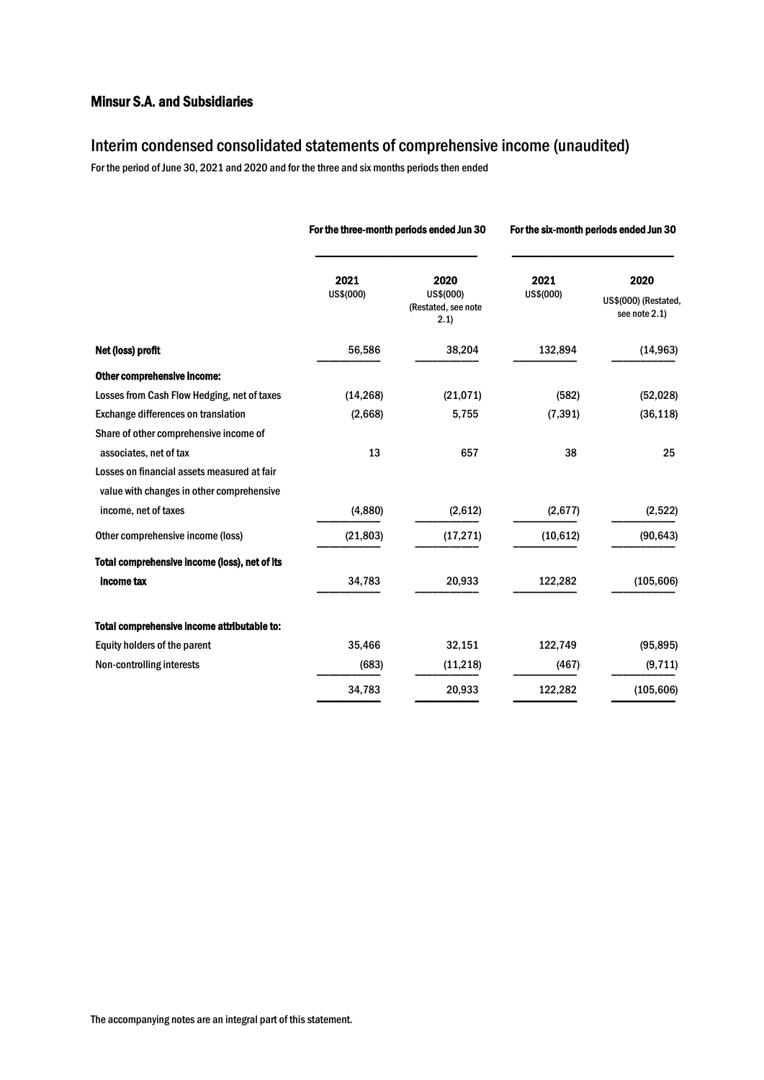### Interim condensed consolidated statements of comprehensive income (unaudited)

For the period of June 30, 2021 and 2020 and for the three and six months periods then ended

|                                                                                          |                   | For the three-month periods ended Jun 30         | For the six-month periods ended Jun 30 |                                               |  |
|------------------------------------------------------------------------------------------|-------------------|--------------------------------------------------|----------------------------------------|-----------------------------------------------|--|
|                                                                                          | 2021<br>US\$(000) | 2020<br>US\$(000)<br>(Restated, see note<br>2.1) | 2021<br>US\$(000)                      | 2020<br>US\$(000) (Restated,<br>see note 2.1) |  |
| Net (loss) profit                                                                        | 56,586            | 38,204                                           | 132,894                                | (14, 963)                                     |  |
| Other comprehensive income:                                                              |                   |                                                  |                                        |                                               |  |
| Losses from Cash Flow Hedging, net of taxes                                              | (14, 268)         | (21, 071)                                        | (582)                                  | (52, 028)                                     |  |
| Exchange differences on translation                                                      | (2,668)           | 5,755                                            | (7, 391)                               | (36, 118)                                     |  |
| Share of other comprehensive income of                                                   |                   |                                                  |                                        |                                               |  |
| associates, net of tax                                                                   | 13                | 657                                              | 38                                     | 25                                            |  |
| Losses on financial assets measured at fair<br>value with changes in other comprehensive |                   |                                                  |                                        |                                               |  |
| income, net of taxes                                                                     | (4,880)           | (2,612)                                          | (2,677)                                | (2,522)                                       |  |
| Other comprehensive income (loss)                                                        | (21, 803)         | (17, 271)                                        | (10, 612)                              | (90, 643)                                     |  |
| Total comprehensive income (loss), net of its                                            |                   |                                                  |                                        |                                               |  |
| income tax                                                                               | 34,783            | 20,933                                           | 122,282                                | (105, 606)                                    |  |
| Total comprehensive income attributable to:                                              |                   |                                                  |                                        |                                               |  |
| Equity holders of the parent                                                             | 35,466            | 32,151                                           | 122,749                                | (95, 895)                                     |  |
| Non-controlling interests                                                                | (683)             | (11,218)                                         | (467)                                  | (9, 711)                                      |  |
|                                                                                          | 34,783            | 20,933                                           | 122,282                                | (105, 606)                                    |  |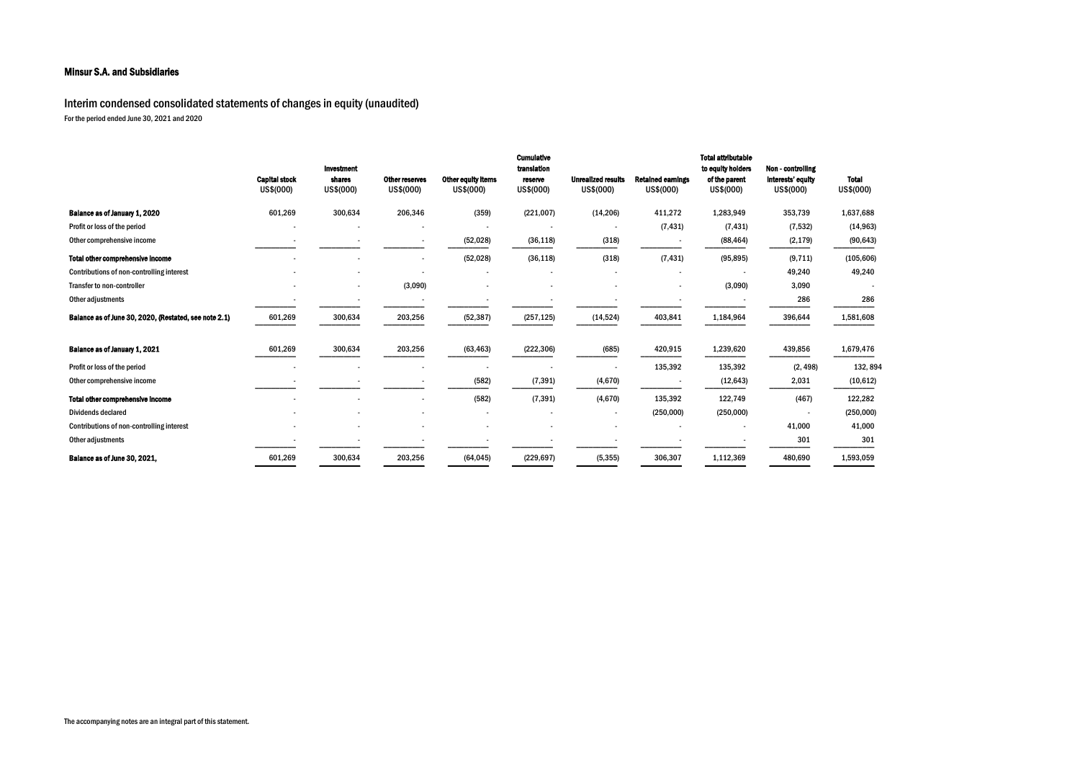| <b>Total</b><br>US\$(000) |
|---------------------------|
|                           |
| 1,637,688                 |
| (14, 963)                 |
| (90, 643)                 |
| (105, 606)                |
| 49,240                    |
|                           |
| 286                       |
| 1,581,608                 |
|                           |
| 1,679,476                 |
| 132, 894                  |
| (10, 612)                 |
| 122,282                   |
| (250, 000)                |
| 41,000                    |
| 301                       |
| 1,593,059                 |

Interim condensed consolidated statements of changes in equity (unaudited) For the period ended June 30, 2021 and 2020

|                                                       | <b>Capital stock</b><br>US\$(000) | Investment<br>shares<br>US\$(000) | Other reserves<br>US\$(000) | Other equity items<br>US\$(000) | <b>Cumulative</b><br>translation<br>reserve<br>US\$(000) | <b>Unrealized results</b><br>US\$(000) | <b>Retained eamings</b><br>US\$(000) | <b>Total attributable</b><br>to equity holders<br>of the parent<br>US\$(000) | Non - controlling<br>interests' equity<br>US\$(000) | <b>Total</b><br>US\$(000) |
|-------------------------------------------------------|-----------------------------------|-----------------------------------|-----------------------------|---------------------------------|----------------------------------------------------------|----------------------------------------|--------------------------------------|------------------------------------------------------------------------------|-----------------------------------------------------|---------------------------|
| Balance as of January 1, 2020                         | 601,269                           | 300,634                           | 206,346                     | (359)                           | (221,007)                                                | (14, 206)                              | 411,272                              | 1,283,949                                                                    | 353,739                                             | 1,637,688                 |
| Profit or loss of the period                          |                                   |                                   |                             |                                 |                                                          |                                        | (7, 431)                             | (7, 431)                                                                     | (7, 532)                                            | (14, 963)                 |
| Other comprehensive income                            |                                   |                                   |                             | (52, 028)                       | (36, 118)                                                | (318)                                  |                                      | (88, 464)                                                                    | (2, 179)                                            | (90, 643)                 |
| <b>Total other comprehensive income</b>               |                                   |                                   |                             | (52, 028)                       | (36, 118)                                                | (318)                                  | (7, 431)                             | (95, 895)                                                                    | (9, 711)                                            | (105, 606)                |
| Contributions of non-controlling interest             |                                   |                                   |                             |                                 |                                                          | $\overline{\phantom{a}}$               |                                      |                                                                              | 49,240                                              | 49,240                    |
| Transfer to non-controller                            |                                   |                                   | (3,090)                     |                                 |                                                          |                                        |                                      | (3,090)                                                                      | 3,090                                               |                           |
| Other adjustments                                     |                                   |                                   |                             |                                 |                                                          |                                        |                                      |                                                                              | 286                                                 | 286                       |
| Balance as of June 30, 2020, (Restated, see note 2.1) | 601,269                           | 300,634                           | 203,256                     | (52, 387)                       | (257, 125)                                               | (14, 524)                              | 403,841                              | 1,184,964                                                                    | 396,644                                             | 1,581,608                 |
| Balance as of January 1, 2021                         | 601,269                           | 300,634                           | 203,256                     | (63, 463)                       | (222, 306)                                               | (685)                                  | 420,915                              | 1,239,620                                                                    | 439,856                                             | 1,679,476                 |
| Profit or loss of the period                          |                                   |                                   |                             |                                 |                                                          |                                        | 135,392                              | 135,392                                                                      | (2, 498)                                            | 132,894                   |
| Other comprehensive income                            |                                   |                                   |                             | (582)                           | (7, 391)                                                 | (4,670)                                |                                      | (12, 643)                                                                    | 2,031                                               | (10, 612)                 |
| <b>Total other comprehensive income</b>               |                                   |                                   |                             | (582)                           | (7, 391)                                                 | (4,670)                                | 135,392                              | 122,749                                                                      | (467)                                               | 122,282                   |
| <b>Dividends declared</b>                             |                                   |                                   |                             |                                 |                                                          | $\overline{\phantom{a}}$               | (250,000)                            | (250,000)                                                                    |                                                     | (250, 000)                |
| Contributions of non-controlling interest             |                                   |                                   |                             |                                 |                                                          |                                        |                                      |                                                                              | 41,000                                              | 41,000                    |
| Other adjustments                                     |                                   |                                   |                             |                                 |                                                          |                                        |                                      |                                                                              | 301                                                 | 301                       |
| Balance as of June 30, 2021,                          | 601,269                           | 300,634                           | 203,256                     | (64, 045)                       | (229, 697)                                               | (5, 355)                               | 306,307                              | 1,112,369                                                                    | 480,690                                             | 1,593,059                 |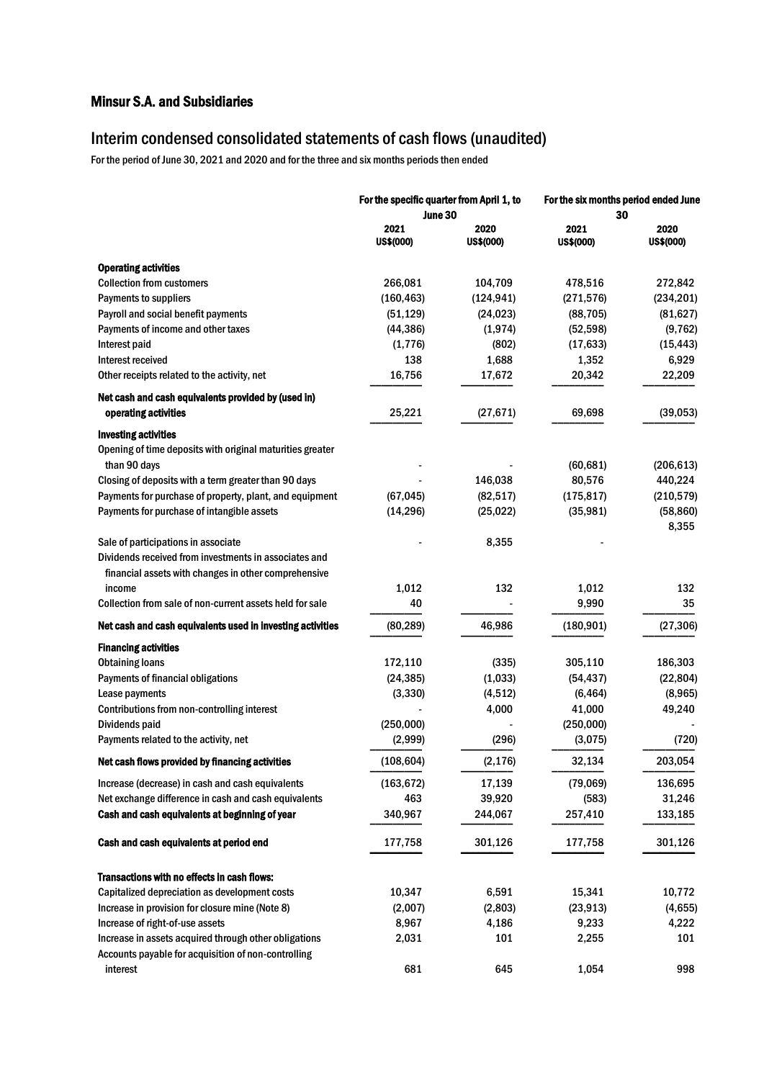# Interim condensed consolidated statements of cash flows (unaudited)

For the period of June 30, 2021 and 2020 and for the three and six months periods then ended

|                                                                                                               | For the specific quarter from April 1, to<br>June 30 |                   | For the six months period ended June<br>30 |                   |  |
|---------------------------------------------------------------------------------------------------------------|------------------------------------------------------|-------------------|--------------------------------------------|-------------------|--|
|                                                                                                               | 2021<br>US\$(000)                                    | 2020<br>US\$(000) | 2021<br><b>US\$(000)</b>                   | 2020<br>US\$(000) |  |
| <b>Operating activities</b>                                                                                   |                                                      |                   |                                            |                   |  |
| <b>Collection from customers</b>                                                                              | 266,081                                              | 104,709           | 478,516                                    | 272,842           |  |
| Payments to suppliers                                                                                         | (160, 463)                                           | (124, 941)        | (271, 576)                                 | (234, 201)        |  |
| Payroll and social benefit payments                                                                           | (51, 129)                                            | (24, 023)         | (88, 705)                                  | (81, 627)         |  |
| Payments of income and other taxes                                                                            | (44, 386)                                            | (1, 974)          | (52, 598)                                  | (9, 762)          |  |
| Interest paid                                                                                                 | (1, 776)                                             | (802)             | (17, 633)                                  | (15, 443)         |  |
| Interest received                                                                                             | 138                                                  | 1,688             | 1,352                                      | 6,929             |  |
| Other receipts related to the activity, net                                                                   | 16,756                                               | 17,672            | 20,342                                     | 22,209            |  |
| Net cash and cash equivalents provided by (used in)                                                           |                                                      |                   |                                            |                   |  |
| operating activities                                                                                          | 25,221                                               | (27, 671)         | 69,698                                     | (39, 053)         |  |
| <b>Investing activities</b>                                                                                   |                                                      |                   |                                            |                   |  |
| Opening of time deposits with original maturities greater                                                     |                                                      |                   |                                            |                   |  |
| than 90 days                                                                                                  |                                                      |                   | (60, 681)                                  | (206, 613)        |  |
| Closing of deposits with a term greater than 90 days                                                          |                                                      | 146,038           | 80,576                                     | 440,224           |  |
| Payments for purchase of property, plant, and equipment                                                       | (67, 045)                                            | (82, 517)         | (175, 817)                                 | (210, 579)        |  |
| Payments for purchase of intangible assets                                                                    | (14, 296)                                            | (25, 022)         | (35, 981)                                  | (58, 860)         |  |
|                                                                                                               |                                                      |                   |                                            | 8,355             |  |
| Sale of participations in associate                                                                           |                                                      | 8,355             |                                            |                   |  |
| Dividends received from investments in associates and<br>financial assets with changes in other comprehensive |                                                      |                   |                                            |                   |  |
| income                                                                                                        | 1,012                                                | 132               | 1,012                                      | 132               |  |
| Collection from sale of non-current assets held for sale                                                      | 40                                                   |                   | 9,990                                      | 35                |  |
| Net cash and cash equivalents used in investing activities                                                    | (80, 289)                                            | 46,986            | (180, 901)                                 | (27, 306)         |  |
| <b>Financing activities</b>                                                                                   |                                                      |                   |                                            |                   |  |
| <b>Obtaining loans</b>                                                                                        | 172,110                                              | (335)             | 305,110                                    | 186,303           |  |
| Payments of financial obligations                                                                             | (24, 385)                                            | (1,033)           | (54, 437)                                  | (22, 804)         |  |
| Lease payments                                                                                                | (3, 330)                                             | (4,512)           | (6, 464)                                   | (8,965)           |  |
| Contributions from non-controlling interest                                                                   |                                                      | 4,000             | 41,000                                     | 49,240            |  |
| Dividends paid                                                                                                | (250,000)                                            |                   | (250,000)                                  |                   |  |
| Payments related to the activity, net                                                                         | (2,999)                                              | (296)             | (3,075)                                    | (720)             |  |
| Net cash flows provided by financing activities                                                               | (108, 604)                                           | (2, 176)          | 32,134                                     | 203,054           |  |
| Increase (decrease) in cash and cash equivalents                                                              | (163, 672)                                           | 17,139            | (79,069)                                   | 136,695           |  |
| Net exchange difference in cash and cash equivalents                                                          | 463                                                  | 39,920            | (583)                                      | 31,246            |  |
| Cash and cash equivalents at beginning of year                                                                | 340,967                                              | 244,067           | 257,410                                    | 133,185           |  |
| Cash and cash equivalents at period end                                                                       | 177,758                                              | 301,126           | 177,758                                    | 301,126           |  |
|                                                                                                               |                                                      |                   |                                            |                   |  |
| Transactions with no effects in cash flows:<br>Capitalized depreciation as development costs                  | 10,347                                               | 6,591             |                                            | 10,772            |  |
| Increase in provision for closure mine (Note 8)                                                               |                                                      |                   | 15,341                                     |                   |  |
| Increase of right-of-use assets                                                                               | (2,007)<br>8,967                                     | (2,803)           | (23, 913)                                  | (4,655)           |  |
| Increase in assets acquired through other obligations                                                         | 2,031                                                | 4,186<br>101      | 9,233<br>2,255                             | 4,222<br>101      |  |
| Accounts payable for acquisition of non-controlling                                                           |                                                      |                   |                                            |                   |  |
| interest                                                                                                      | 681                                                  | 645               | 1,054                                      | 998               |  |
|                                                                                                               |                                                      |                   |                                            |                   |  |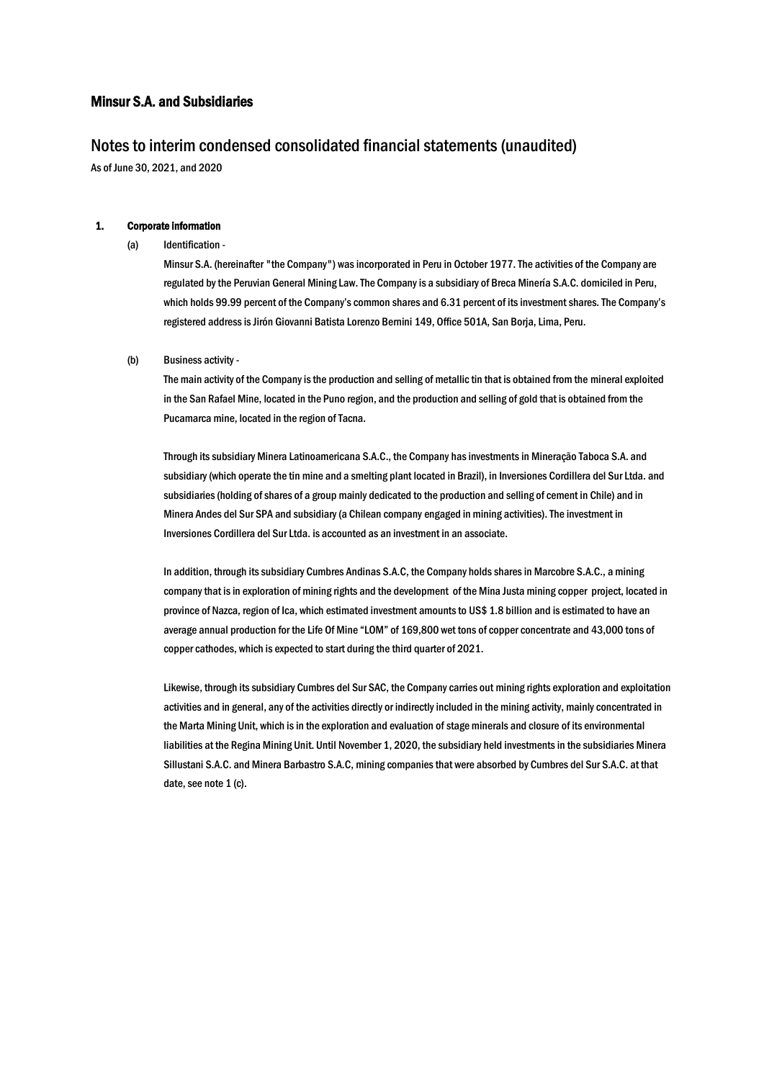### Notes to interim condensed consolidated financial statements (unaudited)

As of June 30, 2021, and 2020

#### 1. Corporate information

(a) Identification -

Minsur S.A. (hereinafter "the Company") was incorporated in Peru in October 1977. The activities of the Company are regulated by the Peruvian General Mining Law. The Company is a subsidiary of Breca Minería S.A.C. domiciled in Peru, which holds 99.99 percent of the Company's common shares and 6.31 percent of its investment shares. The Company's registered address is Jirón Giovanni Batista Lorenzo Bernini 149, Office 501A, San Borja, Lima, Peru.

(b) Business activity -

The main activity of the Company is the production and selling of metallic tin that is obtained from the mineral exploited in the San Rafael Mine, located in the Puno region, and the production and selling of gold that is obtained from the Pucamarca mine, located in the region of Tacna.

Through its subsidiary Minera Latinoamericana S.A.C., the Company hasinvestments in Mineração Taboca S.A. and subsidiary (which operate the tin mine and a smelting plant located in Brazil), in Inversiones Cordillera del Sur Ltda. and subsidiaries (holding of shares of a group mainly dedicated to the production and selling of cement in Chile) and in Minera Andes del Sur SPA and subsidiary (a Chilean company engaged in mining activities). The investment in Inversiones Cordillera del Sur Ltda. is accounted as an investment in an associate.

In addition, through its subsidiary Cumbres Andinas S.A.C, the Company holds shares in Marcobre S.A.C., a mining company that is in exploration of mining rights and the development of the Mina Justa mining copper project, located in province of Nazca, region of Ica, which estimated investment amounts to US\$ 1.8 billion and is estimated to have an average annual production for the Life Of Mine "LOM" of 169,800 wet tons of copper concentrate and 43,000 tons of copper cathodes, which is expected to start during the third quarter of 2021.

Likewise, through its subsidiary Cumbres del Sur SAC, the Company carries out mining rights exploration and exploitation activities and in general, any of the activities directly or indirectly included in the mining activity, mainly concentrated in the Marta Mining Unit, which is in the exploration and evaluation of stage minerals and closure of its environmental liabilities at the Regina Mining Unit. Until November 1, 2020, the subsidiary held investments in the subsidiaries Minera Sillustani S.A.C. and Minera Barbastro S.A.C, mining companies that were absorbed by Cumbres del Sur S.A.C. at that date, see note 1 (c).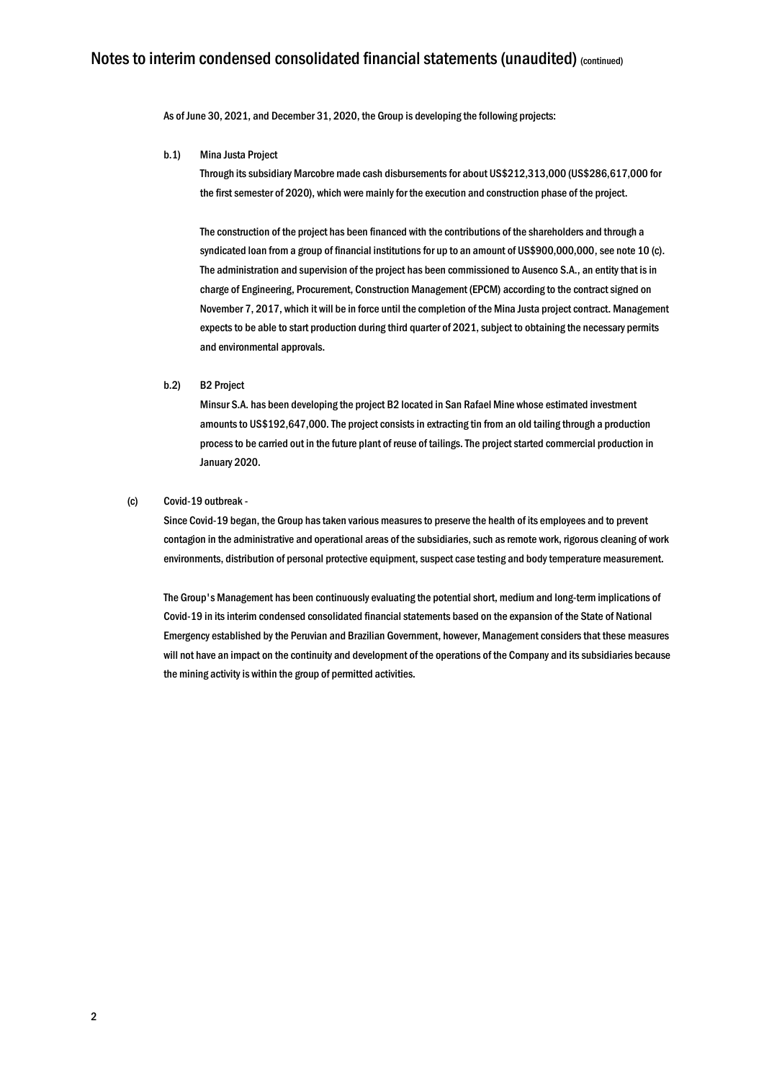As of June 30, 2021, and December 31, 2020, the Group is developing the following projects:

#### b.1) Mina Justa Project

Through its subsidiary Marcobre made cash disbursements for about US\$212,313,000 (US\$286,617,000 for the first semester of 2020), which were mainly for the execution and construction phase of the project.

The construction of the project has been financed with the contributions of the shareholders and through a syndicated loan from a group of financial institutions for up to an amount of US\$900,000,000, see note 10 (c). The administration and supervision of the project has been commissioned to Ausenco S.A., an entity that is in charge of Engineering, Procurement, Construction Management (EPCM) according to the contract signed on November 7, 2017, which it will be in force until the completion of the Mina Justa project contract. Management expects to be able to start production during third quarter of 2021, subject to obtaining the necessary permits and environmental approvals.

#### b.2) B2 Project

Minsur S.A. has been developing the project B2 located in San Rafael Mine whose estimated investment amounts to US\$192,647,000. The project consists in extracting tin from an old tailing through a production process to be carried out in the future plant of reuse of tailings. The project started commercial production in January 2020.

#### (c) Covid-19 outbreak -

Since Covid-19 began, the Group has taken various measures to preserve the health of its employees and to prevent contagion in the administrative and operational areas of the subsidiaries, such as remote work, rigorous cleaning of work environments, distribution of personal protective equipment, suspect case testing and body temperature measurement.

The Group's Management has been continuously evaluating the potential short, medium and long-term implications of Covid-19 in its interim condensed consolidated financial statements based on the expansion of the State of National Emergency established by the Peruvian and Brazilian Government, however, Management considers that these measures will not have an impact on the continuity and development of the operations of the Company and its subsidiaries because the mining activity is within the group of permitted activities.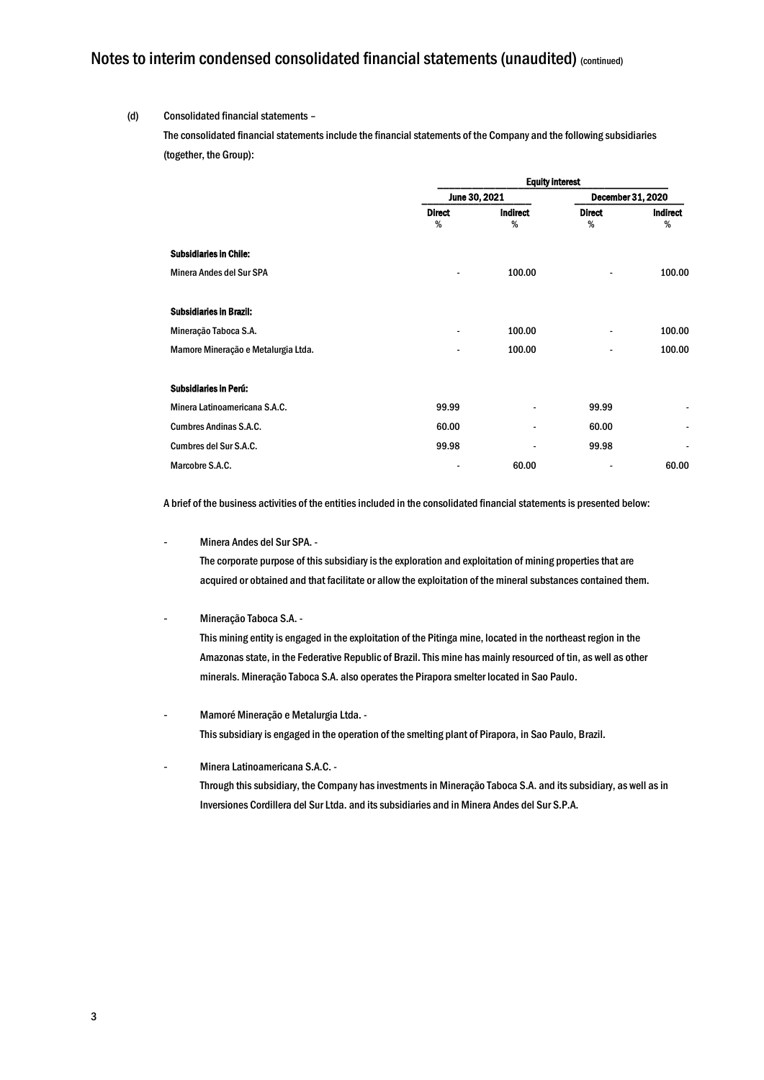#### (d) Consolidated financial statements –

The consolidated financial statements include the financial statements of the Company and the following subsidiaries (together, the Group):

|                                     | <b>Equity interest</b> |                          |                    |                          |  |
|-------------------------------------|------------------------|--------------------------|--------------------|--------------------------|--|
|                                     | June 30, 2021          |                          | December 31, 2020  |                          |  |
|                                     | <b>Direct</b><br>%     | Indirect<br>%            | <b>Direct</b><br>% | <b>Indirect</b><br>%     |  |
| <b>Subsidiaries in Chile:</b>       |                        |                          |                    |                          |  |
| Minera Andes del Sur SPA            |                        | 100.00                   | $\overline{a}$     | 100.00                   |  |
| <b>Subsidiaries in Brazil:</b>      |                        |                          |                    |                          |  |
| Mineração Taboca S.A.               | $\blacksquare$         | 100.00                   | -                  | 100.00                   |  |
| Mamore Mineração e Metalurgia Ltda. |                        | 100.00                   | -                  | 100.00                   |  |
| <b>Subsidiaries in Perú:</b>        |                        |                          |                    |                          |  |
| Minera Latinoamericana S.A.C.       | 99.99                  | $\overline{\phantom{a}}$ | 99.99              | -                        |  |
| <b>Cumbres Andinas S.A.C.</b>       | 60.00                  |                          | 60.00              | $\overline{\phantom{a}}$ |  |
| Cumbres del Sur S.A.C.              | 99.98                  | $\overline{\phantom{a}}$ | 99.98              | -                        |  |
| Marcobre S.A.C.                     |                        | 60.00                    | $\overline{a}$     | 60.00                    |  |

A brief of the business activities of the entities included in the consolidated financial statements is presented below:

- Minera Andes del Sur SPA. -

The corporate purpose of this subsidiary is the exploration and exploitation of mining properties that are acquired or obtained and that facilitate or allow the exploitation of the mineral substances contained them.

- Mineração Taboca S.A. -

This mining entity is engaged in the exploitation of the Pitinga mine, located in the northeast region in the Amazonas state, in the Federative Republic of Brazil. This mine has mainly resourced of tin, as well as other minerals. Mineração Taboca S.A. also operates the Pirapora smelter located in Sao Paulo.

- Mamoré Mineração e Metalurgia Ltda. This subsidiary is engaged in the operation of the smelting plant of Pirapora, in Sao Paulo, Brazil.
- Minera Latinoamericana S.A.C. Through this subsidiary, the Company has investments in Mineração Taboca S.A. and its subsidiary, as well as in Inversiones Cordillera del Sur Ltda. and its subsidiaries and in Minera Andes del Sur S.P.A.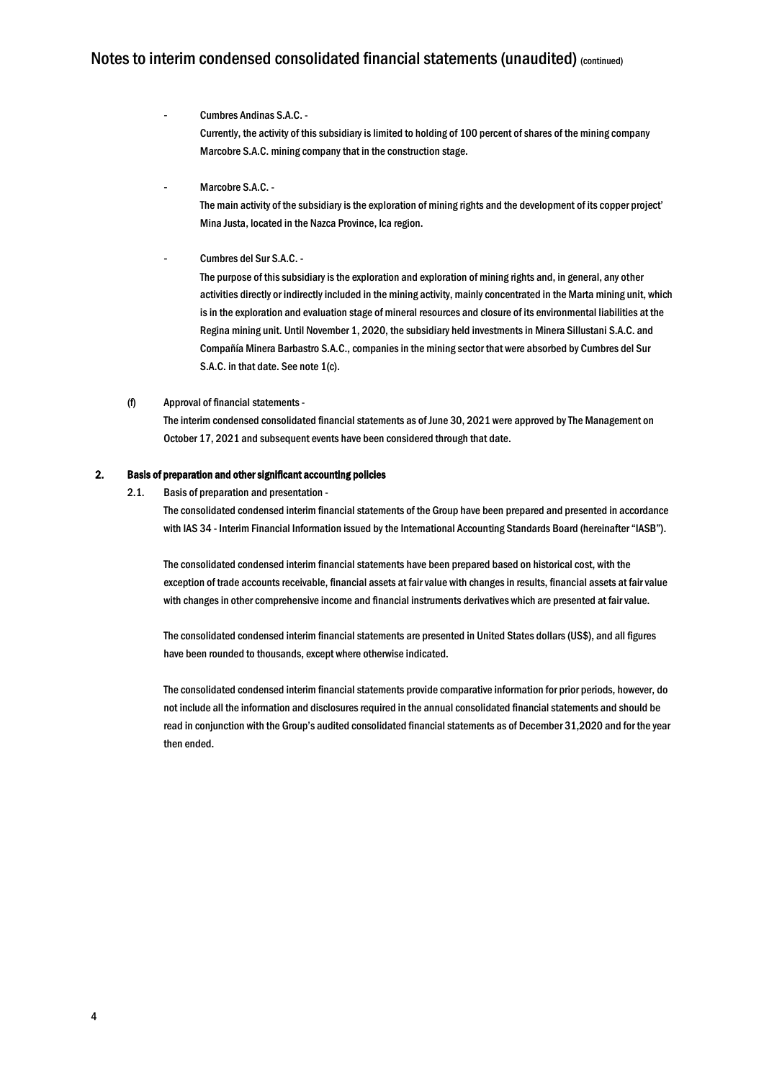- Cumbres Andinas S.A.C. Currently, the activity of this subsidiary is limited to holding of 100 percent of shares of the mining company Marcobre S.A.C. mining company that in the construction stage.
- Marcobre S.A.C. -

The main activity of the subsidiary is the exploration of mining rights and the development of its copper project' Mina Justa, located in the Nazca Province, Ica region.

Cumbres del Sur S.A.C. -

The purpose of this subsidiary is the exploration and exploration of mining rights and, in general, any other activities directly or indirectly included in the mining activity, mainly concentrated in the Marta mining unit, which is in the exploration and evaluation stage of mineral resources and closure of its environmental liabilities at the Regina mining unit. Until November 1, 2020, the subsidiary held investments in Minera Sillustani S.A.C. and Compañía Minera Barbastro S.A.C., companies in the mining sector that were absorbed by Cumbres del Sur S.A.C. in that date. See note 1(c).

#### (f) Approval of financial statements -

The interim condensed consolidated financial statements as of June 30, 2021 were approved by The Management on October 17, 2021 and subsequent events have been considered through that date.

#### 2. Basis of preparation and other significant accounting policies

2.1. Basis of preparation and presentation -

The consolidated condensed interim financial statements of the Group have been prepared and presented in accordance with IAS 34 - Interim Financial Information issued by the International Accounting Standards Board (hereinafter "IASB").

The consolidated condensed interim financial statements have been prepared based on historical cost, with the exception of trade accounts receivable, financial assets at fair value with changes in results, financial assets at fair value with changes in other comprehensive income and financial instruments derivatives which are presented at fair value.

The consolidated condensed interim financial statements are presented in United States dollars (US\$), and all figures have been rounded to thousands, except where otherwise indicated.

The consolidated condensed interim financial statements provide comparative information for prior periods, however, do not include all the information and disclosures required in the annual consolidated financial statements and should be read in conjunction with the Group's audited consolidated financial statements as of December 31,2020 and for the year then ended.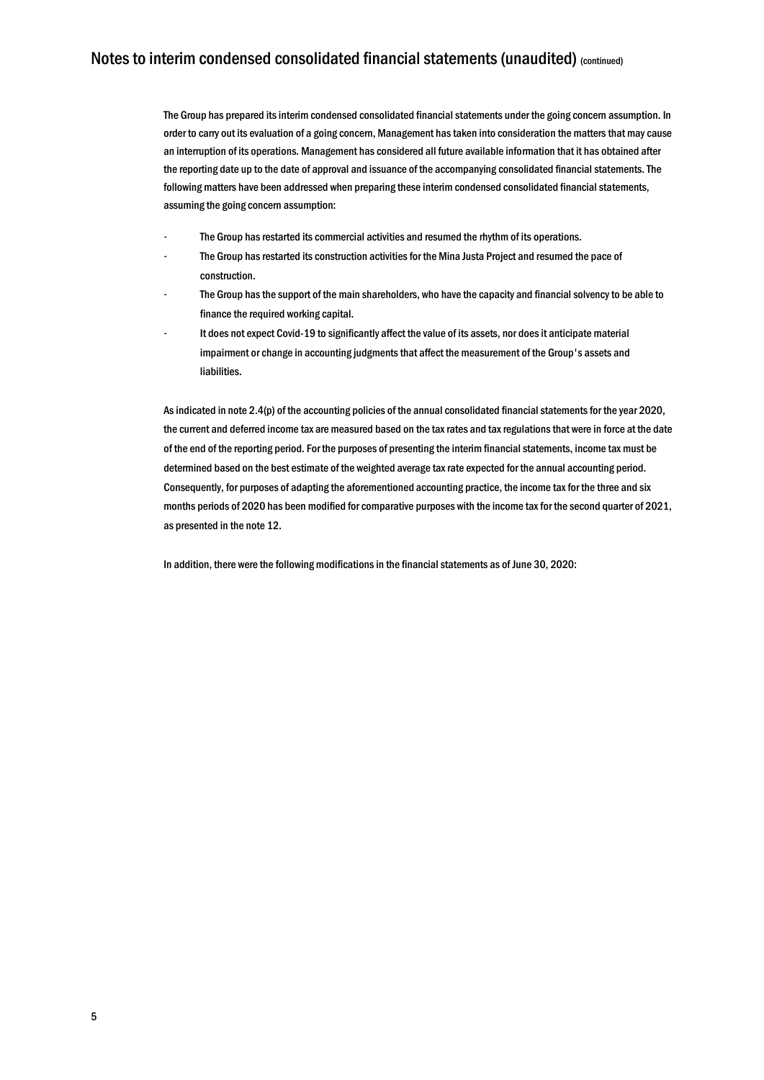The Group has prepared its interim condensed consolidated financial statements under the going concern assumption. In order to carry out its evaluation of a going concern, Management has taken into consideration the matters that may cause an interruption of its operations. Management has considered all future available information that it has obtained after the reporting date up to the date of approval and issuance of the accompanying consolidated financial statements. The following matters have been addressed when preparing these interim condensed consolidated financial statements, assuming the going concern assumption:

- The Group has restarted its commercial activities and resumed the rhythm of its operations.
- The Group has restarted its construction activities for the Mina Justa Project and resumed the pace of construction.
- The Group has the support of the main shareholders, who have the capacity and financial solvency to be able to finance the required working capital.
- It does not expect Covid-19 to significantly affect the value of its assets, nor does it anticipate material impairment or change in accounting judgments that affect the measurement of the Group's assets and liabilities.

As indicated in note 2.4(p) of the accounting policies of the annual consolidated financial statements for the year 2020, the current and deferred income tax are measured based on the tax rates and tax regulations that were in force at the date of the end of the reporting period. For the purposes of presenting the interim financial statements, income tax must be determined based on the best estimate of the weighted average tax rate expected for the annual accounting period. Consequently, for purposes of adapting the aforementioned accounting practice, the income tax for the three and six months periods of 2020 has been modified for comparative purposes with the income tax for the second quarter of 2021, as presented in the note 12.

In addition, there were the following modifications in the financial statements as of June 30, 2020: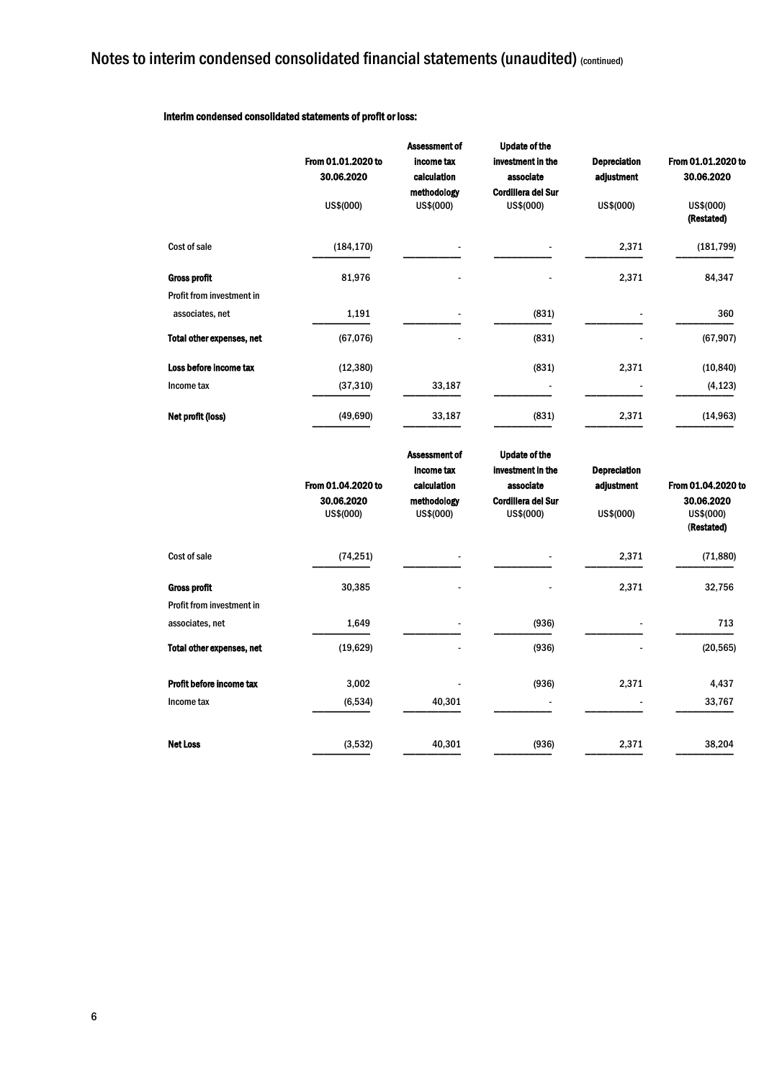#### Interim condensed consolidated statements of profit or loss:

|                                                  | From 01.01.2020 to<br>30.06.2020<br>US\$(000) | <b>Assessment of</b><br>income tax<br>calculation<br>methodology<br>US\$(000) | <b>Update of the</b><br>investment in the<br>associate<br><b>Cordillera del Sur</b><br>US\$(000) | <b>Depreciation</b><br>adjustment<br>US\$(000) | From 01.01.2020 to<br>30.06.2020<br>US\$(000)<br>(Restated) |
|--------------------------------------------------|-----------------------------------------------|-------------------------------------------------------------------------------|--------------------------------------------------------------------------------------------------|------------------------------------------------|-------------------------------------------------------------|
| Cost of sale                                     | (184, 170)                                    |                                                                               |                                                                                                  | 2,371                                          | (181, 799)                                                  |
| <b>Gross profit</b><br>Profit from investment in | 81,976                                        |                                                                               |                                                                                                  | 2,371                                          | 84,347                                                      |
| associates, net                                  | 1,191                                         |                                                                               | (831)                                                                                            |                                                | 360                                                         |
| <b>Total other expenses, net</b>                 | (67, 076)                                     |                                                                               | (831)                                                                                            |                                                | (67, 907)                                                   |
| Loss before income tax                           | (12, 380)                                     |                                                                               | (831)                                                                                            | 2,371                                          | (10, 840)                                                   |
| Income tax                                       | (37, 310)                                     | 33,187                                                                        | $\overline{\phantom{a}}$                                                                         |                                                | (4, 123)                                                    |
| Net profit (loss)                                | (49, 690)                                     | 33,187                                                                        | (831)                                                                                            | 2,371                                          | (14, 963)                                                   |

|                                  | From 01.04.2020 to<br>30.06.2020<br>US\$(000) | <b>Assessment of</b><br>income tax<br>calculation<br>methodology<br>US\$(000) | <b>Update of the</b><br>investment in the<br>associate<br><b>Cordillera del Sur</b><br>US\$(000) | <b>Depreciation</b><br>adjustment<br>US\$(000) | From 01.04.2020 to<br>30.06.2020<br>US\$(000)<br>(Restated) |
|----------------------------------|-----------------------------------------------|-------------------------------------------------------------------------------|--------------------------------------------------------------------------------------------------|------------------------------------------------|-------------------------------------------------------------|
| Cost of sale                     | (74, 251)                                     |                                                                               |                                                                                                  | 2,371                                          | (71, 880)                                                   |
| <b>Gross profit</b>              | 30,385                                        |                                                                               | -                                                                                                | 2,371                                          | 32,756                                                      |
| <b>Profit from investment in</b> |                                               |                                                                               |                                                                                                  |                                                |                                                             |
| associates, net                  | 1,649                                         |                                                                               | (936)                                                                                            |                                                | 713                                                         |
| <b>Total other expenses, net</b> | (19, 629)                                     |                                                                               | (936)                                                                                            |                                                | (20, 565)                                                   |
| Profit before income tax         | 3,002                                         |                                                                               | (936)                                                                                            | 2,371                                          | 4,437                                                       |
| Income tax                       | (6, 534)                                      | 40,301                                                                        |                                                                                                  |                                                | 33,767                                                      |
| <b>Net Loss</b>                  | (3,532)                                       | 40,301                                                                        | (936)                                                                                            | 2,371                                          | 38,204                                                      |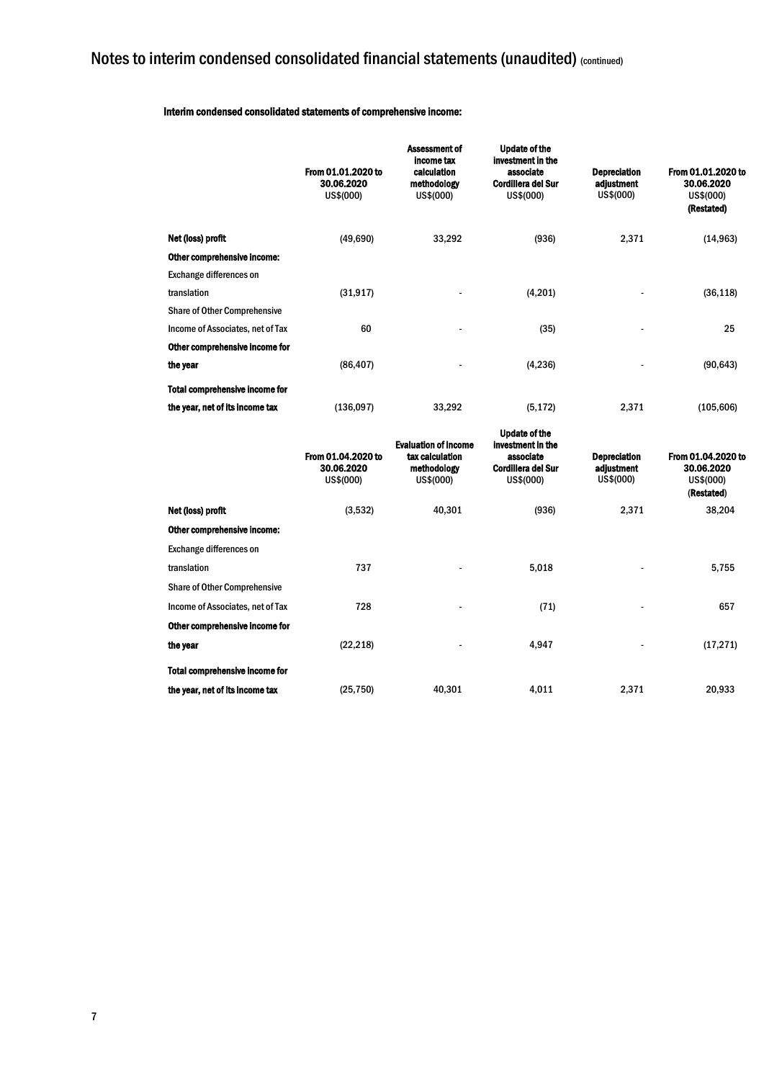#### Interim condensed consolidated statements of comprehensive income:

|                                       | From 01.01.2020 to<br>30.06.2020<br>US\$(000) | <b>Assessment of</b><br>income tax<br>calculation<br>methodology<br>US\$(000) | <b>Update of the</b><br>investment in the<br>associate<br><b>Cordillera del Sur</b><br>US\$(000) | <b>Depreciation</b><br>adjustment<br>US\$(000) | From 01.01.2020 to<br>30.06.2020<br>US\$(000)<br>(Restated) |
|---------------------------------------|-----------------------------------------------|-------------------------------------------------------------------------------|--------------------------------------------------------------------------------------------------|------------------------------------------------|-------------------------------------------------------------|
| Net (loss) profit                     | (49,690)                                      | 33,292                                                                        | (936)                                                                                            | 2,371                                          | (14, 963)                                                   |
| Other comprehensive income:           |                                               |                                                                               |                                                                                                  |                                                |                                                             |
| Exchange differences on               |                                               |                                                                               |                                                                                                  |                                                |                                                             |
| translation                           | (31, 917)                                     | ٠                                                                             | (4,201)                                                                                          | $\overline{\phantom{a}}$                       | (36, 118)                                                   |
| <b>Share of Other Comprehensive</b>   |                                               |                                                                               |                                                                                                  |                                                |                                                             |
| Income of Associates, net of Tax      | 60                                            | ٠                                                                             | (35)                                                                                             | $\overline{a}$                                 | 25                                                          |
| Other comprehensive income for        |                                               |                                                                               |                                                                                                  |                                                |                                                             |
| the year                              | (86, 407)                                     | ٠                                                                             | (4,236)                                                                                          | $\overline{a}$                                 | (90, 643)                                                   |
| <b>Total comprehensive income for</b> |                                               |                                                                               |                                                                                                  |                                                |                                                             |
| the year, net of its income tax       | (136,097)                                     | 33,292                                                                        | (5, 172)                                                                                         | 2,371                                          | (105, 606)                                                  |

|                                       | From 01.04.2020 to<br>30.06.2020<br>US\$(000) | <b>Evaluation of income</b><br>tax calculation<br>methodology<br>US\$(000) | <b>Update of the</b><br>investment in the<br>associate<br><b>Cordillera del Sur</b><br>US\$(000) | <b>Depreciation</b><br>adjustment<br>US\$(000) | From 01.04.2020 to<br>30.06.2020<br>US\$(000)<br>(Restated) |
|---------------------------------------|-----------------------------------------------|----------------------------------------------------------------------------|--------------------------------------------------------------------------------------------------|------------------------------------------------|-------------------------------------------------------------|
| Net (loss) profit                     | (3,532)                                       | 40,301                                                                     | (936)                                                                                            | 2,371                                          | 38,204                                                      |
| Other comprehensive income:           |                                               |                                                                            |                                                                                                  |                                                |                                                             |
| <b>Exchange differences on</b>        |                                               |                                                                            |                                                                                                  |                                                |                                                             |
| translation                           | 737                                           |                                                                            | 5,018                                                                                            |                                                | 5,755                                                       |
| <b>Share of Other Comprehensive</b>   |                                               |                                                                            |                                                                                                  |                                                |                                                             |
| Income of Associates, net of Tax      | 728                                           | -                                                                          | (71)                                                                                             | $\overline{\phantom{a}}$                       | 657                                                         |
| Other comprehensive income for        |                                               |                                                                            |                                                                                                  |                                                |                                                             |
| the year                              | (22, 218)                                     |                                                                            | 4,947                                                                                            |                                                | (17, 271)                                                   |
| <b>Total comprehensive income for</b> |                                               |                                                                            |                                                                                                  |                                                |                                                             |
| the year, net of its income tax       | (25, 750)                                     | 40,301                                                                     | 4,011                                                                                            | 2,371                                          | 20,933                                                      |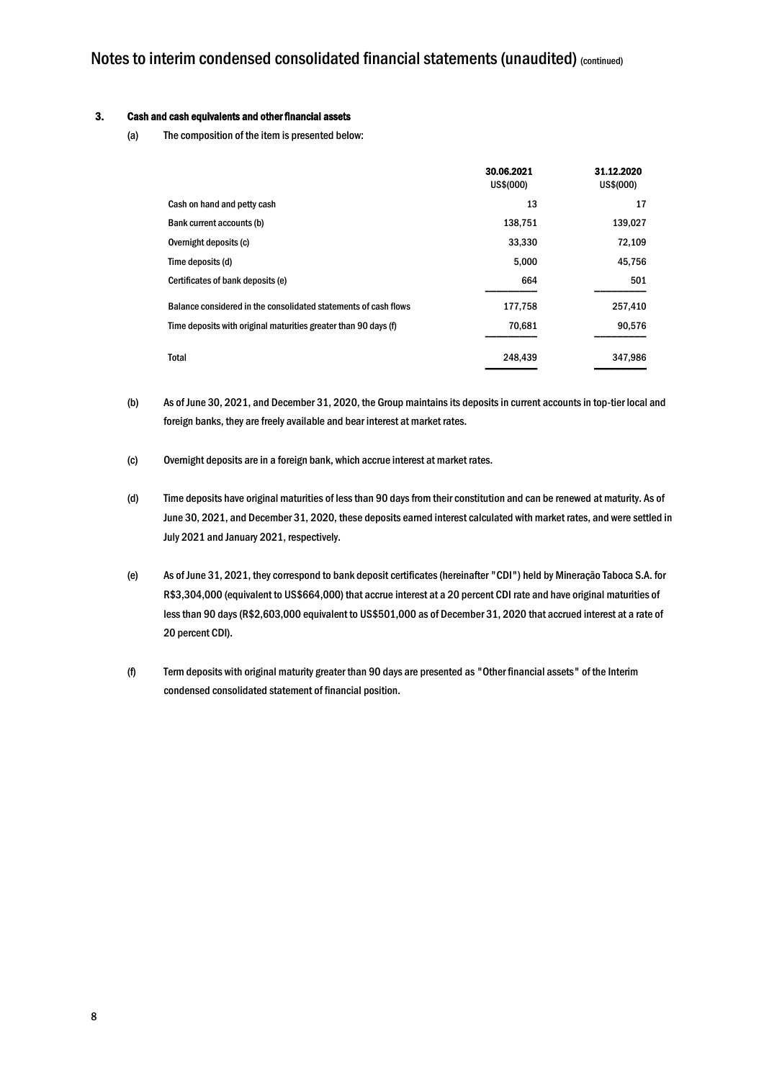#### 3. Cash and cash equivalents and other financial assets

(a) The composition of the item is presented below:

|                                                                 | 30.06.2021<br>US\$(000) | 31.12.2020<br>US\$(000) |
|-----------------------------------------------------------------|-------------------------|-------------------------|
| Cash on hand and petty cash                                     | 13                      | 17                      |
| Bank current accounts (b)                                       | 138,751                 | 139,027                 |
| Overnight deposits (c)                                          | 33,330                  | 72,109                  |
| Time deposits (d)                                               | 5,000                   | 45,756                  |
| Certificates of bank deposits (e)                               | 664                     | 501                     |
| Balance considered in the consolidated statements of cash flows | 177,758                 | 257,410                 |
| Time deposits with original maturities greater than 90 days (f) | 70,681                  | 90,576                  |
| Total                                                           | 248,439                 | 347,986                 |

- (b) As of June 30, 2021, and December 31, 2020, the Group maintains its deposits in current accounts in top-tier local and foreign banks, they are freely available and bear interest at market rates.
- (c) Overnight deposits are in a foreign bank, which accrue interest at market rates.
- (d) Time deposits have original maturities of less than 90 days from their constitution and can be renewed at maturity. As of June 30, 2021, and December 31, 2020, these deposits earned interest calculated with market rates, and were settled in July 2021 and January 2021, respectively.
- (e) As of June 31, 2021, they correspond to bank deposit certificates (hereinafter "CDI") held by Mineração Taboca S.A. for R\$3,304,000 (equivalent to US\$664,000) that accrue interest at a 20 percent CDI rate and have original maturities of less than 90 days (R\$2,603,000 equivalent to US\$501,000 as of December 31, 2020 that accrued interest at a rate of 20 percent CDI).
- (f) Term deposits with original maturity greater than 90 days are presented as "Other financial assets" of the Interim condensed consolidated statement of financial position.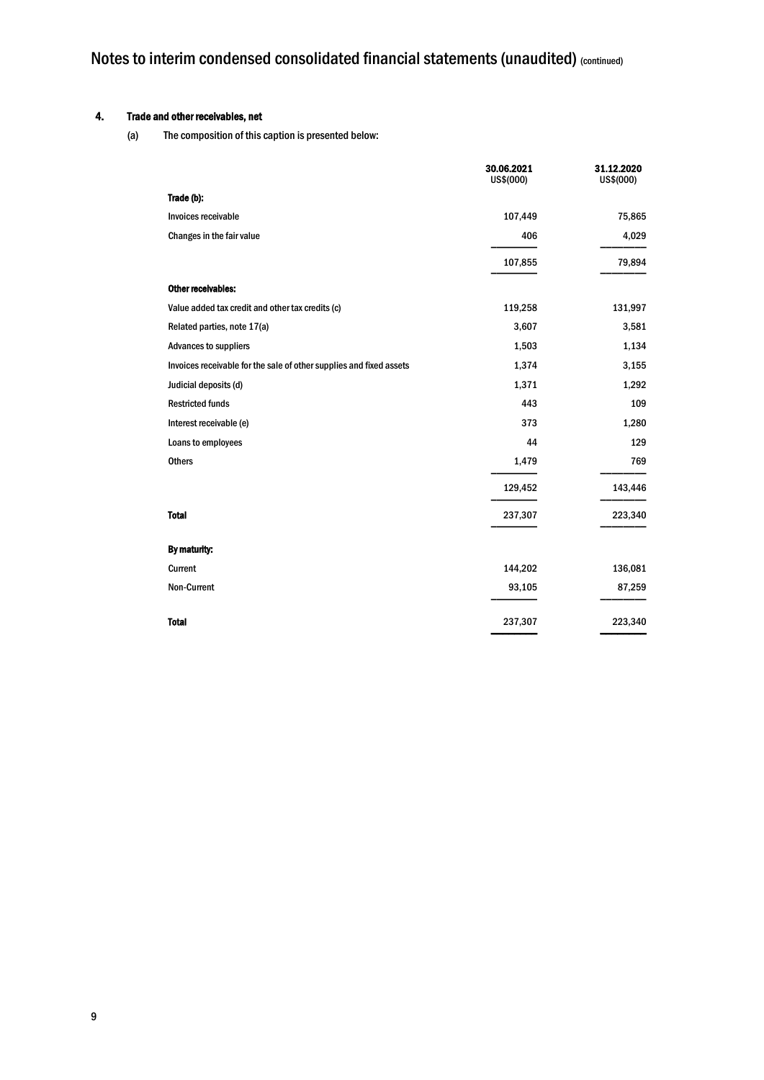### 4. Trade and other receivables, net

(a) The composition of this caption is presented below:

|                                                                     | 30.06.2021<br>US\$(000) | 31.12.2020<br>US\$(000) |
|---------------------------------------------------------------------|-------------------------|-------------------------|
| Trade (b):                                                          |                         |                         |
| Invoices receivable                                                 | 107,449                 | 75,865                  |
| Changes in the fair value                                           | 406                     | 4,029                   |
|                                                                     | 107,855                 | 79,894                  |
| Other receivables:                                                  |                         |                         |
| Value added tax credit and other tax credits (c)                    | 119,258                 | 131,997                 |
| Related parties, note 17(a)                                         | 3,607                   | 3,581                   |
| <b>Advances to suppliers</b>                                        | 1,503                   | 1,134                   |
| Invoices receivable for the sale of other supplies and fixed assets | 1,374                   | 3,155                   |
| Judicial deposits (d)                                               | 1,371                   | 1,292                   |
| <b>Restricted funds</b>                                             | 443                     | 109                     |
| Interest receivable (e)                                             | 373                     | 1,280                   |
| Loans to employees                                                  | 44                      | 129                     |
| <b>Others</b>                                                       | 1,479                   | 769                     |
|                                                                     | 129,452                 | 143,446                 |
| <b>Total</b>                                                        | 237,307                 | 223,340                 |
| By maturity:                                                        |                         |                         |
| Current                                                             | 144,202                 | 136,081                 |
| Non-Current                                                         | 93,105                  | 87,259                  |
| <b>Total</b>                                                        | 237,307                 | 223,340                 |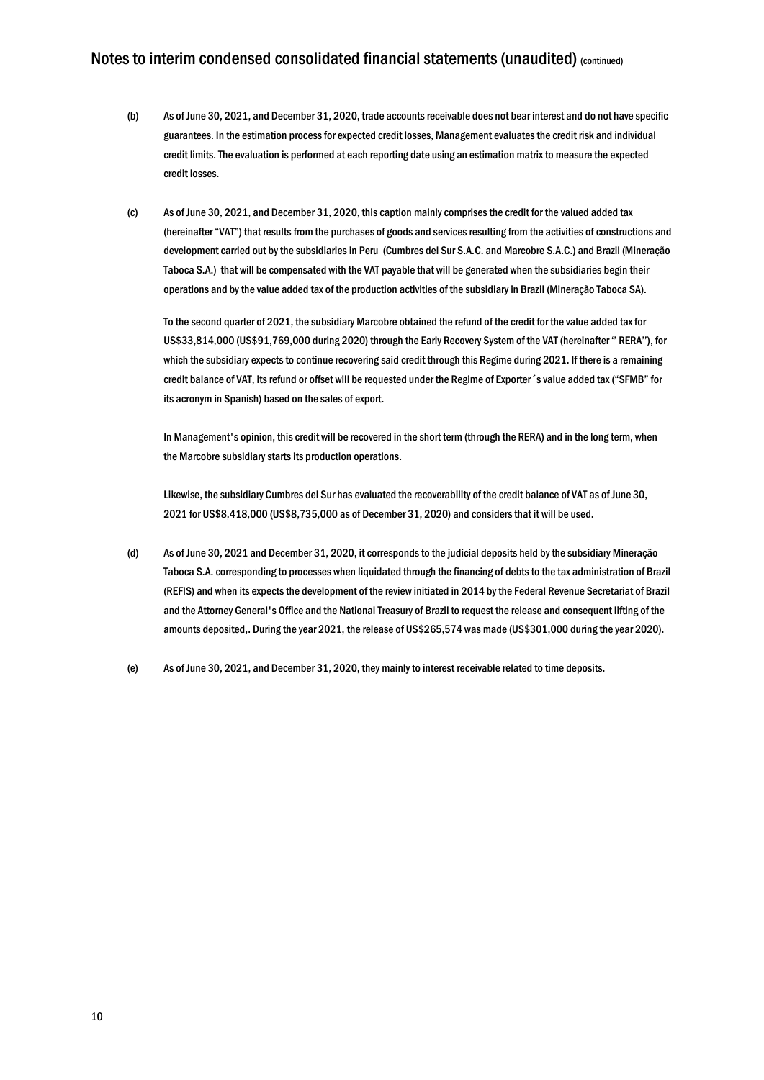- (b) As of June 30, 2021, and December 31, 2020, trade accounts receivable does not bear interest and do not have specific guarantees. In the estimation process for expected credit losses, Management evaluates the credit risk and individual credit limits. The evaluation is performed at each reporting date using an estimation matrix to measure the expected credit losses.
- (c) As of June 30, 2021, and December 31, 2020, this caption mainly comprises the credit for the valued added tax (hereinafter "VAT") that results from the purchases of goods and services resulting from the activities of constructions and development carried out by the subsidiaries in Peru (Cumbres del Sur S.A.C. and Marcobre S.A.C.) and Brazil (Mineração Taboca S.A.) that will be compensated with the VAT payable that will be generated when the subsidiaries begin their operations and by the value added tax of the production activities of the subsidiary in Brazil (Mineração Taboca SA).

To the second quarter of 2021, the subsidiary Marcobre obtained the refund of the credit for the value added tax for US\$33,814,000 (US\$91,769,000 during 2020) through the Early Recovery System of the VAT (hereinafter '' RERA''), for which the subsidiary expects to continue recovering said credit through this Regime during 2021. If there is a remaining credit balance of VAT, its refund or offset will be requested under the Regime of Exporter´s value added tax ("SFMB" for its acronym in Spanish) based on the sales of export.

In Management's opinion, this credit will be recovered in the short term (through the RERA) and in the long term, when the Marcobre subsidiary starts its production operations.

Likewise, the subsidiary Cumbres del Sur has evaluated the recoverability of the credit balance of VAT as of June 30, 2021 for US\$8,418,000 (US\$8,735,000 as of December 31, 2020) and considers that it will be used.

- (d) As of June 30, 2021 and December 31, 2020, it corresponds to the judicial deposits held by the subsidiary Mineração Taboca S.A. corresponding to processes when liquidated through the financing of debts to the tax administration of Brazil (REFIS) and when its expects the development of the review initiated in 2014 by the Federal Revenue Secretariat of Brazil and the Attorney General's Office and the National Treasury of Brazil to request the release and consequent lifting of the amounts deposited,. During the year 2021, the release of US\$265,574 was made (US\$301,000 during the year 2020).
- (e) As of June 30, 2021, and December 31, 2020, they mainly to interest receivable related to time deposits.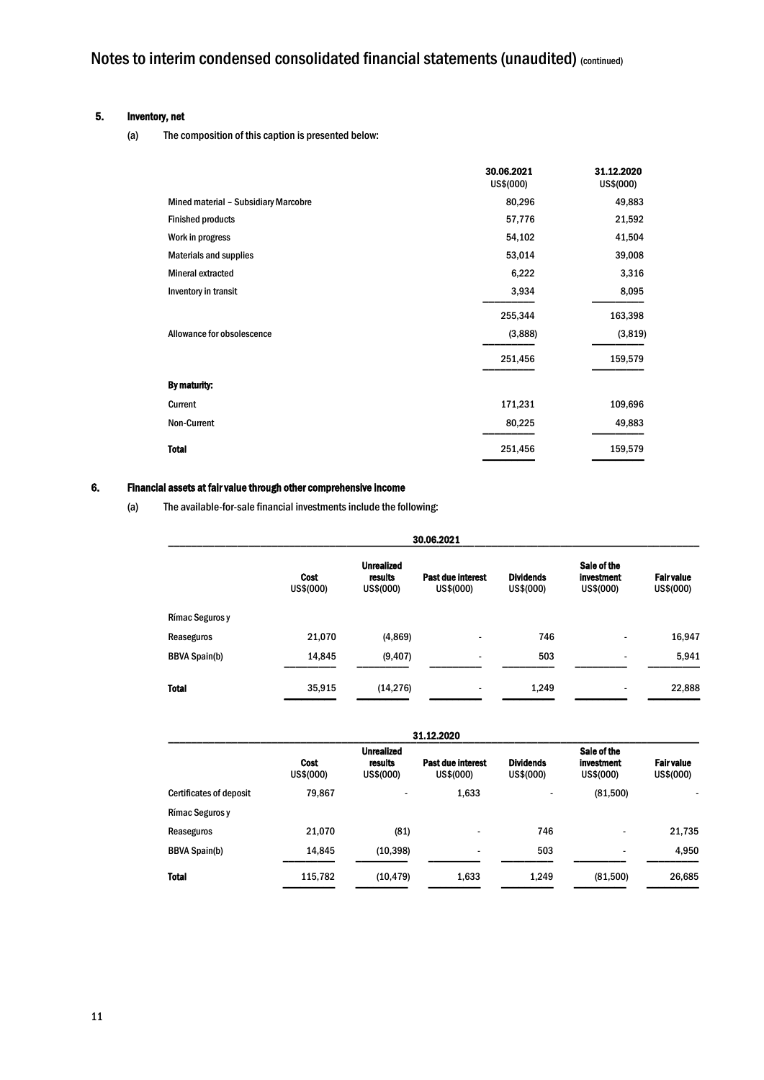#### 5. Inventory, net

(a) The composition of this caption is presented below:

|                                      | 30.06.2021<br>US\$(000) | 31.12.2020<br>US\$(000) |
|--------------------------------------|-------------------------|-------------------------|
| Mined material - Subsidiary Marcobre | 80,296                  | 49,883                  |
| <b>Finished products</b>             | 57,776                  | 21,592                  |
| Work in progress                     | 54,102                  | 41,504                  |
| <b>Materials and supplies</b>        | 53,014                  | 39,008                  |
| <b>Mineral extracted</b>             | 6,222                   | 3,316                   |
| Inventory in transit                 | 3,934                   | 8,095                   |
|                                      | 255,344                 | 163,398                 |
| Allowance for obsolescence           | (3,888)                 | (3, 819)                |
|                                      | 251,456                 | 159,579                 |
| By maturity:                         |                         |                         |
| Current                              | 171,231                 | 109,696                 |
| Non-Current                          | 80,225                  | 49,883                  |
| <b>Total</b>                         | 251,456                 | 159,579                 |

#### 6. Financial assets at fair value through other comprehensive income

(a) The available-for-sale financial investments include the following:

| 30.06.2021           |                          |                                           |                                |                               |                                        |                                |
|----------------------|--------------------------|-------------------------------------------|--------------------------------|-------------------------------|----------------------------------------|--------------------------------|
|                      | <b>Cost</b><br>US\$(000) | <b>Unrealized</b><br>results<br>US\$(000) | Past due interest<br>US\$(000) | <b>Dividends</b><br>US\$(000) | Sale of the<br>investment<br>US\$(000) | <b>Fair value</b><br>US\$(000) |
| Rímac Seguros y      |                          |                                           |                                |                               |                                        |                                |
| Reaseguros           | 21,070                   | (4, 869)                                  |                                | 746                           |                                        | 16,947                         |
| <b>BBVA Spain(b)</b> | 14,845                   | (9, 407)                                  |                                | 503                           |                                        | 5,941                          |
| <b>Total</b>         | 35,915                   | (14, 276)                                 |                                | 1,249                         |                                        | 22,888                         |

|                                |                          |                                           | 31.12.2020                     |                               |                                               |                               |
|--------------------------------|--------------------------|-------------------------------------------|--------------------------------|-------------------------------|-----------------------------------------------|-------------------------------|
|                                | <b>Cost</b><br>US\$(000) | <b>Unrealized</b><br>results<br>US\$(000) | Past due interest<br>US\$(000) | <b>Dividends</b><br>US\$(000) | Sale of the<br><b>investment</b><br>US\$(000) | <b>Fairvalue</b><br>US\$(000) |
| <b>Certificates of deposit</b> | 79.867                   |                                           | 1,633                          |                               | (81,500)                                      |                               |
| Rímac Seguros y                |                          |                                           |                                |                               |                                               |                               |
| Reaseguros                     | 21.070                   | (81)                                      |                                | 746                           | $\overline{\phantom{a}}$                      | 21,735                        |
| <b>BBVA Spain(b)</b>           | 14,845                   | (10, 398)                                 | $\overline{\phantom{a}}$       | 503                           | $\overline{\phantom{a}}$                      | 4,950                         |
| <b>Total</b>                   | 115,782                  | (10, 479)                                 | 1,633                          | 1,249                         | (81,500)                                      | 26,685                        |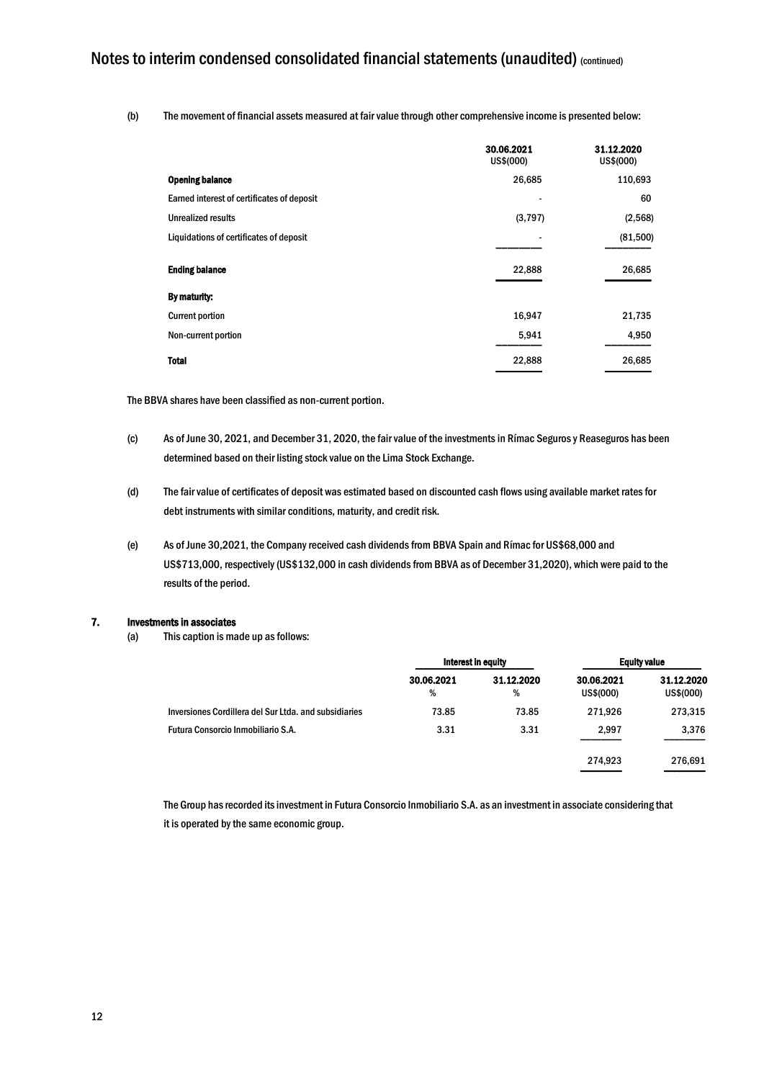(b) The movement of financial assets measured at fair value through other comprehensive income is presented below:

|                                            | 30.06.2021<br>US\$(000) | 31.12.2020<br>US\$(000) |
|--------------------------------------------|-------------------------|-------------------------|
| <b>Opening balance</b>                     | 26,685                  | 110,693                 |
| Earned interest of certificates of deposit |                         | 60                      |
| Unrealized results                         | (3,797)                 | (2,568)                 |
| Liquidations of certificates of deposit    |                         | (81,500)                |
| <b>Ending balance</b>                      | 22,888                  | 26,685                  |
| By maturity:                               |                         |                         |
| <b>Current portion</b>                     | 16,947                  | 21,735                  |
| Non-current portion                        | 5,941                   | 4,950                   |
| <b>Total</b>                               | 22,888                  | 26,685                  |

The BBVA shares have been classified as non-current portion.

- (c) As of June 30, 2021, and December 31, 2020, the fair value of the investments in Rímac Seguros y Reaseguros has been determined based on their listing stock value on the Lima Stock Exchange.
- (d) The fair value of certificates of deposit was estimated based on discounted cash flows using available market rates for debt instruments with similar conditions, maturity, and credit risk.
- (e) As of June 30,2021, the Company received cash dividends from BBVA Spain and Rímac for US\$68,000 and US\$713,000, respectively (US\$132,000 in cash dividends from BBVA as of December 31,2020), which were paid to the results of the period.

#### 7. Investments in associates

(a) This caption is made up as follows:

|                                                       | Interest in equity |                 | <b>Equity value</b>     |                         |
|-------------------------------------------------------|--------------------|-----------------|-------------------------|-------------------------|
|                                                       | 30.06.2021<br>%    | 31.12.2020<br>% | 30.06.2021<br>US\$(000) | 31.12.2020<br>US\$(000) |
| Inversiones Cordillera del Sur Ltda, and subsidiaries | 73.85              | 73.85           | 271,926                 | 273,315                 |
| Futura Consorcio Inmobiliario S.A.                    | 3.31               | 3.31            | 2,997                   | 3,376                   |
|                                                       |                    |                 | 274.923                 | 276,691                 |

The Group has recorded its investment in Futura Consorcio Inmobiliario S.A. as an investment in associate considering that it is operated by the same economic group.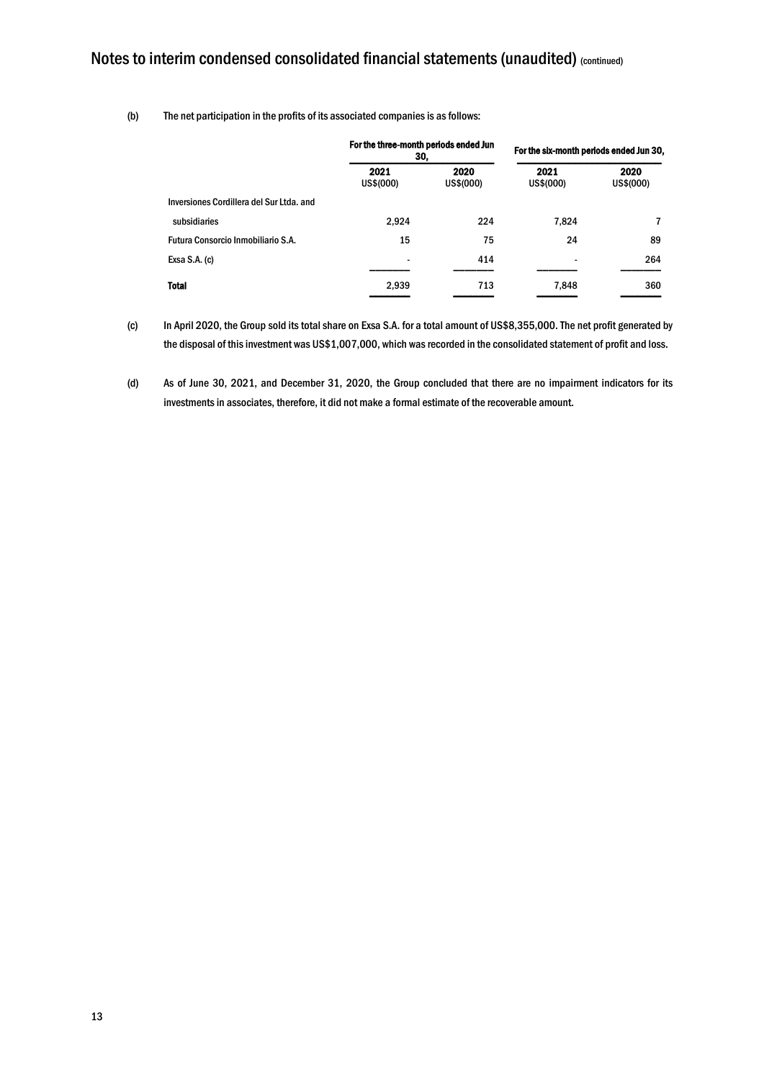#### (b) The net participation in the profits of its associated companies is as follows:

|                                          | For the three-month periods ended Jun<br>30, |                   | For the six-month periods ended Jun 30, |                   |  |
|------------------------------------------|----------------------------------------------|-------------------|-----------------------------------------|-------------------|--|
|                                          | 2021<br>US\$(000)                            | 2020<br>US\$(000) |                                         | 2020<br>US\$(000) |  |
| Inversiones Cordillera del Sur Ltda, and |                                              |                   |                                         |                   |  |
| subsidiaries                             | 2,924                                        | 224               | 7,824                                   |                   |  |
| Futura Consorcio Inmobiliario S.A.       | 15                                           | 75                | 24                                      | 89                |  |
| Exsa $S.A.$ (c)                          | $\overline{\phantom{a}}$                     | 414               |                                         | 264               |  |
| <b>Total</b>                             | 2,939                                        | 713               | 7,848                                   | 360               |  |

(c) In April 2020, the Group sold its total share on Exsa S.A. for a total amount of US\$8,355,000. The net profit generated by the disposal of this investment was US\$1,007,000, which was recorded in the consolidated statement of profit and loss.

(d) As of June 30, 2021, and December 31, 2020, the Group concluded that there are no impairment indicators for its investments in associates, therefore, it did not make a formal estimate of the recoverable amount.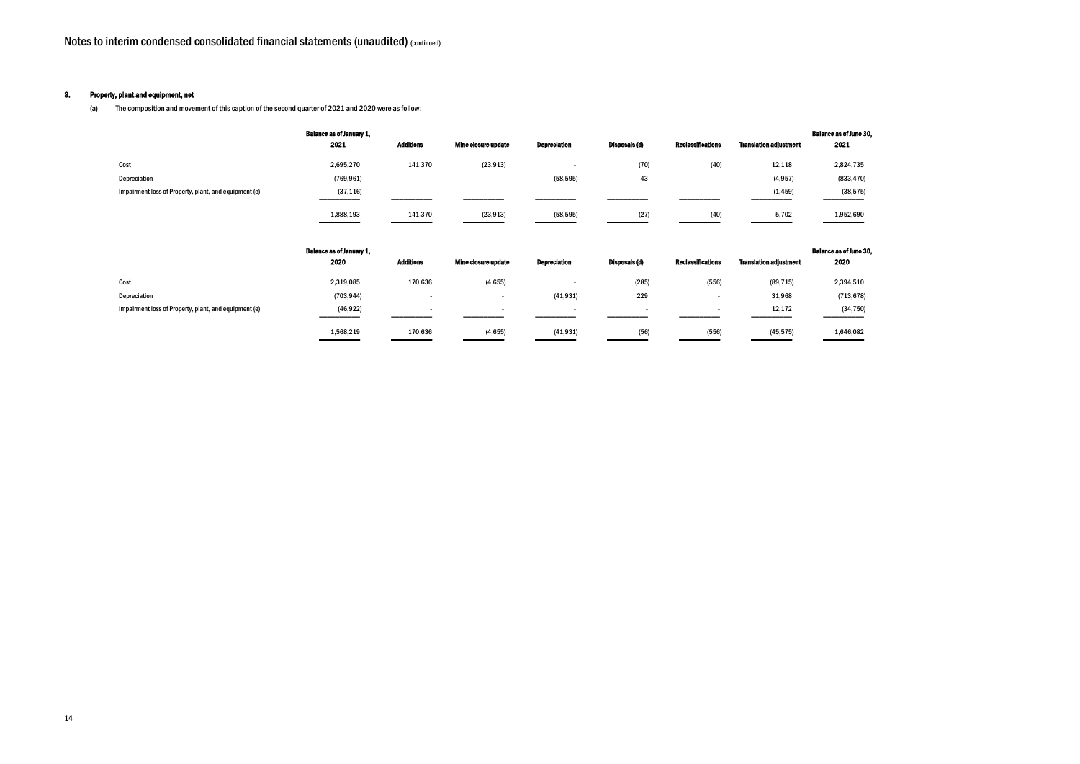#### 8. Property, plant and equipment, net

(a) The composition and movement of this caption of the second quarter of 2021 and 2020 were as follow:

#### Balance as of June 30, 2021

|                                                       | <b>Balance as of January 1,</b><br>2021 | Additions                | Mine closure update      | <b>Depreciation</b> | Disposals (d)            | <b>Reclassifications</b> | <b>Translation adjustment</b> | <b>Balance as of June 3</b><br>2021 |
|-------------------------------------------------------|-----------------------------------------|--------------------------|--------------------------|---------------------|--------------------------|--------------------------|-------------------------------|-------------------------------------|
| Cost                                                  | 2,695,270                               | 141,370                  | (23, 913)                |                     | (70)                     | (40)                     | 12,118                        | 2,824,735                           |
| Depreciation                                          | (769, 961)                              | $\overline{\phantom{a}}$ | $\overline{\phantom{a}}$ | (58, 595)           | 43                       | $\,$                     | (4, 957)                      | (833, 470)                          |
| Impairment loss of Property, plant, and equipment (e) | (37, 116)                               | $\overline{\phantom{a}}$ | $\overline{\phantom{a}}$ |                     | $\overline{\phantom{a}}$ | $\,$                     | (1, 459)                      | (38, 575)                           |
|                                                       | 1,888,193                               | 141,370                  | (23, 913)                | (58, 595)           | (27)                     | (40)                     | 5,702                         | 1,952,690                           |
|                                                       | <b>Balance as of January 1.</b>         |                          |                          |                     |                          |                          |                               | <b>Balance as of lune 3</b>         |

#### Balance as of June 30, 2020

|                                                       | <b>Dalally as VI Jallualy 1.</b> |                  |                     |                     |                      |                          |                               | <b>Dalalluc as VI Julie Q</b> |
|-------------------------------------------------------|----------------------------------|------------------|---------------------|---------------------|----------------------|--------------------------|-------------------------------|-------------------------------|
|                                                       | 2020                             | <b>Additions</b> | Mine closure update | <b>Depreciation</b> | <b>Disposals (d)</b> | <b>Reclassifications</b> | <b>Translation adiustment</b> | 2020                          |
| Cost                                                  | 2,319,085                        | 170,636          | (4,655)             |                     | (285)                | (556)                    | (89, 715)                     | 2,394,510                     |
| Depreciation                                          | (703, 944)                       |                  |                     | (41, 931)           | 229                  |                          | 31,968                        | (713, 678)                    |
| Impairment loss of Property, plant, and equipment (e) | (46, 922)                        |                  |                     |                     |                      |                          | 12,172                        | (34, 750)                     |
|                                                       | 1,568,219                        | 170,636          | (4, 655)            | (41, 931)           | (56)                 | (556)                    | (45, 575)                     | 1,646,082                     |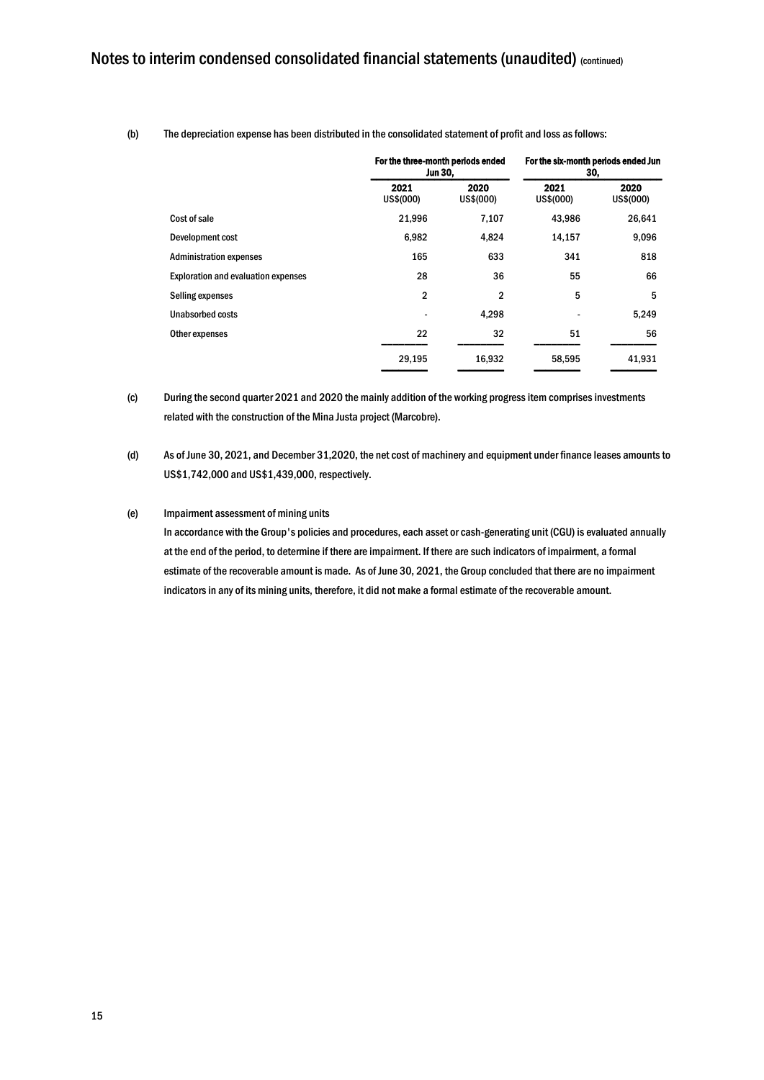|                                            | For the three-month periods ended<br>Jun 30. |                   | For the six-month periods ended Jun<br>30. |                   |  |
|--------------------------------------------|----------------------------------------------|-------------------|--------------------------------------------|-------------------|--|
|                                            | 2021<br>US\$(000)                            | 2020<br>US\$(000) |                                            | 2020<br>US\$(000) |  |
| Cost of sale                               | 21,996                                       | 7,107             | 43,986                                     | 26,641            |  |
| Development cost                           | 6,982                                        | 4,824             | 14,157                                     | 9,096             |  |
| <b>Administration expenses</b>             | 165                                          | 633               | 341                                        | 818               |  |
| <b>Exploration and evaluation expenses</b> | 28                                           | 36                | 55                                         | 66                |  |
| Selling expenses                           | $\mathbf{2}$                                 | $\overline{2}$    | 5                                          | 5                 |  |
| <b>Unabsorbed costs</b>                    |                                              | 4,298             |                                            | 5,249             |  |
| Other expenses                             | 22                                           | 32                | 51                                         | 56                |  |
|                                            | 29,195                                       | 16,932            | 58,595                                     | 41,931            |  |

(b) The depreciation expense has been distributed in the consolidated statement of profit and loss as follows:

(c) During the second quarter 2021 and 2020 the mainly addition of the working progressitem comprises investments related with the construction of the Mina Justa project (Marcobre).

(d) As of June 30, 2021, and December 31,2020, the net cost of machinery and equipment under finance leases amounts to US\$1,742,000 and US\$1,439,000, respectively.

#### (e) Impairment assessment of mining units

In accordance with the Group's policies and procedures, each asset or cash-generating unit (CGU) is evaluated annually at the end of the period, to determine if there are impairment. If there are such indicators of impairment, a formal estimate of the recoverable amount is made. As of June 30, 2021, the Group concluded that there are no impairment indicatorsin any of its mining units, therefore, it did not make a formal estimate of the recoverable amount.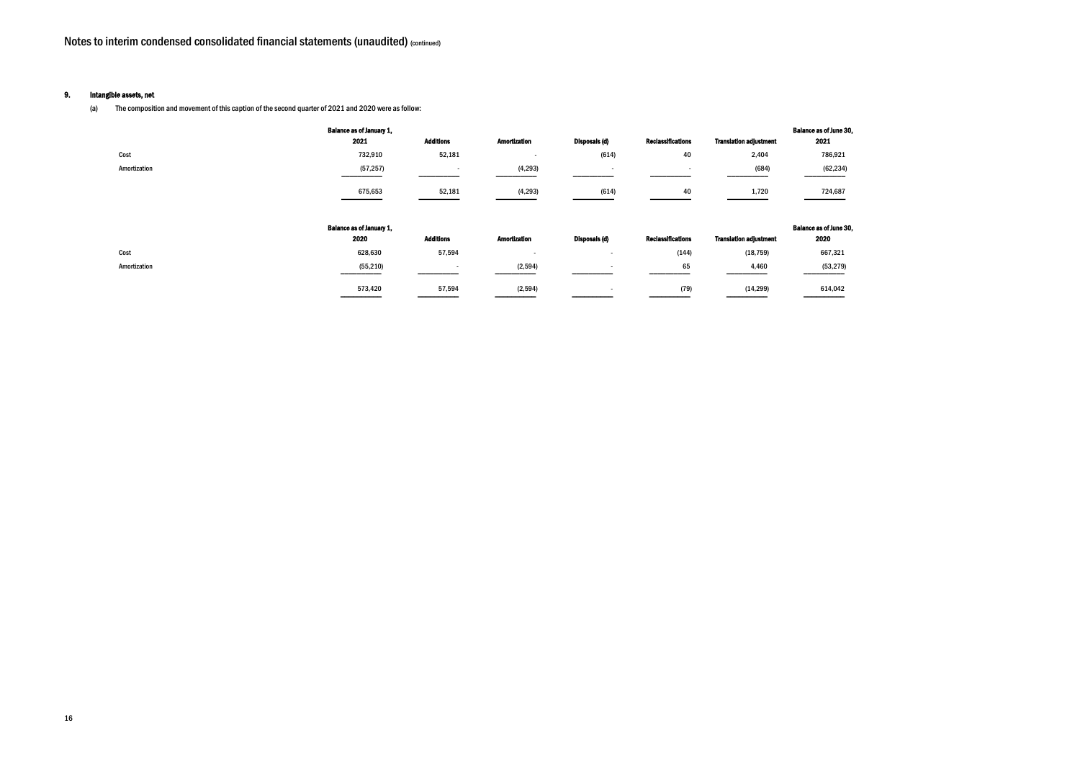#### 9. Intangible assets, net

(a) The composition and movement of this caption of the second quarter of 2021 and 2020 were as follow:

#### ce as of June 30, 2021

| 786.921  |
|----------|
| (62,234) |
|          |

#### ce as of June 30, 2020

| 667,321   |
|-----------|
| (53, 279) |

|              | <b>Balance as of January 1,</b><br>2021 | <b>Additions</b> | <b>Amortization</b>      | Disposals (d) | <b>Reclassifications</b> | <b>Translation adjustment</b> | <b>Balance as of June 3</b><br>2021 |
|--------------|-----------------------------------------|------------------|--------------------------|---------------|--------------------------|-------------------------------|-------------------------------------|
| Cost         | 732,910                                 | 52,181           | $\overline{\phantom{a}}$ | (614)         | 40                       | 2,404                         | 786,921                             |
| Amortization | (57, 257)                               |                  | (4, 293)                 |               |                          | (684)                         | (62, 234)                           |
|              | 675,653                                 | 52,181           | (4, 293)                 | (614)         | 40                       | 1,720                         | 724,687                             |
|              |                                         |                  |                          |               |                          |                               |                                     |
|              | <b>Balance as of January 1,</b><br>2020 | <b>Additions</b> | <b>Amortization</b>      | Disposals (d) | <b>Reclassifications</b> | <b>Translation adjustment</b> | <b>Balance as of June 3</b><br>2020 |
| Cost         | 628,630                                 | 57,594           | $\overline{\phantom{a}}$ |               | (144)                    | (18, 759)                     | 667,321                             |
| Amortization | (55, 210)                               |                  | (2, 594)                 |               | 65                       | 4,460                         | (53, 279)                           |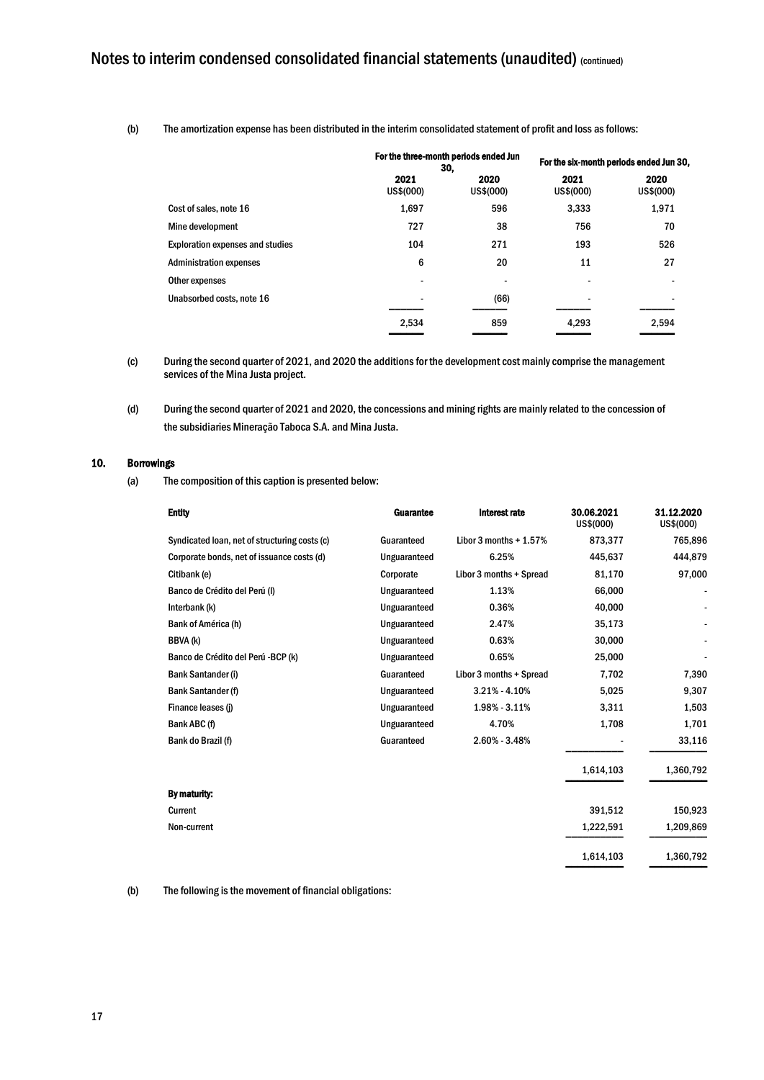(b) The amortization expense has been distributed in the interim consolidated statement of profit and loss as follows:

|                                         |                   | For the three-month periods ended Jun<br>30. |                          | For the six-month periods ended Jun 30, |
|-----------------------------------------|-------------------|----------------------------------------------|--------------------------|-----------------------------------------|
|                                         | 2021<br>US\$(000) | 2020<br>US\$(000)                            | 2021<br>US\$(000)        | 2020<br>US\$(000)                       |
| Cost of sales, note 16                  | 1,697             | 596                                          | 3,333                    | 1,971                                   |
| Mine development                        | 727               | 38                                           | 756                      | 70                                      |
| <b>Exploration expenses and studies</b> | 104               | 271                                          | 193                      | 526                                     |
| <b>Administration expenses</b>          | 6                 | 20                                           | 11                       | 27                                      |
| Other expenses                          |                   | ٠                                            | $\overline{\phantom{a}}$ |                                         |
| Unabsorbed costs, note 16               |                   | (66)                                         | $\overline{\phantom{a}}$ |                                         |
|                                         | 2,534             | 859                                          | 4,293                    | 2,594                                   |

- (c) During the second quarter of 2021, and 2020 the additions for the development cost mainly comprise the management services of the Mina Justa project.
- (d) During the second quarter of 2021 and 2020, the concessions and mining rights are mainly related to the concession of the subsidiaries Mineração Taboca S.A. and Mina Justa.

#### 10. Borrowings

(a) The composition of this caption is presented below:

| <b>Entity</b>                                 | <b>Guarantee</b> | Interest rate           | 30.06.2021<br>US\$(000) | 31.12.2020<br>US\$(000) |
|-----------------------------------------------|------------------|-------------------------|-------------------------|-------------------------|
| Syndicated loan, net of structuring costs (c) | Guaranteed       | Libor 3 months $+1.57%$ | 873,377                 | 765,896                 |
| Corporate bonds, net of issuance costs (d)    | Unguaranteed     | 6.25%                   | 445,637                 | 444,879                 |
| Citibank (e)                                  | Corporate        | Libor 3 months + Spread | 81,170                  | 97,000                  |
| Banco de Crédito del Perú (I)                 | Unguaranteed     | 1.13%                   | 66,000                  |                         |
| Interbank (k)                                 | Unguaranteed     | 0.36%                   | 40,000                  |                         |
| Bank of América (h)                           | Unguaranteed     | 2.47%                   | 35,173                  |                         |
| BBVA (k)                                      | Unguaranteed     | 0.63%                   | 30,000                  |                         |
| Banco de Crédito del Perú -BCP (k)            | Unguaranteed     | 0.65%                   | 25,000                  |                         |
| <b>Bank Santander (i)</b>                     | Guaranteed       | Libor 3 months + Spread | 7,702                   | 7,390                   |
| <b>Bank Santander (f)</b>                     | Unguaranteed     | $3.21\% - 4.10\%$       | 5,025                   | 9,307                   |
| Finance leases (j)                            | Unguaranteed     | $1.98\% - 3.11\%$       | 3,311                   | 1,503                   |
| Bank ABC (f)                                  | Unguaranteed     | 4.70%                   | 1,708                   | 1,701                   |
| Bank do Brazil (f)                            | Guaranteed       | $2.60\% - 3.48\%$       |                         | 33,116                  |
|                                               |                  |                         | 1,614,103               | 1,360,792               |
| By maturity:                                  |                  |                         |                         |                         |
| Current                                       |                  |                         | 391,512                 | 150,923                 |
| Non-current                                   |                  |                         | 1,222,591               | 1,209,869               |
|                                               |                  |                         | 1,614,103               | 1,360,792               |

(b) The following is the movement of financial obligations: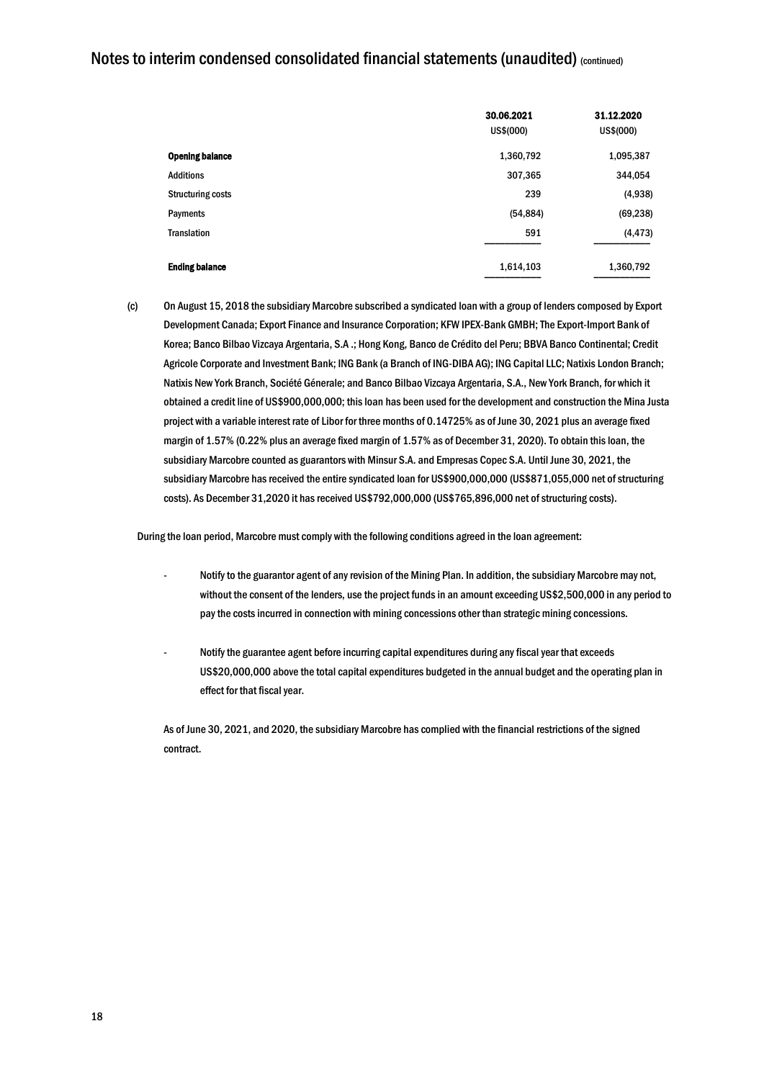|                          | 30.06.2021<br>US\$(000) | 31.12.2020<br>US\$(000) |
|--------------------------|-------------------------|-------------------------|
| <b>Opening balance</b>   | 1,360,792               | 1,095,387               |
| <b>Additions</b>         | 307,365                 | 344,054                 |
| <b>Structuring costs</b> | 239                     | (4,938)                 |
| Payments                 | (54, 884)               | (69, 238)               |
| <b>Translation</b>       | 591                     | (4, 473)                |
| <b>Ending balance</b>    | 1,614,103               | 1,360,792               |

(c) On August 15, 2018 the subsidiary Marcobre subscribed a syndicated loan with a group of lenders composed by Export Development Canada; Export Finance and Insurance Corporation; KFW IPEX-Bank GMBH; The Export-Import Bank of Korea; Banco Bilbao Vizcaya Argentaria, S.A .; Hong Kong, Banco de Crédito del Peru; BBVA Banco Continental; Credit Agricole Corporate and Investment Bank; ING Bank (a Branch of ING-DIBA AG); ING Capital LLC; Natixis London Branch; Natixis New York Branch, Société Génerale; and Banco Bilbao Vizcaya Argentaria, S.A., New York Branch, for which it obtained a credit line of US\$900,000,000; this loan has been used for the development and construction the Mina Justa project with a variable interest rate of Libor for three months of 0.14725% as of June 30, 2021 plus an average fixed margin of 1.57% (0.22% plus an average fixed margin of 1.57% as of December 31, 2020). To obtain this loan, the subsidiary Marcobre counted as guarantors with Minsur S.A. and Empresas Copec S.A. Until June 30, 2021, the subsidiary Marcobre has received the entire syndicated loan for US\$900,000,000 (US\$871,055,000 net of structuring costs). As December 31,2020 it has received US\$792,000,000 (US\$765,896,000 net of structuring costs).

During the loan period, Marcobre must comply with the following conditions agreed in the loan agreement:

- Notify to the guarantor agent of any revision of the Mining Plan. In addition, the subsidiary Marcobre may not, without the consent of the lenders, use the project funds in an amount exceeding US\$2,500,000 in any period to pay the costs incurred in connection with mining concessions other than strategic mining concessions.
- Notify the guarantee agent before incurring capital expenditures during any fiscal year that exceeds US\$20,000,000 above the total capital expenditures budgeted in the annual budget and the operating plan in effect for that fiscal year.

As of June 30, 2021, and 2020, the subsidiary Marcobre has complied with the financial restrictions of the signed contract.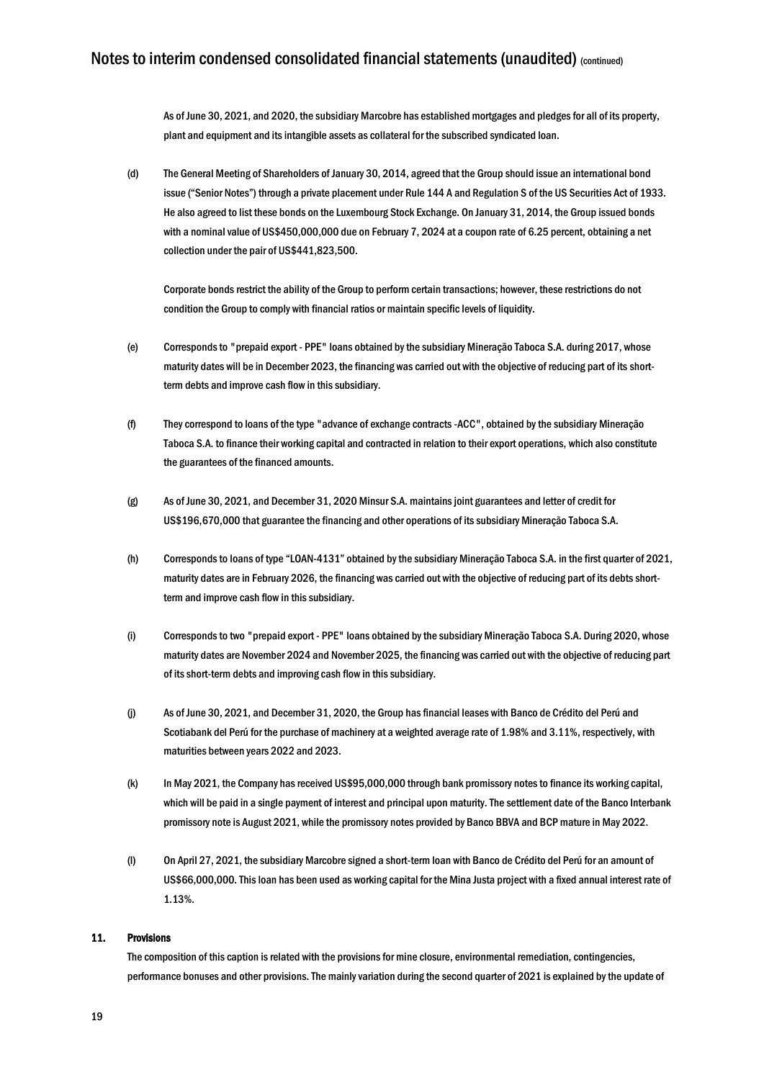As of June 30, 2021, and 2020, the subsidiary Marcobre has established mortgages and pledges for all of its property, plant and equipment and its intangible assets as collateral for the subscribed syndicated loan.

(d) The General Meeting of Shareholders of January 30, 2014, agreed that the Group should issue an international bond issue ("Senior Notes") through a private placement under Rule 144 A and Regulation S of the US Securities Act of 1933. He also agreed to list these bonds on the Luxembourg Stock Exchange. On January 31, 2014, the Group issued bonds with a nominal value of US\$450,000,000 due on February 7, 2024 at a coupon rate of 6.25 percent, obtaining a net collection under the pair of US\$441,823,500.

Corporate bonds restrict the ability of the Group to perform certain transactions; however, these restrictions do not condition the Group to comply with financial ratios or maintain specific levels of liquidity.

- (e) Corresponds to "prepaid export PPE" loans obtained by the subsidiary Mineração Taboca S.A. during 2017, whose maturity dates will be in December 2023, the financing was carried out with the objective of reducing part of its shortterm debts and improve cash flow in this subsidiary.
- (f) They correspond to loans of the type "advance of exchange contracts -ACC", obtained by the subsidiary Mineração Taboca S.A. to finance their working capital and contracted in relation to their export operations, which also constitute the guarantees of the financed amounts.
- (g) As of June 30, 2021, and December 31, 2020 Minsur S.A. maintains joint guarantees and letter of credit for US\$196,670,000 that guarantee the financing and other operations of its subsidiary Mineração Taboca S.A.
- (h) Corresponds to loans of type "LOAN-4131" obtained by the subsidiary Mineração Taboca S.A. in the first quarter of 2021, maturity dates are in February 2026, the financing was carried out with the objective of reducing part of its debts shortterm and improve cash flow in this subsidiary.
- (i) Corresponds to two "prepaid export PPE" loans obtained by the subsidiary Mineração Taboca S.A. During 2020, whose maturity dates are November 2024 and November 2025, the financing was carried out with the objective of reducing part of its short-term debts and improving cash flow in this subsidiary.
- (j) As of June 30, 2021, and December 31, 2020, the Group has financial leases with Banco de Crédito del Perú and Scotiabank del Perú for the purchase of machinery at a weighted average rate of 1.98% and 3.11%, respectively, with maturities between years 2022 and 2023.
- (k) In May 2021, the Company has received US\$95,000,000 through bank promissory notes to finance its working capital, which will be paid in a single payment of interest and principal upon maturity. The settlement date of the Banco Interbank promissory note is August 2021, while the promissory notes provided by Banco BBVA and BCP mature in May 2022.
- (l) On April 27, 2021, the subsidiary Marcobre signed a short-term loan with Banco de Crédito del Perú for an amount of US\$66,000,000. This loan has been used as working capital for the Mina Justa project with a fixed annual interest rate of 1.13%.

#### 11. Provisions

The composition of this caption is related with the provisions for mine closure, environmental remediation, contingencies, performance bonuses and other provisions. The mainly variation during the second quarter of 2021 is explained by the update of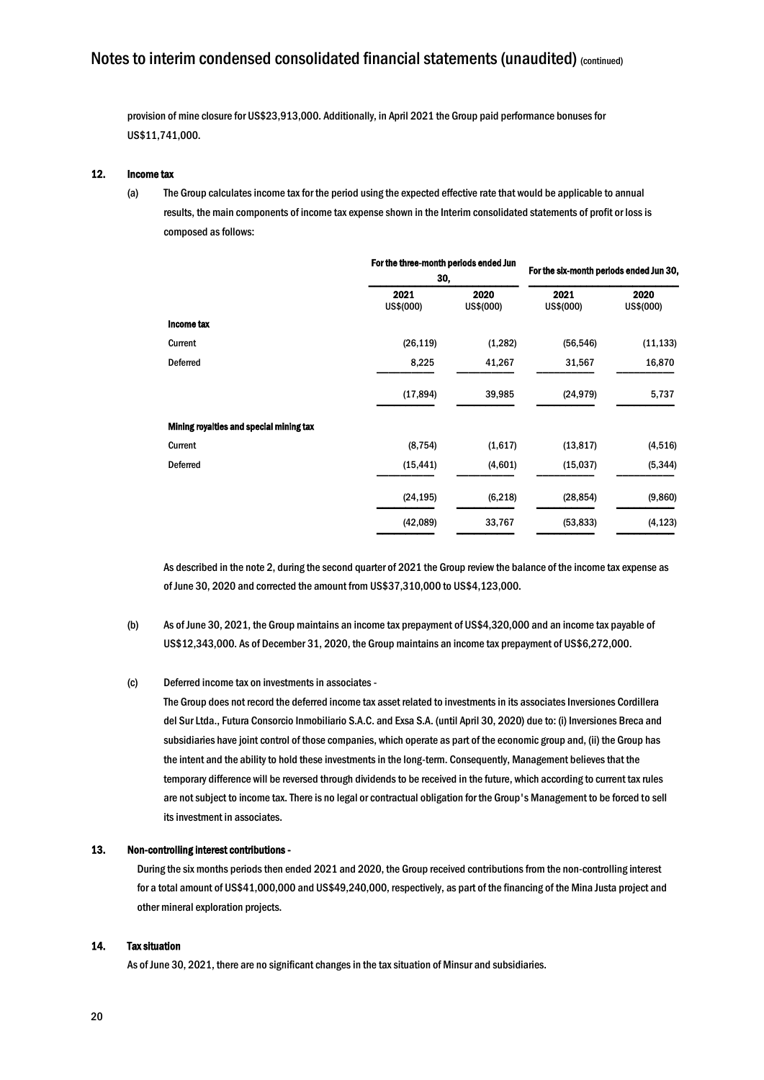provision of mine closure for US\$23,913,000. Additionally, in April 2021 the Group paid performance bonuses for US\$11,741,000.

#### 12. Income tax

(a) The Group calculates income tax for the period using the expected effective rate that would be applicable to annual results, the main components of income tax expense shown in the Interim consolidated statements of profit or lossis composed as follows:

|                                         | For the three-month periods ended Jun<br>30, |                   |                   | For the six-month periods ended Jun 30, |  |
|-----------------------------------------|----------------------------------------------|-------------------|-------------------|-----------------------------------------|--|
|                                         | 2021<br>US\$(000)                            | 2020<br>US\$(000) | 2021<br>US\$(000) | 2020<br>US\$(000)                       |  |
| Income tax                              |                                              |                   |                   |                                         |  |
| Current                                 | (26, 119)                                    | (1,282)           | (56, 546)         | (11, 133)                               |  |
| <b>Deferred</b>                         | 8,225                                        | 41,267            | 31,567            | 16,870                                  |  |
|                                         | (17, 894)                                    | 39,985            | (24, 979)         | 5,737                                   |  |
| Mining royalties and special mining tax |                                              |                   |                   |                                         |  |
| Current                                 | (8, 754)                                     | (1,617)           | (13, 817)         | (4, 516)                                |  |
| <b>Deferred</b>                         | (15, 441)                                    | (4,601)           | (15,037)          | (5, 344)                                |  |
|                                         | (24, 195)                                    | (6, 218)          | (28, 854)         | (9,860)                                 |  |
|                                         | (42,089)                                     | 33,767            | (53, 833)         | (4, 123)                                |  |

As described in the note 2, during the second quarter of 2021 the Group review the balance of the income tax expense as of June 30, 2020 and corrected the amount from US\$37,310,000 to US\$4,123,000.

(b) As of June 30, 2021, the Group maintains an income tax prepayment of US\$4,320,000 and an income tax payable of US\$12,343,000. As of December 31, 2020, the Group maintains an income tax prepayment of US\$6,272,000.

#### (c) Deferred income tax on investments in associates -

The Group does not record the deferred income tax asset related to investments in its associates Inversiones Cordillera del Sur Ltda., Futura Consorcio Inmobiliario S.A.C. and Exsa S.A. (until April 30, 2020) due to: (i) Inversiones Breca and subsidiaries have joint control of those companies, which operate as part of the economic group and, (ii) the Group has the intent and the ability to hold these investments in the long-term. Consequently, Management believes that the temporary difference will be reversed through dividends to be received in the future, which according to current tax rules are not subject to income tax. There is no legal or contractual obligation for the Group's Management to be forced to sell its investment in associates.

#### 13. Non-controlling interest contributions -

During the six months periods then ended 2021 and 2020, the Group received contributions from the non-controlling interest for a total amount of US\$41,000,000 and US\$49,240,000, respectively, as part of the financing of the Mina Justa project and other mineral exploration projects.

#### 14. Tax situation

As of June 30, 2021, there are no significant changes in the tax situation of Minsur and subsidiaries.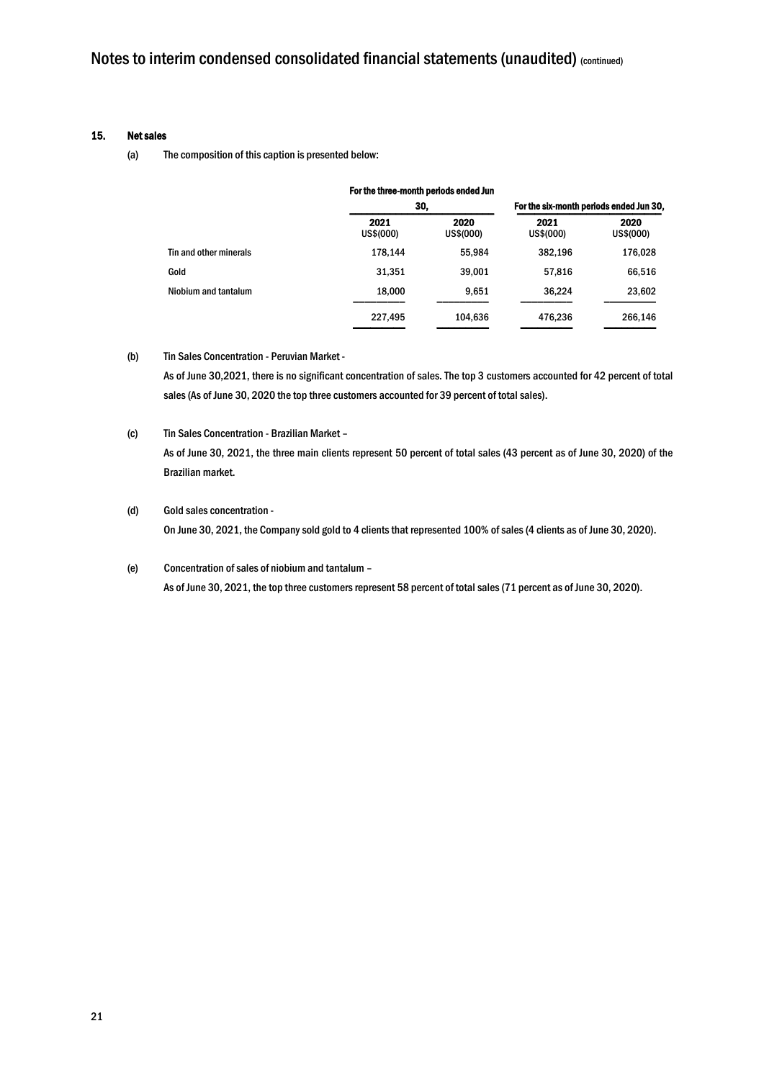#### 15. Net sales

(a) The composition of this caption is presented below:

|                        | For the three-month periods ended Jun |                   |                                         |                   |
|------------------------|---------------------------------------|-------------------|-----------------------------------------|-------------------|
|                        | 30,                                   |                   | For the six-month periods ended Jun 30, |                   |
|                        | 2021<br>US\$(000)                     | 2020<br>US\$(000) | 2021<br>US\$(000)                       | 2020<br>US\$(000) |
| Tin and other minerals | 178.144                               | 55,984            | 382,196                                 | 176,028           |
| Gold                   | 31.351                                | 39.001            | 57,816                                  | 66,516            |
| Niobium and tantalum   | 18,000                                | 9.651             | 36.224                                  | 23,602            |
|                        | 227,495                               | 104,636           | 476,236                                 | 266,146           |

#### (b) Tin Sales Concentration - Peruvian Market -

As of June 30,2021, there is no significant concentration of sales. The top 3 customers accounted for 42 percent of total sales (As of June 30, 2020 the top three customers accounted for 39 percent of total sales).

### (c) Tin Sales Concentration - Brazilian Market – As of June 30, 2021, the three main clients represent 50 percent of total sales (43 percent as of June 30, 2020) of the Brazilian market.

(d) Gold sales concentration - On June 30, 2021, the Company sold gold to 4 clients that represented 100% of sales (4 clients as of June 30, 2020).

### (e) Concentration of sales of niobium and tantalum – As of June 30, 2021, the top three customers represent 58 percent of total sales (71 percent as of June 30, 2020).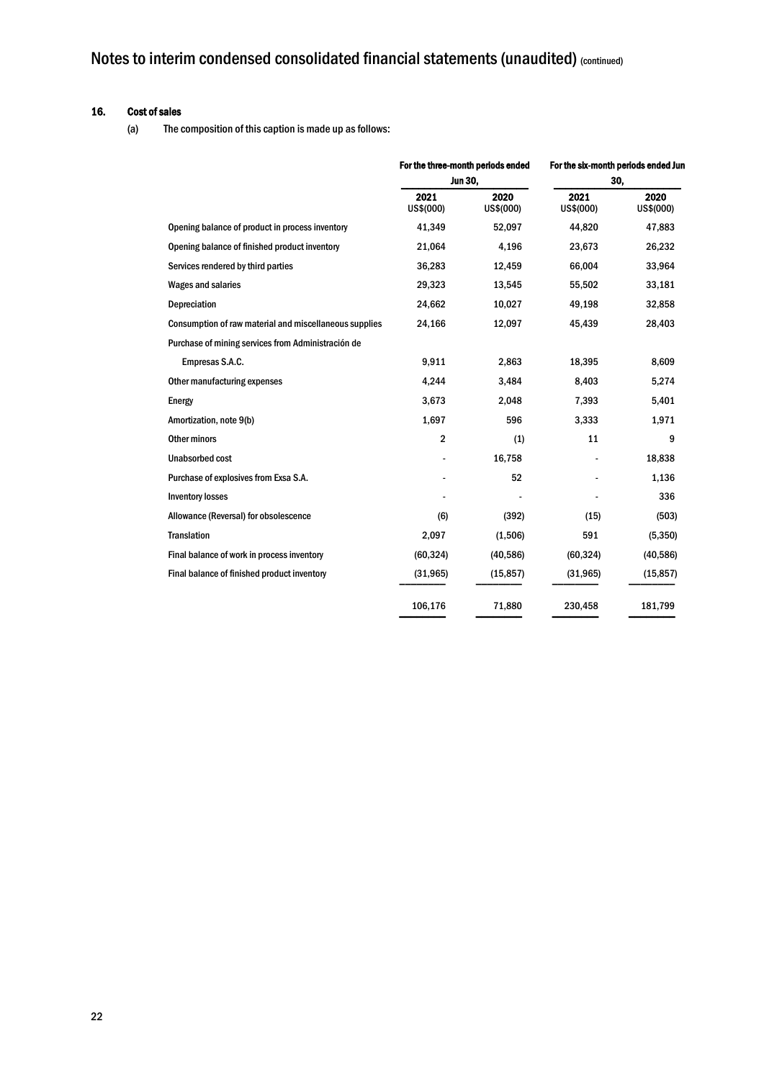### 16. Cost of sales

(a) The composition of this caption is made up as follows:

|                                                        | For the three-month periods ended<br><b>Jun 30,</b> |                   | For the six-month periods ended Jun |                   |
|--------------------------------------------------------|-----------------------------------------------------|-------------------|-------------------------------------|-------------------|
|                                                        |                                                     |                   | 30,                                 |                   |
|                                                        | 2021<br>US\$(000)                                   | 2020<br>US\$(000) | 2021<br>US\$(000)                   | 2020<br>US\$(000) |
| Opening balance of product in process inventory        | 41,349                                              | 52,097            | 44,820                              | 47,883            |
| Opening balance of finished product inventory          | 21,064                                              | 4,196             | 23,673                              | 26,232            |
| Services rendered by third parties                     | 36,283                                              | 12,459            | 66,004                              | 33,964            |
| <b>Wages and salaries</b>                              | 29,323                                              | 13,545            | 55,502                              | 33,181            |
| Depreciation                                           | 24,662                                              | 10,027            | 49,198                              | 32,858            |
| Consumption of raw material and miscellaneous supplies | 24,166                                              | 12,097            | 45,439                              | 28,403            |
| Purchase of mining services from Administración de     |                                                     |                   |                                     |                   |
| Empresas S.A.C.                                        | 9,911                                               | 2,863             | 18,395                              | 8,609             |
| Other manufacturing expenses                           | 4,244                                               | 3,484             | 8,403                               | 5,274             |
| Energy                                                 | 3,673                                               | 2,048             | 7,393                               | 5,401             |
| Amortization, note 9(b)                                | 1,697                                               | 596               | 3,333                               | 1,971             |
| Other minors                                           | $\overline{2}$                                      | (1)               | 11                                  | 9                 |
| <b>Unabsorbed cost</b>                                 |                                                     | 16,758            |                                     | 18,838            |
| Purchase of explosives from Exsa S.A.                  |                                                     | 52                |                                     | 1,136             |
| <b>Inventory losses</b>                                |                                                     |                   |                                     | 336               |
| Allowance (Reversal) for obsolescence                  | (6)                                                 | (392)             | (15)                                | (503)             |
| <b>Translation</b>                                     | 2,097                                               | (1,506)           | 591                                 | (5,350)           |
| Final balance of work in process inventory             | (60, 324)                                           | (40, 586)         | (60, 324)                           | (40, 586)         |
| Final balance of finished product inventory            | (31, 965)                                           | (15, 857)         | (31, 965)                           | (15, 857)         |
|                                                        | 106,176                                             | 71,880            | 230,458                             | 181,799           |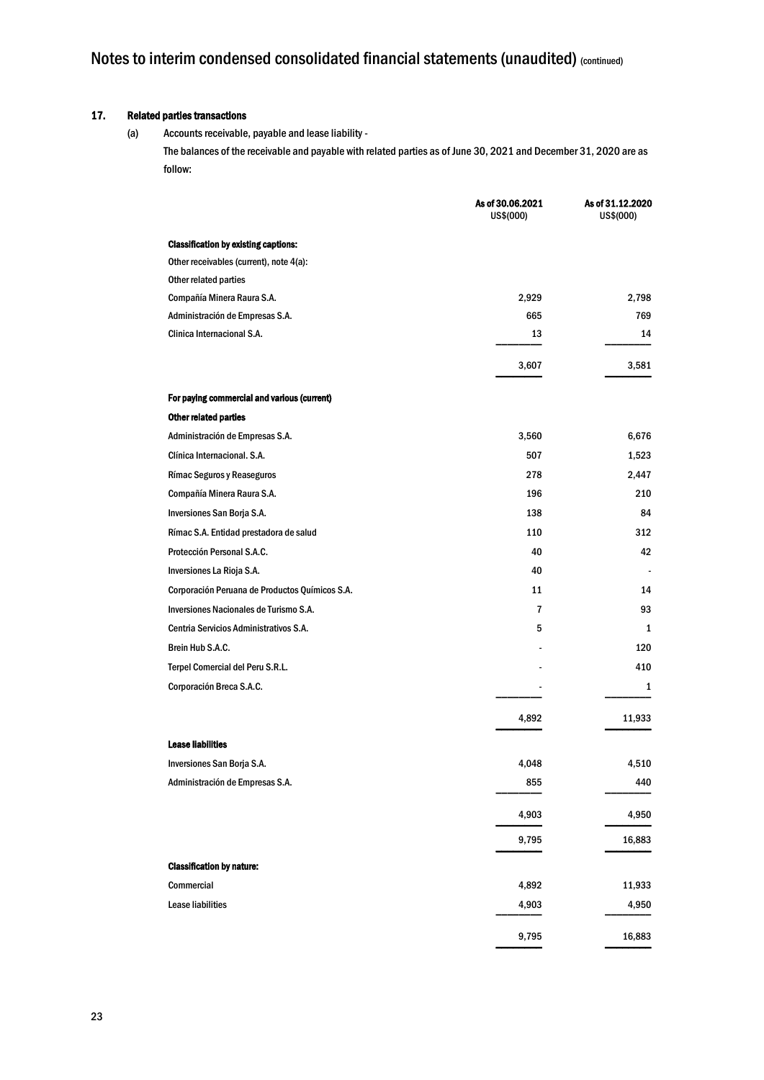### 17. Related parties transactions

(a) Accounts receivable, payable and lease liability - The balances of the receivable and payable with related parties as of June 30, 2021 and December 31, 2020 are as follow:

|                                                | As of 30.06.2021<br>US\$(000) | As of 31.12.2020<br>US\$(000) |
|------------------------------------------------|-------------------------------|-------------------------------|
| <b>Classification by existing captions:</b>    |                               |                               |
| Other receivables (current), note 4(a):        |                               |                               |
| Other related parties                          |                               |                               |
| Compañía Minera Raura S.A.                     | 2,929                         | 2,798                         |
| Administración de Empresas S.A.                | 665                           | 769                           |
| Clinica Internacional S.A.                     | 13                            | 14                            |
|                                                | 3,607                         | 3,581                         |
| For paying commercial and various (current)    |                               |                               |
| Other related parties                          |                               |                               |
| Administración de Empresas S.A.                | 3,560                         | 6,676                         |
| Clínica Internacional, S.A.                    | 507                           | 1,523                         |
| Rímac Seguros y Reaseguros                     | 278                           | 2,447                         |
| Compañía Minera Raura S.A.                     | 196                           | 210                           |
| Inversiones San Borja S.A.                     | 138                           | 84                            |
| Rímac S.A. Entidad prestadora de salud         | 110                           | 312                           |
| Protección Personal S.A.C.                     | 40                            | 42                            |
| Inversiones La Rioja S.A.                      | 40                            |                               |
| Corporación Peruana de Productos Químicos S.A. | 11                            | 14                            |
| Inversiones Nacionales de Turismo S.A.         | $\overline{7}$                | 93                            |
| Centria Servicios Administrativos S.A.         | 5                             | 1                             |
| Brein Hub S.A.C.                               |                               | 120                           |
| Terpel Comercial del Peru S.R.L.               |                               | 410                           |
| Corporación Breca S.A.C.                       |                               | 1                             |
|                                                | 4,892                         | 11,933                        |
| <b>Lease liabilities</b>                       |                               |                               |
| Inversiones San Borja S.A.                     | 4,048                         | 4,510                         |
| Administración de Empresas S.A.                | 855                           | 440                           |
|                                                | 4,903                         | 4,950                         |
|                                                | 9,795                         | 16,883                        |
| <b>Classification by nature:</b>               |                               |                               |
| Commercial                                     | 4,892                         | 11,933                        |
| <b>Lease liabilities</b>                       | 4,903                         | 4,950                         |
|                                                | 9,795                         | 16,883                        |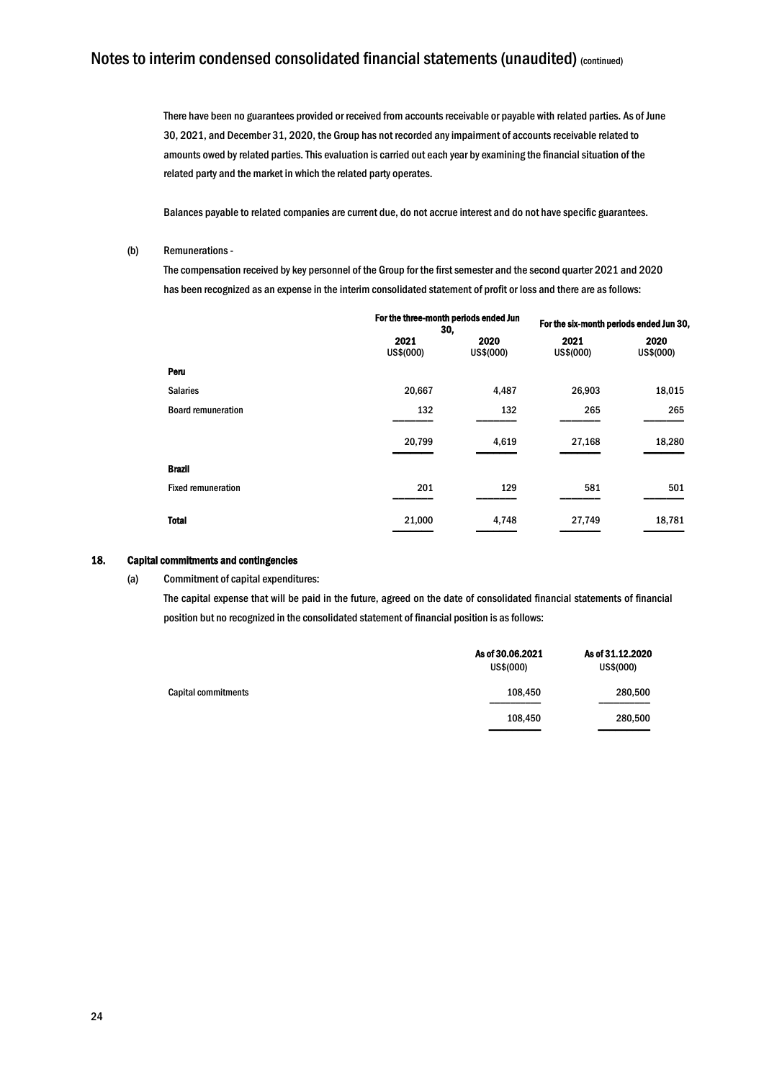There have been no guarantees provided or received from accounts receivable or payable with related parties. As of June 30, 2021, and December 31, 2020, the Group has not recorded any impairment of accounts receivable related to amounts owed by related parties. This evaluation is carried out each year by examining the financial situation of the related party and the market in which the related party operates.

Balances payable to related companies are current due, do not accrue interest and do not have specific guarantees.

#### (b) Remunerations-

The compensation received by key personnel of the Group for the first semester and the second quarter 2021 and 2020 has been recognized as an expense in the interim consolidated statement of profit or loss and there are as follows:

|                           | For the three-month periods ended Jun<br>30, |                   | For the six-month periods ended Jun 30, |                   |
|---------------------------|----------------------------------------------|-------------------|-----------------------------------------|-------------------|
|                           | 2021<br>US\$(000)                            | 2020<br>US\$(000) | 2021<br>US\$(000)                       | 2020<br>US\$(000) |
| Peru                      |                                              |                   |                                         |                   |
| <b>Salaries</b>           | 20,667                                       | 4,487             | 26,903                                  | 18,015            |
| <b>Board remuneration</b> | 132                                          | 132               | 265                                     | 265               |
|                           | 20,799                                       | 4,619             | 27,168                                  | 18,280            |
| <b>Brazil</b>             |                                              |                   |                                         |                   |
| <b>Fixed remuneration</b> | 201                                          | 129               | 581                                     | 501               |
| <b>Total</b>              | 21,000                                       | 4,748             | 27,749                                  | 18,781            |

#### 18. Capital commitments and contingencies

(a) Commitment of capital expenditures:

The capital expense that will be paid in the future, agreed on the date of consolidated financial statements of financial position but no recognized in the consolidated statement of financial position is as follows:

|                     | As of 30,06,2021<br>US\$(000) | As of 31.12.2020<br>US\$(000) |  |
|---------------------|-------------------------------|-------------------------------|--|
| Capital commitments | 108,450                       | 280,500                       |  |
|                     | 108,450                       | 280,500                       |  |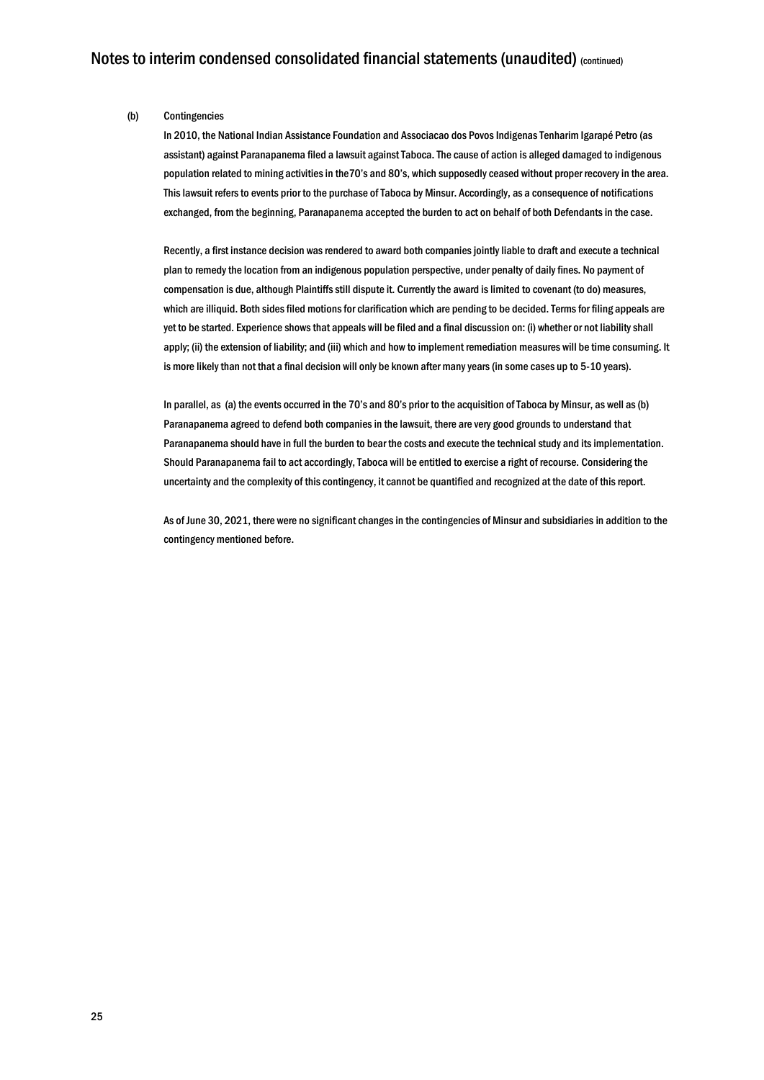#### (b) Contingencies

In 2010, the National Indian Assistance Foundation and Associacao dos Povos Indigenas Tenharim Igarapé Petro (as assistant) against Paranapanema filed a lawsuit against Taboca. The cause of action is alleged damaged to indigenous population related to mining activities in the70's and 80's, which supposedly ceased without proper recovery in the area. This lawsuit refers to events prior to the purchase of Taboca by Minsur. Accordingly, as a consequence of notifications exchanged, from the beginning, Paranapanema accepted the burden to act on behalf of both Defendants in the case.

Recently, a first instance decision was rendered to award both companies jointly liable to draft and execute a technical plan to remedy the location from an indigenous population perspective, under penalty of daily fines. No payment of compensation is due, although Plaintiffs still dispute it. Currently the award is limited to covenant (to do) measures, which are illiquid. Both sides filed motions for clarification which are pending to be decided. Terms for filing appeals are yet to be started. Experience shows that appeals will be filed and a final discussion on: (i) whether or not liability shall apply; (ii) the extension of liability; and (iii) which and how to implement remediation measures will be time consuming. It is more likely than not that a final decision will only be known after many years (in some cases up to 5-10 years).

In parallel, as (a) the events occurred in the 70's and 80's prior to the acquisition of Taboca by Minsur, as well as (b) Paranapanema agreed to defend both companies in the lawsuit, there are very good grounds to understand that Paranapanema should have in full the burden to bear the costs and execute the technical study and its implementation. Should Paranapanema fail to act accordingly, Taboca will be entitled to exercise a right of recourse. Considering the uncertainty and the complexity of this contingency, it cannot be quantified and recognized at the date of this report.

As of June 30, 2021, there were no significant changes in the contingencies of Minsur and subsidiaries in addition to the contingency mentioned before.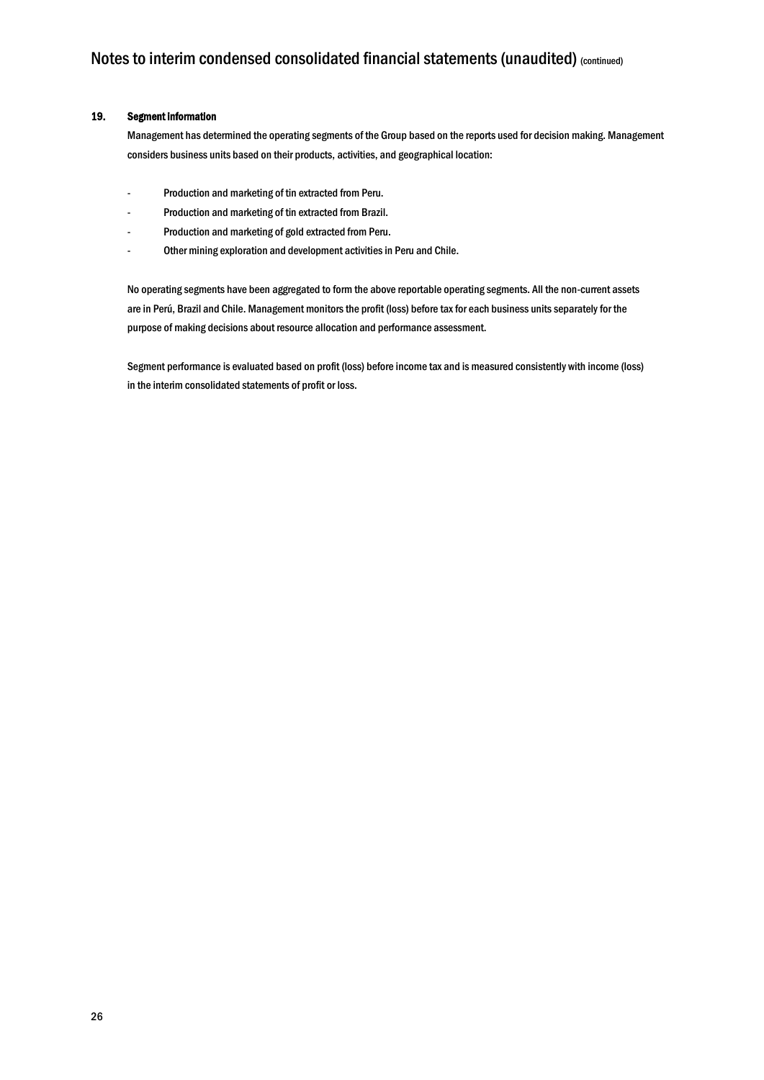#### 19. Segment information

Management has determined the operating segments of the Group based on the reports used for decision making. Management considers business units based on their products, activities, and geographical location:

- Production and marketing of tin extracted from Peru.
- Production and marketing of tin extracted from Brazil.
- Production and marketing of gold extracted from Peru.
- Other mining exploration and development activities in Peru and Chile.

No operating segments have been aggregated to form the above reportable operating segments. All the non-current assets are in Perú, Brazil and Chile. Management monitors the profit (loss) before tax for each business units separately for the purpose of making decisions about resource allocation and performance assessment.

Segment performance is evaluated based on profit (loss) before income tax and is measured consistently with income (loss) in the interim consolidated statements of profit or loss.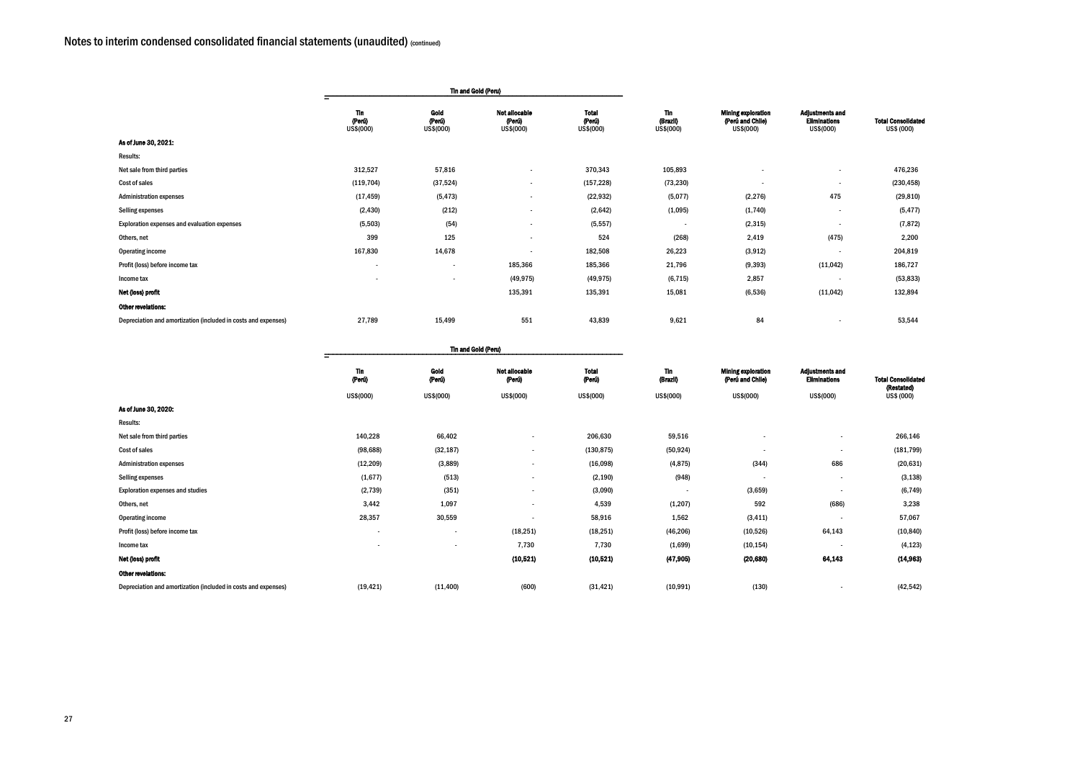| Adjustments and<br><b>Eliminations</b><br>US\$(000) | <b>Total Consolidated</b><br>US\$ (000) |
|-----------------------------------------------------|-----------------------------------------|
|                                                     | 476,236                                 |
|                                                     | (230, 458)                              |
| 475                                                 | (29, 810)                               |
|                                                     | (5, 477)                                |
|                                                     | (7, 872)                                |
| (475)                                               | 2,200                                   |
|                                                     | 204,819                                 |
| (11, 042)                                           | 186,727                                 |
|                                                     | (53, 833)                               |
| (11, 042)                                           | 132,894                                 |
|                                                     | $F^{\alpha}$ $F^{\alpha}$               |

|                                                                |                                   | <b>Tin and Gold (Peru)</b>  |                                             |                                     |                                     |                                                            |                                                            |                                        |
|----------------------------------------------------------------|-----------------------------------|-----------------------------|---------------------------------------------|-------------------------------------|-------------------------------------|------------------------------------------------------------|------------------------------------------------------------|----------------------------------------|
|                                                                | <b>Tin</b><br>(Perú)<br>US\$(000) | Gold<br>(Perú)<br>US\$(000) | <b>Not allocable</b><br>(Perú)<br>US\$(000) | <b>Total</b><br>(Perú)<br>US\$(000) | <b>Tin</b><br>(Brazil)<br>US\$(000) | <b>Mining exploration</b><br>(Perú and Chile)<br>US\$(000) | <b>Adjustments and</b><br><b>Eliminations</b><br>US\$(000) | <b>Total Consolidate</b><br>US\$ (000) |
| As of June 30, 2021:                                           |                                   |                             |                                             |                                     |                                     |                                                            |                                                            |                                        |
| Results:                                                       |                                   |                             |                                             |                                     |                                     |                                                            |                                                            |                                        |
| Net sale from third parties                                    | 312,527                           | 57,816                      | $\overline{\phantom{a}}$                    | 370,343                             | 105,893                             |                                                            | $\overline{\phantom{a}}$                                   | 476,236                                |
| Cost of sales                                                  | (119, 704)                        | (37, 524)                   | $\overline{\phantom{a}}$                    | (157, 228)                          | (73, 230)                           | $\overline{\phantom{a}}$                                   | $\overline{\phantom{a}}$                                   | (230, 458)                             |
| <b>Administration expenses</b>                                 | (17, 459)                         | (5, 473)                    | $\overline{\phantom{a}}$                    | (22, 932)                           | (5,077)                             | (2, 276)                                                   | 475                                                        | (29, 810)                              |
| Selling expenses                                               | (2, 430)                          | (212)                       | $\overline{\phantom{a}}$                    | (2,642)                             | (1,095)                             | (1,740)                                                    | $\overline{\phantom{a}}$                                   | (5, 477)                               |
| Exploration expenses and evaluation expenses                   | (5,503)                           | (54)                        | $\overline{\phantom{a}}$                    | (5, 557)                            | $\overline{\phantom{a}}$            | (2, 315)                                                   |                                                            | (7, 872)                               |
| Others, net                                                    | 399                               | 125                         | $\overline{\phantom{a}}$                    | 524                                 | (268)                               | 2,419                                                      | (475)                                                      | 2,200                                  |
| Operating income                                               | 167,830                           | 14,678                      | $\overline{\phantom{a}}$                    | 182,508                             | 26,223                              | (3, 912)                                                   | $\blacksquare$                                             | 204,819                                |
| Profit (loss) before income tax                                | $\overline{\phantom{a}}$          | $\overline{\phantom{a}}$    | 185,366                                     | 185,366                             | 21,796                              | (9, 393)                                                   | (11, 042)                                                  | 186,727                                |
| Income tax                                                     |                                   | $\overline{\phantom{a}}$    | (49, 975)                                   | (49, 975)                           | (6, 715)                            | 2,857                                                      | $\overline{\phantom{a}}$                                   | (53, 833)                              |
| Net (loss) profit                                              |                                   |                             | 135,391                                     | 135,391                             | 15,081                              | (6, 536)                                                   | (11, 042)                                                  | 132,894                                |
| <b>Other revelations:</b>                                      |                                   |                             |                                             |                                     |                                     |                                                            |                                                            |                                        |
| Depreciation and amortization (included in costs and expenses) | 27,789                            | 15,499                      | 551                                         | 43,839                              | 9,621                               | 84                                                         |                                                            | 53,544                                 |
|                                                                |                                   |                             |                                             |                                     |                                     |                                                            |                                                            |                                        |

| Adjustments and<br><b>Eliminations</b> | <b>Total Consolidated</b> |
|----------------------------------------|---------------------------|
| US\$(000)                              | (Restated)<br>US\$ (000)  |
|                                        |                           |
|                                        | 266,146                   |
|                                        | (181, 799)                |
| 686                                    | (20, 631)                 |
|                                        | (3, 138)                  |
|                                        | (6, 749)                  |
| (686)                                  | 3,238                     |
|                                        | 57,067                    |
| 64,143                                 | (10, 840)                 |
|                                        | (4, 123)                  |
| 64,143                                 | (14, 963)                 |
|                                        |                           |

|                                                                | <b>Tin and Gold (Peru)</b> |                          |                                |                        |                        |                                               |                                               |                                        |
|----------------------------------------------------------------|----------------------------|--------------------------|--------------------------------|------------------------|------------------------|-----------------------------------------------|-----------------------------------------------|----------------------------------------|
|                                                                | <b>Tin</b><br>(Perú)       | Gold<br>(Perú)           | <b>Not allocable</b><br>(Perú) | <b>Total</b><br>(Perú) | <b>Tin</b><br>(Brazil) | <b>Mining exploration</b><br>(Perú and Chile) | <b>Adjustments and</b><br><b>Eliminations</b> | <b>Total Consolidate</b><br>(Restated) |
|                                                                | US\$(000)                  | US\$(000)                | US\$(000)                      | US\$(000)              | US\$(000)              | US\$(000)                                     | US\$(000)                                     | US\$ (000)                             |
| As of June 30, 2020:                                           |                            |                          |                                |                        |                        |                                               |                                               |                                        |
| <b>Results:</b>                                                |                            |                          |                                |                        |                        |                                               |                                               |                                        |
| Net sale from third parties                                    | 140,228                    | 66,402                   | $\overline{\phantom{a}}$       | 206,630                | 59,516                 | $\overline{\phantom{0}}$                      | $\overline{\phantom{a}}$                      | 266,146                                |
| Cost of sales                                                  | (98, 688)                  | (32, 187)                | $\overline{\phantom{a}}$       | (130, 875)             | (50, 924)              | $\sim$                                        | $\overline{\phantom{a}}$                      | (181, 799)                             |
| <b>Administration expenses</b>                                 | (12, 209)                  | (3,889)                  | $\overline{\phantom{a}}$       | (16,098)               | (4, 875)               | (344)                                         | 686                                           | (20, 631)                              |
| Selling expenses                                               | (1,677)                    | (513)                    | -                              | (2, 190)               | (948)                  | $\sim$                                        | $\overline{\phantom{a}}$                      | (3, 138)                               |
| <b>Exploration expenses and studies</b>                        | (2, 739)                   | (351)                    | $\overline{\phantom{a}}$       | (3,090)                |                        | (3,659)                                       |                                               | (6, 749)                               |
| Others, net                                                    | 3,442                      | 1,097                    | $\overline{\phantom{a}}$       | 4,539                  | (1, 207)               | 592                                           | (686)                                         | 3,238                                  |
| <b>Operating income</b>                                        | 28,357                     | 30,559                   |                                | 58,916                 | 1,562                  | (3, 411)                                      |                                               | 57,067                                 |
| Profit (loss) before income tax                                | $\overline{\phantom{a}}$   | $\overline{\phantom{a}}$ | (18, 251)                      | (18, 251)              | (46, 206)              | (10, 526)                                     | 64,143                                        | (10, 840)                              |
| Income tax                                                     |                            | $\overline{\phantom{a}}$ | 7,730                          | 7,730                  | (1,699)                | (10, 154)                                     |                                               | (4, 123)                               |
| Net (loss) profit                                              |                            |                          | (10,521)                       | (10,521)               | (47, 905)              | (20, 680)                                     | 64,143                                        | (14, 963)                              |
| Other revelations:                                             |                            |                          |                                |                        |                        |                                               |                                               |                                        |
| Depreciation and amortization (included in costs and expenses) | (19, 421)                  | (11, 400)                | (600)                          | (31, 421)              | (10, 991)              | (130)                                         |                                               | (42, 542)                              |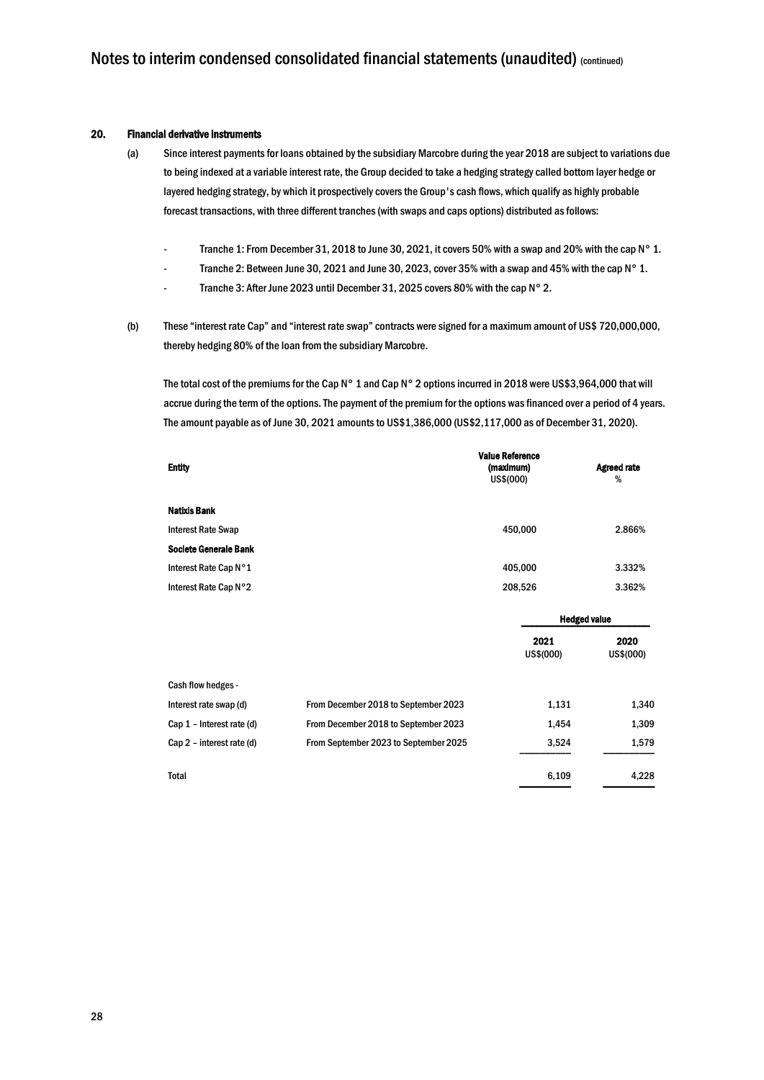#### 20. Financial derivative instruments

- (a) Since interest payments for loans obtained by the subsidiary Marcobre during the year 2018 are subject to variations due to being indexed at a variable interest rate, the Group decided to take a hedging strategy called bottom layer hedge or layered hedging strategy, by which it prospectively covers the Group's cash flows, which qualify as highly probable forecast transactions, with three different tranches (with swaps and caps options) distributed as follows:
	- Tranche 1: From December 31, 2018 to June 30, 2021, it covers 50% with a swap and 20% with the cap N° 1.
	- Tranche 2: Between June 30, 2021 and June 30, 2023, cover 35% with a swap and 45% with the cap N° 1.
	- Tranche 3: After June 2023 until December 31, 2025 covers 80% with the cap N° 2.
- (b) These "interest rate Cap" and "interest rate swap" contracts were signed for a maximum amount of US\$ 720,000,000, thereby hedging 80% of the loan from the subsidiary Marcobre.

The total cost of the premiums for the Cap N° 1 and Cap N° 2 options incurred in 2018 were US\$3,964,000 that will accrue during the term of the options. The payment of the premium for the options was financed over a period of 4 years. The amount payable as of June 30, 2021 amounts to US\$1,386,000 (US\$2,117,000 as of December 31, 2020).

| <b>Entity</b>                |                                       | <b>Value Reference</b><br>(maximum)<br>US\$(000) |                   | <b>Agreed rate</b><br>% |
|------------------------------|---------------------------------------|--------------------------------------------------|-------------------|-------------------------|
| <b>Natixis Bank</b>          |                                       |                                                  |                   |                         |
| <b>Interest Rate Swap</b>    |                                       | 450,000                                          |                   | 2.866%                  |
| <b>Societe Generale Bank</b> |                                       |                                                  |                   |                         |
| Interest Rate Cap N°1        |                                       | 405,000                                          |                   | 3.332%                  |
| Interest Rate Cap N°2        |                                       | 208,526                                          |                   | 3.362%                  |
|                              |                                       |                                                  |                   | <b>Hedged value</b>     |
|                              |                                       |                                                  | 2021<br>US\$(000) | 2020<br>US\$(000)       |
| Cash flow hedges -           |                                       |                                                  |                   |                         |
| Interest rate swap (d)       | From December 2018 to September 2023  |                                                  | 1,131             | 1,340                   |
| Cap 1 - Interest rate (d)    | From December 2018 to September 2023  |                                                  | 1,454             | 1,309                   |
| Cap 2 - interest rate (d)    | From September 2023 to September 2025 |                                                  | 3,524             | 1,579                   |
| <b>Total</b>                 |                                       |                                                  | 6,109             | 4,228                   |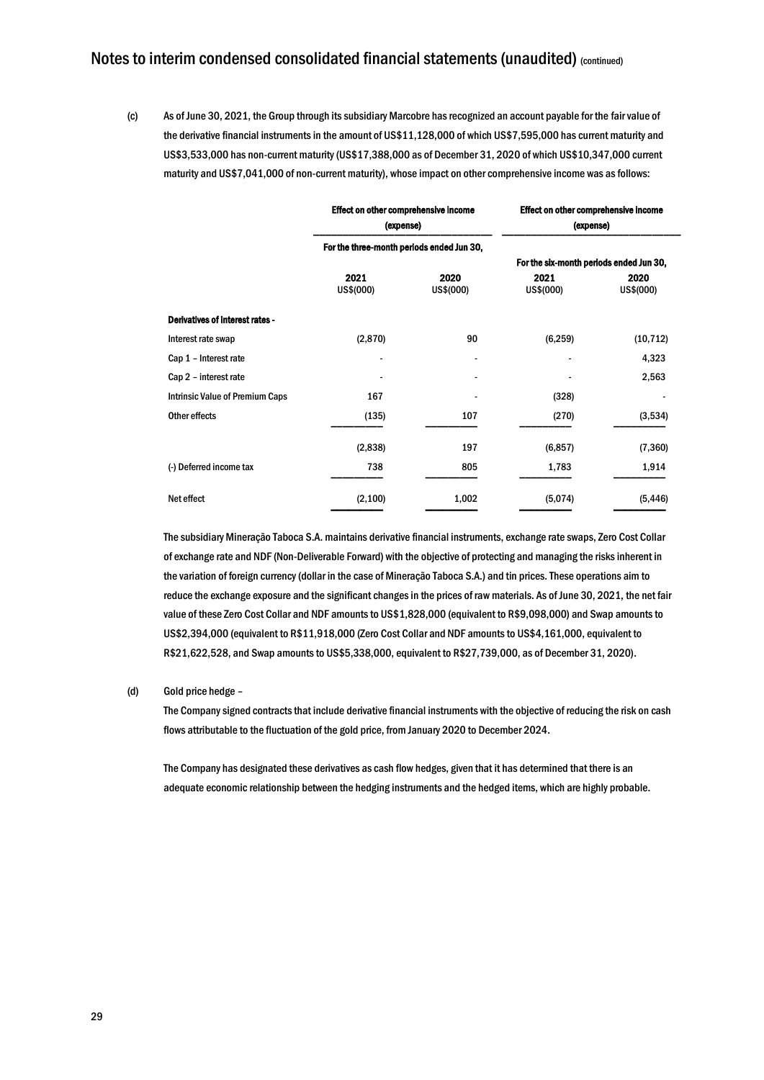(c) As of June 30, 2021, the Group through its subsidiary Marcobre has recognized an account payable for the fair value of the derivative financial instruments in the amount of US\$11,128,000 of which US\$7,595,000 has current maturity and US\$3,533,000 has non-current maturity (US\$17,388,000 as of December 31, 2020 of which US\$10,347,000 current maturity and US\$7,041,000 of non-current maturity), whose impact on other comprehensive income was as follows:

|                                        | Effect on other comprehensive income<br>(expense) |                   | Effect on other comprehensive income<br>(expense) |                   |  |
|----------------------------------------|---------------------------------------------------|-------------------|---------------------------------------------------|-------------------|--|
|                                        | For the three-month periods ended Jun 30,         |                   |                                                   |                   |  |
|                                        |                                                   |                   | For the six-month periods ended Jun 30,           |                   |  |
|                                        | 2021<br>US\$(000)                                 | 2020<br>US\$(000) | 2021<br>US\$(000)                                 | 2020<br>US\$(000) |  |
| Derivatives of interest rates -        |                                                   |                   |                                                   |                   |  |
| Interest rate swap                     | (2, 870)                                          | 90                | (6, 259)                                          | (10, 712)         |  |
| Cap 1 - Interest rate                  |                                                   |                   |                                                   | 4,323             |  |
| Cap 2 - interest rate                  |                                                   |                   |                                                   | 2,563             |  |
| <b>Intrinsic Value of Premium Caps</b> | 167                                               |                   | (328)                                             |                   |  |
| Other effects                          | (135)                                             | 107               | (270)                                             | (3,534)           |  |
|                                        | (2,838)                                           | 197               | (6, 857)                                          | (7, 360)          |  |
| (-) Deferred income tax                | 738                                               | 805               | 1,783                                             | 1,914             |  |
| Net effect                             | (2, 100)                                          | 1,002             | (5,074)                                           | (5, 446)          |  |

The subsidiary Mineração Taboca S.A. maintains derivative financial instruments, exchange rate swaps, Zero Cost Collar of exchange rate and NDF (Non-Deliverable Forward) with the objective of protecting and managing the risks inherent in the variation of foreign currency (dollar in the case of Mineração Taboca S.A.) and tin prices. These operations aim to reduce the exchange exposure and the significant changes in the prices of raw materials. As of June 30, 2021, the net fair value of these Zero Cost Collar and NDF amounts to US\$1,828,000 (equivalent to R\$9,098,000) and Swap amounts to US\$2,394,000 (equivalent to R\$11,918,000 (Zero Cost Collar and NDF amounts to US\$4,161,000, equivalent to R\$21,622,528, and Swap amounts to US\$5,338,000, equivalent to R\$27,739,000, as of December 31, 2020).

#### (d) Gold price hedge –

The Company signed contracts that include derivative financial instruments with the objective of reducing the risk on cash flows attributable to the fluctuation of the gold price, from January 2020 to December 2024.

The Company has designated these derivatives as cash flow hedges, given that it has determined that there is an adequate economic relationship between the hedging instruments and the hedged items, which are highly probable.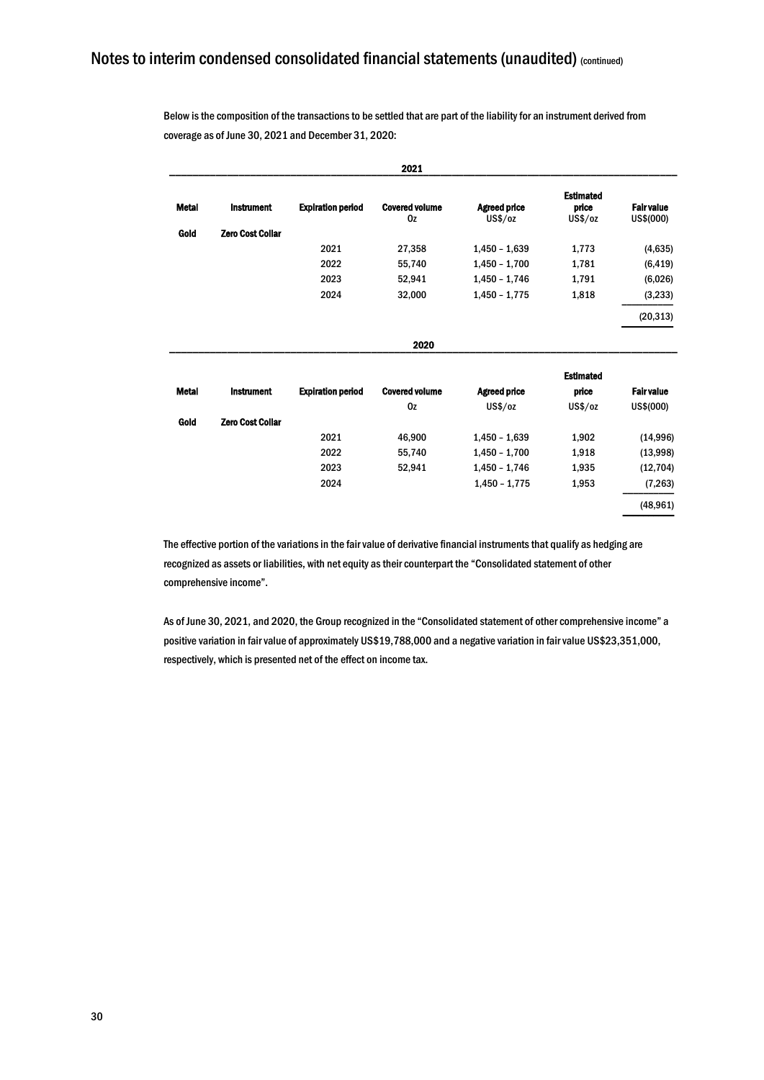Below is the composition of the transactions to be settled that are part of the liability for an instrument derived from coverage as of June 30, 2021 and December 31, 2020:

|              |                         |                          | 2021                        |                                |                                      |                                |
|--------------|-------------------------|--------------------------|-----------------------------|--------------------------------|--------------------------------------|--------------------------------|
| <b>Metal</b> | <b>Instrument</b>       | <b>Expiration period</b> | <b>Covered volume</b><br>Oz | <b>Agreed price</b><br>US\$/oz | <b>Estimated</b><br>price<br>US\$/oz | <b>Fair value</b><br>US\$(000) |
| Gold         | <b>Zero Cost Collar</b> |                          |                             |                                |                                      |                                |
|              |                         | 2021                     | 27,358                      | $1,450 - 1,639$                | 1,773                                | (4,635)                        |
|              |                         | 2022                     | 55,740                      | $1,450 - 1,700$                | 1,781                                | (6, 419)                       |
|              |                         | 2023                     | 52,941                      | $1,450 - 1,746$                | 1,791                                | (6,026)                        |
|              |                         | 2024                     | 32,000                      | $1,450 - 1,775$                | 1,818                                | (3,233)                        |
|              |                         |                          |                             |                                |                                      | (20, 313)                      |
|              |                         |                          | 2020                        |                                |                                      |                                |
|              |                         |                          |                             |                                | <b>Estimated</b>                     |                                |
| <b>Metal</b> | <b>Instrument</b>       | <b>Expiration period</b> | <b>Covered volume</b>       | <b>Agreed price</b>            | price                                | <b>Fair value</b>              |
|              |                         |                          | Oz                          | US\$/oz                        | US\$/oz                              | US\$(000)                      |
| Gold         | <b>Zero Cost Collar</b> |                          |                             |                                |                                      |                                |
|              |                         | 2021                     | 46,900                      | $1,450 - 1,639$                | 1,902                                | (14,996)                       |
|              |                         | 2022                     | 55,740                      | $1,450 - 1,700$                | 1,918                                | (13,998)                       |
|              |                         | 2023                     | 52,941                      | $1,450 - 1,746$                | 1,935                                | (12, 704)                      |
|              |                         | 2024                     |                             | $1,450 - 1,775$                | 1,953                                | (7, 263)                       |
|              |                         |                          |                             |                                |                                      | (48, 961)                      |

The effective portion of the variations in the fair value of derivative financial instruments that qualify as hedging are recognized as assets or liabilities, with net equity as their counterpart the "Consolidated statement of other comprehensive income".

As of June 30, 2021, and 2020, the Group recognized in the "Consolidated statement of other comprehensive income" a positive variation in fair value of approximately US\$19,788,000 and a negative variation in fair value US\$23,351,000, respectively, which is presented net of the effect on income tax.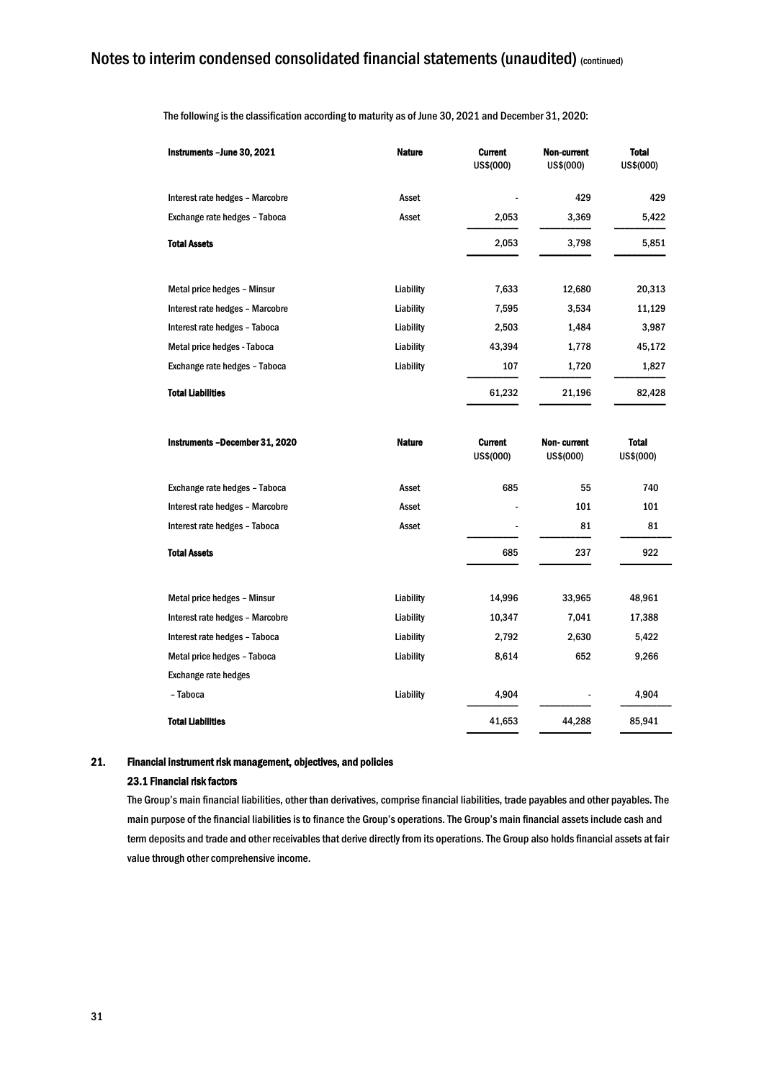| Instruments - June 30, 2021     | <b>Nature</b> | <b>Current</b><br>US\$(000) | Non-current<br>US\$(000) | <b>Total</b><br>US\$(000) |
|---------------------------------|---------------|-----------------------------|--------------------------|---------------------------|
| Interest rate hedges - Marcobre | Asset         |                             | 429                      | 429                       |
| Exchange rate hedges - Taboca   | Asset         | 2,053                       | 3,369                    | 5,422                     |
| <b>Total Assets</b>             |               | 2,053                       | 3,798                    | 5,851                     |
|                                 |               |                             |                          |                           |
| Metal price hedges - Minsur     | Liability     | 7,633                       | 12,680                   | 20,313                    |
| Interest rate hedges - Marcobre | Liability     | 7,595                       | 3,534                    | 11,129                    |
| Interest rate hedges - Taboca   | Liability     | 2,503                       | 1,484                    | 3,987                     |
| Metal price hedges - Taboca     | Liability     | 43,394                      | 1,778                    | 45,172                    |
| Exchange rate hedges - Taboca   | Liability     | 107                         | 1,720                    | 1,827                     |
| <b>Total Liabilities</b>        |               | 61,232                      | 21,196                   | 82,428                    |
| Instruments -December 31, 2020  | <b>Nature</b> | <b>Current</b><br>US\$(000) | Non-current<br>US\$(000) | <b>Total</b><br>US\$(000) |
| Exchange rate hedges - Taboca   | Asset         | 685                         | 55                       | 740                       |
| Interest rate hedges - Marcobre | Asset         |                             | 101                      | 101                       |
| Interest rate hedges - Taboca   | Asset         |                             | 81                       | 81                        |
| <b>Total Assets</b>             |               | 685                         | 237                      | 922                       |
| Metal price hedges - Minsur     | Liability     | 14,996                      | 33,965                   | 48,961                    |
| Interest rate hedges - Marcobre | Liability     | 10,347                      | 7,041                    | 17,388                    |
| Interest rate hedges - Taboca   | Liability     | 2,792                       | 2,630                    | 5,422                     |
| Metal price hedges - Taboca     | Liability     | 8,614                       | 652                      | 9,266                     |
| <b>Exchange rate hedges</b>     |               |                             |                          |                           |
| - Taboca                        | Liability     | 4,904                       |                          | 4,904                     |
| <b>Total Liabilities</b>        |               | 41,653                      | 44,288                   | 85,941                    |

The following is the classification according to maturity as of June 30, 2021 and December 31, 2020:

#### 21. Financial instrument risk management, objectives, and policies

#### 23.1 Financial risk factors

The Group's main financial liabilities, other than derivatives, comprise financial liabilities, trade payables and other payables. The main purpose of the financial liabilities is to finance the Group's operations. The Group's main financial assets include cash and term deposits and trade and other receivables that derive directly from its operations. The Group also holds financial assets at fair value through other comprehensive income.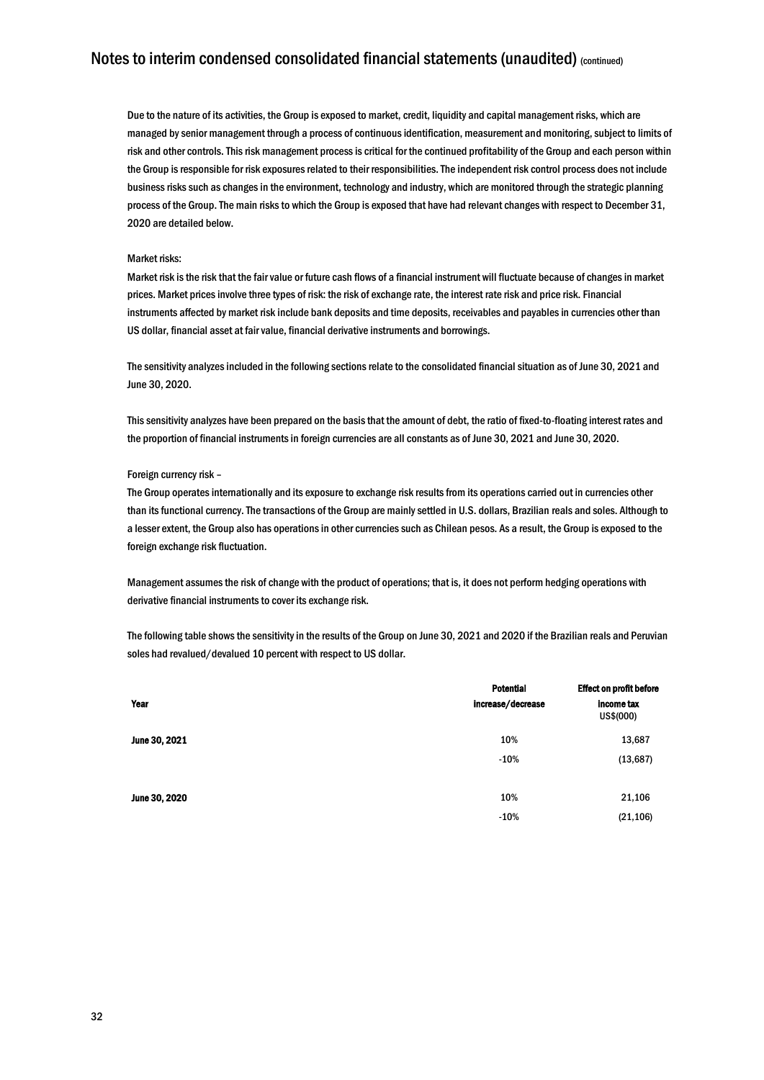Due to the nature of its activities, the Group is exposed to market, credit, liquidity and capital management risks, which are managed by senior management through a process of continuous identification, measurement and monitoring, subject to limits of risk and other controls. This risk management process is critical for the continued profitability of the Group and each person within the Group is responsible for risk exposures related to their responsibilities. The independent risk control process does not include business risks such as changes in the environment, technology and industry, which are monitored through the strategic planning process of the Group. The main risks to which the Group is exposed that have had relevant changes with respect to December 31, 2020 are detailed below.

#### Market risks:

Market risk is the risk that the fair value or future cash flows of a financial instrument will fluctuate because of changes in market prices. Market prices involve three types of risk: the risk of exchange rate, the interest rate risk and price risk. Financial instruments affected by market risk include bank deposits and time deposits, receivables and payables in currencies other than US dollar, financial asset at fair value, financial derivative instruments and borrowings.

The sensitivity analyzes included in the following sections relate to the consolidated financial situation as of June 30, 2021 and June 30, 2020.

This sensitivity analyzes have been prepared on the basis that the amount of debt, the ratio of fixed-to-floating interest rates and the proportion of financial instruments in foreign currencies are all constants as of June 30, 2021 and June 30, 2020.

#### Foreign currency risk –

The Group operates internationally and its exposure to exchange risk results from its operations carried out in currencies other than its functional currency. The transactions of the Group are mainly settled in U.S. dollars, Brazilian reals and soles. Although to a lesser extent, the Group also has operations in other currencies such as Chilean pesos. As a result, the Group is exposed to the foreign exchange risk fluctuation.

Management assumes the risk of change with the product of operations; that is, it does not perform hedging operations with derivative financial instruments to cover its exchange risk.

The following table shows the sensitivity in the results of the Group on June 30, 2021 and 2020 if the Brazilian reals and Peruvian soles had revalued/devalued 10 percent with respect to US dollar.

|               | <b>Potential</b>  | <b>Effect on profit before</b> |  |
|---------------|-------------------|--------------------------------|--|
| Year          | increase/decrease | income tax<br>US\$(000)        |  |
| June 30, 2021 | 10%               | 13,687                         |  |
|               | $-10%$            | (13, 687)                      |  |
| June 30, 2020 | 10%               | 21,106                         |  |
|               | $-10%$            | (21, 106)                      |  |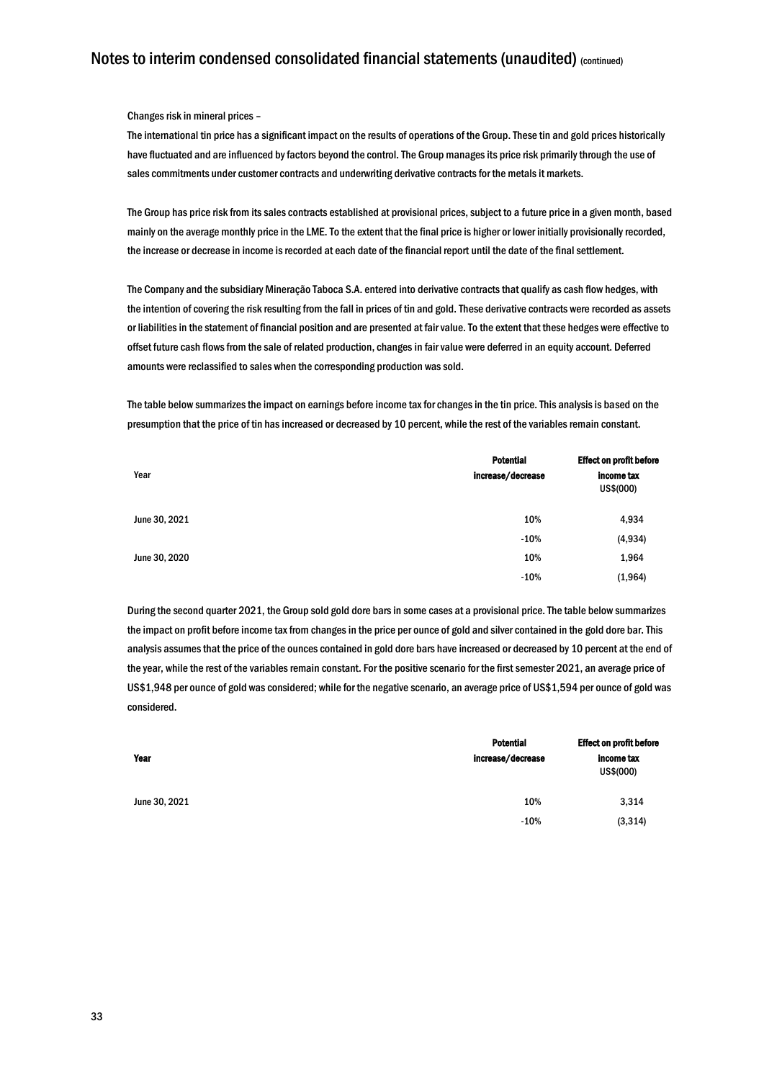Changes risk in mineral prices –

The international tin price has a significant impact on the results of operations of the Group. These tin and gold prices historically have fluctuated and are influenced by factors beyond the control. The Group manages its price risk primarily through the use of sales commitments under customer contracts and underwriting derivative contracts for the metals it markets.

The Group has price risk from its sales contracts established at provisional prices, subject to a future price in a given month, based mainly on the average monthly price in the LME. To the extent that the final price is higher or lower initially provisionally recorded, the increase or decrease in income is recorded at each date of the financial report until the date of the final settlement.

The Company and the subsidiary Mineração Taboca S.A. entered into derivative contracts that qualify as cash flow hedges, with the intention of covering the risk resulting from the fall in prices of tin and gold. These derivative contracts were recorded as assets or liabilities in the statement of financial position and are presented at fair value. To the extent that these hedges were effective to offset future cash flows from the sale of related production, changes in fair value were deferred in an equity account. Deferred amounts were reclassified to sales when the corresponding production was sold.

The table below summarizes the impact on earnings before income tax for changes in the tin price. This analysis is based on the presumption that the price of tin has increased or decreased by 10 percent, while the rest of the variables remain constant.

|               | <b>Potential</b>  | <b>Effect on profit before</b><br>income tax<br>US\$(000) |  |
|---------------|-------------------|-----------------------------------------------------------|--|
| Year          | increase/decrease |                                                           |  |
| June 30, 2021 | 10%               | 4,934                                                     |  |
|               | $-10%$            | (4, 934)                                                  |  |
| June 30, 2020 | 10%               | 1,964                                                     |  |
|               | $-10%$            | (1,964)                                                   |  |

During the second quarter 2021, the Group sold gold dore bars in some cases at a provisional price. The table below summarizes the impact on profit before income tax from changes in the price per ounce of gold and silver contained in the gold dore bar. This analysis assumes that the price of the ounces contained in gold dore bars have increased or decreased by 10 percent at the end of the year, while the rest of the variables remain constant. For the positive scenario for the first semester 2021, an average price of US\$1,948 per ounce of gold was considered; while for the negative scenario, an average price of US\$1,594 per ounce of gold was considered.

|               | <b>Potential</b>  | <b>Effect on profit before</b> |  |
|---------------|-------------------|--------------------------------|--|
| Year          | increase/decrease | income tax<br>US\$(000)        |  |
| June 30, 2021 | 10%               | 3,314                          |  |
|               | $-10%$            | (3,314)                        |  |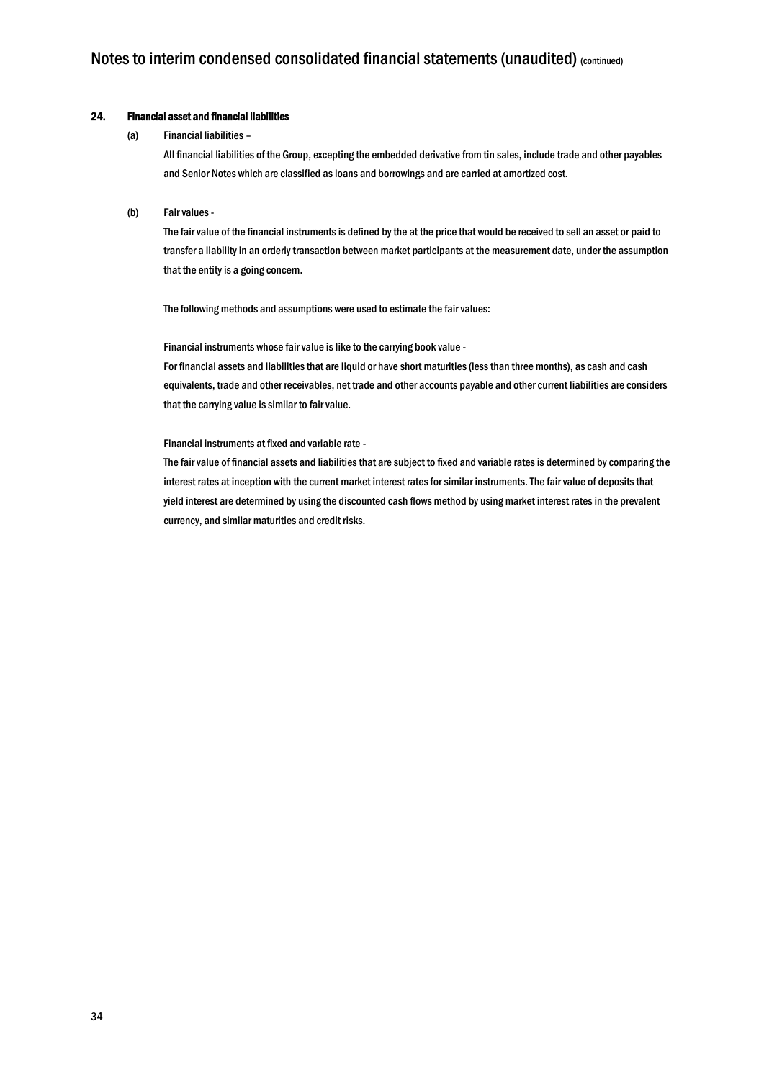#### 24. Financial asset and financial liabilities

#### (a) Financial liabilities –

All financial liabilities of the Group, excepting the embedded derivative from tin sales, include trade and other payables and Senior Notes which are classified as loans and borrowings and are carried at amortized cost.

#### (b) Fair values -

The fair value of the financial instruments is defined by the at the price that would be received to sell an asset or paid to transfer a liability in an orderly transaction between market participants at the measurement date, under the assumption that the entity is a going concern.

The following methods and assumptions were used to estimate the fair values:

Financial instruments whose fair value is like to the carrying book value -

For financial assets and liabilities that are liquid or have short maturities (less than three months), as cash and cash equivalents, trade and other receivables, net trade and other accounts payable and other current liabilities are considers that the carrying value is similar to fair value.

#### Financial instruments at fixed and variable rate -

The fair value of financial assets and liabilities that are subject to fixed and variable rates is determined by comparing the interest rates at inception with the current market interest rates for similar instruments. The fair value of deposits that yield interest are determined by using the discounted cash flows method by using market interest rates in the prevalent currency, and similar maturities and credit risks.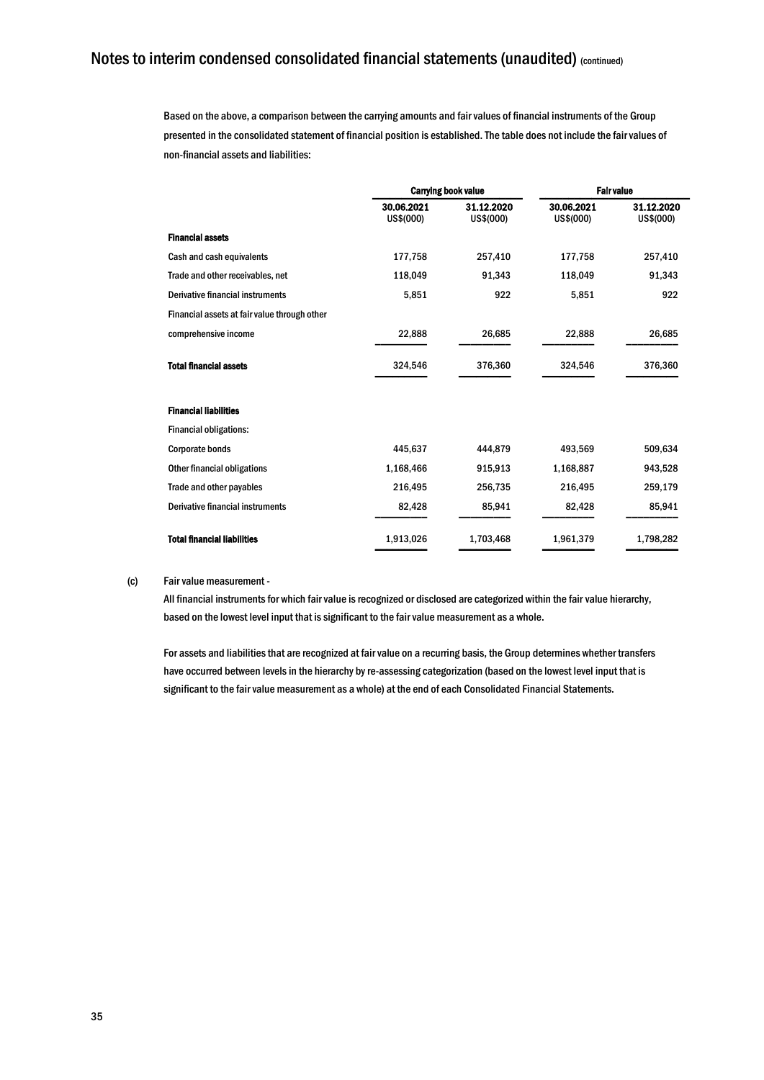Based on the above, a comparison between the carrying amounts and fair values of financial instruments of the Group presented in the consolidated statement of financial position is established. The table does not include the fair values of non-financial assets and liabilities:

|                                              |                         | <b>Carrying book value</b> | <b>Fair value</b>       |                         |
|----------------------------------------------|-------------------------|----------------------------|-------------------------|-------------------------|
|                                              | 30.06.2021<br>US\$(000) | 31.12.2020<br>US\$(000)    | 30.06.2021<br>US\$(000) | 31.12.2020<br>US\$(000) |
| <b>Financial assets</b>                      |                         |                            |                         |                         |
| Cash and cash equivalents                    | 177,758                 | 257,410                    | 177,758                 | 257,410                 |
| Trade and other receivables, net             | 118,049                 | 91,343                     | 118,049                 | 91,343                  |
| Derivative financial instruments             | 5,851                   | 922                        | 5,851                   | 922                     |
| Financial assets at fair value through other |                         |                            |                         |                         |
| comprehensive income                         | 22,888                  | 26,685                     | 22,888                  | 26,685                  |
| <b>Total financial assets</b>                | 324,546                 | 376,360                    | 324,546                 | 376,360                 |
| <b>Financial liabilities</b>                 |                         |                            |                         |                         |
| <b>Financial obligations:</b>                |                         |                            |                         |                         |
| <b>Corporate bonds</b>                       | 445.637                 | 444.879                    | 493,569                 | 509,634                 |
| <b>Other financial obligations</b>           | 1,168,466               | 915,913                    | 1,168,887               | 943,528                 |
| Trade and other payables                     | 216,495                 | 256,735                    | 216,495                 | 259,179                 |
| <b>Derivative financial instruments</b>      | 82,428                  | 85,941                     | 82,428                  | 85,941                  |
| <b>Total financial liabilities</b>           | 1,913,026               | 1,703,468                  | 1,961,379               | 1,798,282               |

#### (c) Fair value measurement -

All financial instruments for which fair value is recognized or disclosed are categorized within the fair value hierarchy, based on the lowest level input that is significant to the fair value measurement as a whole.

For assets and liabilities that are recognized at fair value on a recurring basis, the Group determines whether transfers have occurred between levels in the hierarchy by re-assessing categorization (based on the lowest level input that is significant to the fair value measurement as a whole) at the end of each Consolidated Financial Statements.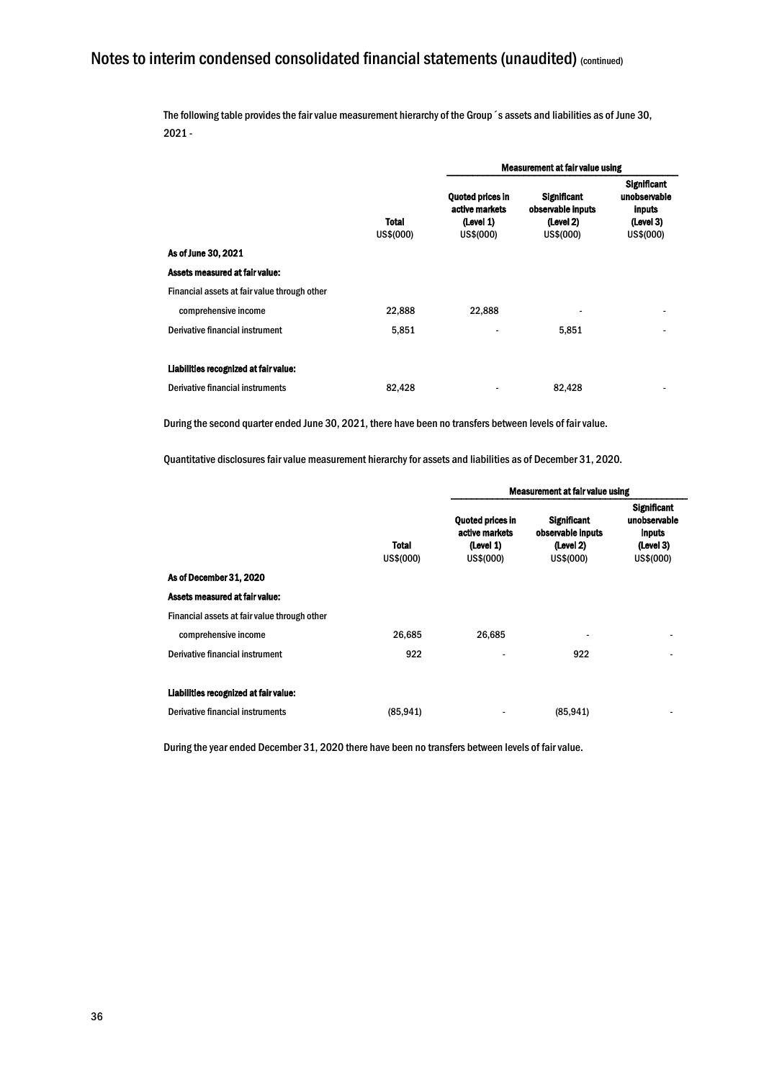The following table provides the fair value measurement hierarchy of the Group´s assets and liabilities as of June 30, 2021 -

|                                              |                           | <b>Measurement at fair value using</b>                       |                                                                   |                                                                               |  |
|----------------------------------------------|---------------------------|--------------------------------------------------------------|-------------------------------------------------------------------|-------------------------------------------------------------------------------|--|
|                                              | <b>Total</b><br>US\$(000) | Quoted prices in<br>active markets<br>(Level 1)<br>US\$(000) | <b>Significant</b><br>observable inputs<br>(Level 2)<br>US\$(000) | <b>Significant</b><br>unobservable<br><b>inputs</b><br>(Level 3)<br>US\$(000) |  |
| As of June 30, 2021                          |                           |                                                              |                                                                   |                                                                               |  |
| Assets measured at fair value:               |                           |                                                              |                                                                   |                                                                               |  |
| Financial assets at fair value through other |                           |                                                              |                                                                   |                                                                               |  |
| comprehensive income                         | 22,888                    | 22,888                                                       | ٠                                                                 |                                                                               |  |
| Derivative financial instrument              | 5,851                     |                                                              | 5,851                                                             |                                                                               |  |
|                                              |                           |                                                              |                                                                   |                                                                               |  |
| Liabilities recognized at fair value:        |                           |                                                              |                                                                   |                                                                               |  |
| Derivative financial instruments             | 82.428                    |                                                              | 82.428                                                            |                                                                               |  |

During the second quarter ended June 30, 2021, there have been no transfers between levels of fair value.

Quantitative disclosures fair value measurement hierarchy for assets and liabilities as of December 31, 2020.

|                                              | <b>Total</b><br>US\$(000) | Measurement at fair value using                                     |                                                                   |                                                                               |
|----------------------------------------------|---------------------------|---------------------------------------------------------------------|-------------------------------------------------------------------|-------------------------------------------------------------------------------|
|                                              |                           | <b>Quoted prices in</b><br>active markets<br>(Level 1)<br>US\$(000) | <b>Significant</b><br>observable inputs<br>(Level 2)<br>US\$(000) | <b>Significant</b><br>unobservable<br><b>inputs</b><br>(Level 3)<br>US\$(000) |
| As of December 31, 2020                      |                           |                                                                     |                                                                   |                                                                               |
| Assets measured at fair value:               |                           |                                                                     |                                                                   |                                                                               |
| Financial assets at fair value through other |                           |                                                                     |                                                                   |                                                                               |
| comprehensive income                         | 26,685                    | 26,685                                                              |                                                                   |                                                                               |
| Derivative financial instrument              | 922                       | -                                                                   | 922                                                               | -                                                                             |
| Liabilities recognized at fair value:        |                           |                                                                     |                                                                   |                                                                               |
| <b>Derivative financial instruments</b>      | (85, 941)                 |                                                                     | (85, 941)                                                         |                                                                               |

During the year ended December 31, 2020 there have been no transfers between levels of fair value.